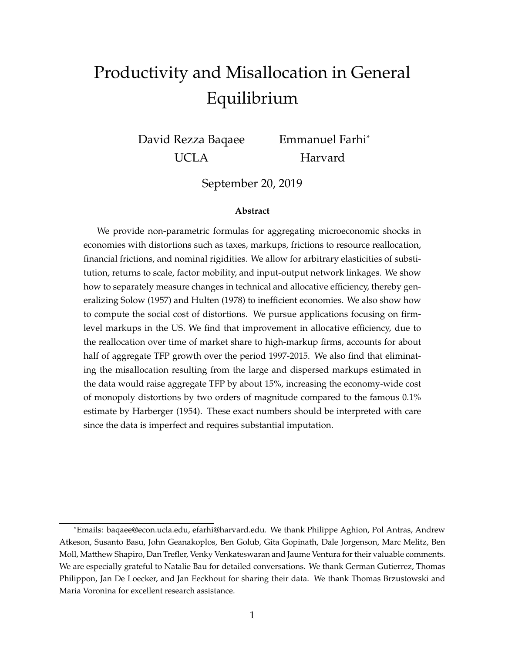# <span id="page-0-0"></span>Productivity and Misallocation in General Equilibrium

David Rezza Baqaee UCLA

Emmanuel Farhi<sup>∗</sup> Harvard

September 20, 2019

#### **Abstract**

We provide non-parametric formulas for aggregating microeconomic shocks in economies with distortions such as taxes, markups, frictions to resource reallocation, financial frictions, and nominal rigidities. We allow for arbitrary elasticities of substitution, returns to scale, factor mobility, and input-output network linkages. We show how to separately measure changes in technical and allocative efficiency, thereby generalizing [Solow](#page-51-0) [\(1957\)](#page-51-0) and [Hulten](#page-50-0) [\(1978\)](#page-50-0) to inefficient economies. We also show how to compute the social cost of distortions. We pursue applications focusing on firmlevel markups in the US. We find that improvement in allocative efficiency, due to the reallocation over time of market share to high-markup firms, accounts for about half of aggregate TFP growth over the period 1997-2015. We also find that eliminating the misallocation resulting from the large and dispersed markups estimated in the data would raise aggregate TFP by about 15%, increasing the economy-wide cost of monopoly distortions by two orders of magnitude compared to the famous 0.1% estimate by [Harberger](#page-50-1) [\(1954\)](#page-50-1). These exact numbers should be interpreted with care since the data is imperfect and requires substantial imputation.

<sup>∗</sup>Emails: baqaee@econ.ucla.edu, efarhi@harvard.edu. We thank Philippe Aghion, Pol Antras, Andrew Atkeson, Susanto Basu, John Geanakoplos, Ben Golub, Gita Gopinath, Dale Jorgenson, Marc Melitz, Ben Moll, Matthew Shapiro, Dan Trefler, Venky Venkateswaran and Jaume Ventura for their valuable comments. We are especially grateful to Natalie Bau for detailed conversations. We thank German Gutierrez, Thomas Philippon, Jan De Loecker, and Jan Eeckhout for sharing their data. We thank Thomas Brzustowski and Maria Voronina for excellent research assistance.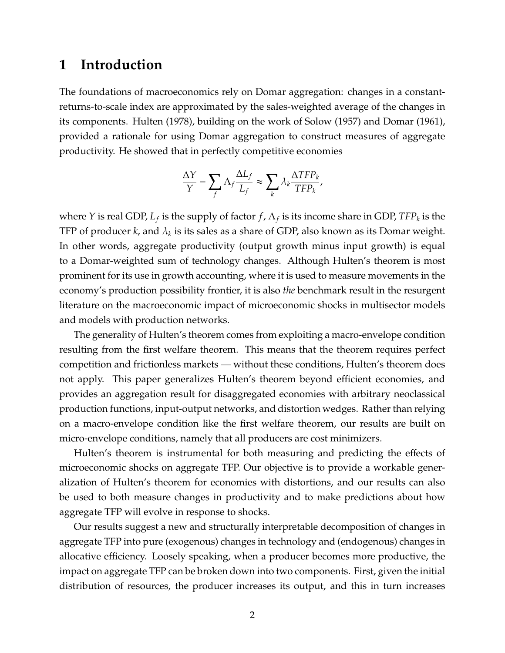## **1 Introduction**

The foundations of macroeconomics rely on Domar aggregation: changes in a constantreturns-to-scale index are approximated by the sales-weighted average of the changes in its components. [Hulten](#page-50-0) [\(1978\)](#page-50-0), building on the work of [Solow](#page-51-0) [\(1957\)](#page-51-0) and [Domar](#page-49-0) [\(1961\)](#page-49-0), provided a rationale for using Domar aggregation to construct measures of aggregate productivity. He showed that in perfectly competitive economies

$$
\frac{\Delta Y}{Y} - \sum_{f} \Lambda_f \frac{\Delta L_f}{L_f} \approx \sum_{k} \lambda_k \frac{\Delta T F P_k}{T F P_k},
$$

where  $Y$  is real GDP,  $L_f$  is the supply of factor  $f$ ,  $\Lambda_f$  is its income share in GDP,  $TFP_k$  is the TFP of producer *k,* and  $\lambda_k$  is its sales as a share of GDP, also known as its Domar weight. In other words, aggregate productivity (output growth minus input growth) is equal to a Domar-weighted sum of technology changes. Although Hulten's theorem is most prominent for its use in growth accounting, where it is used to measure movements in the economy's production possibility frontier, it is also *the* benchmark result in the resurgent literature on the macroeconomic impact of microeconomic shocks in multisector models and models with production networks.

The generality of Hulten's theorem comes from exploiting a macro-envelope condition resulting from the first welfare theorem. This means that the theorem requires perfect competition and frictionless markets — without these conditions, Hulten's theorem does not apply. This paper generalizes Hulten's theorem beyond efficient economies, and provides an aggregation result for disaggregated economies with arbitrary neoclassical production functions, input-output networks, and distortion wedges. Rather than relying on a macro-envelope condition like the first welfare theorem, our results are built on micro-envelope conditions, namely that all producers are cost minimizers.

Hulten's theorem is instrumental for both measuring and predicting the effects of microeconomic shocks on aggregate TFP. Our objective is to provide a workable generalization of Hulten's theorem for economies with distortions, and our results can also be used to both measure changes in productivity and to make predictions about how aggregate TFP will evolve in response to shocks.

Our results suggest a new and structurally interpretable decomposition of changes in aggregate TFP into pure (exogenous) changes in technology and (endogenous) changes in allocative efficiency. Loosely speaking, when a producer becomes more productive, the impact on aggregate TFP can be broken down into two components. First, given the initial distribution of resources, the producer increases its output, and this in turn increases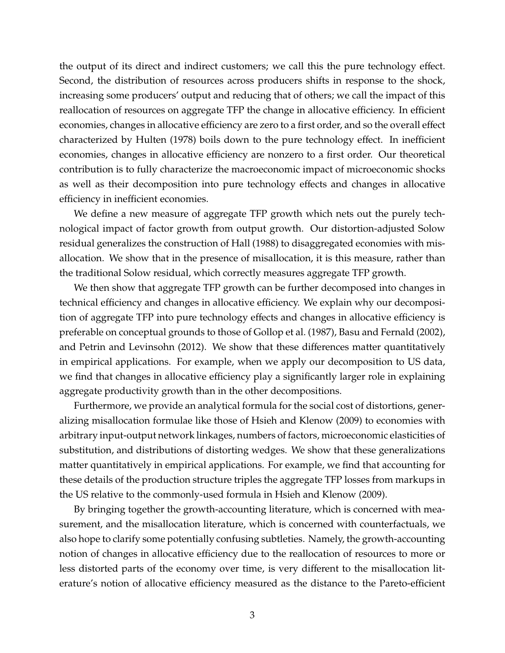the output of its direct and indirect customers; we call this the pure technology effect. Second, the distribution of resources across producers shifts in response to the shock, increasing some producers' output and reducing that of others; we call the impact of this reallocation of resources on aggregate TFP the change in allocative efficiency. In efficient economies, changes in allocative efficiency are zero to a first order, and so the overall effect characterized by [Hulten](#page-50-0) [\(1978\)](#page-50-0) boils down to the pure technology effect. In inefficient economies, changes in allocative efficiency are nonzero to a first order. Our theoretical contribution is to fully characterize the macroeconomic impact of microeconomic shocks as well as their decomposition into pure technology effects and changes in allocative efficiency in inefficient economies.

We define a new measure of aggregate TFP growth which nets out the purely technological impact of factor growth from output growth. Our distortion-adjusted Solow residual generalizes the construction of [Hall](#page-50-2) [\(1988\)](#page-50-2) to disaggregated economies with misallocation. We show that in the presence of misallocation, it is this measure, rather than the traditional Solow residual, which correctly measures aggregate TFP growth.

We then show that aggregate TFP growth can be further decomposed into changes in technical efficiency and changes in allocative efficiency. We explain why our decomposition of aggregate TFP into pure technology effects and changes in allocative efficiency is preferable on conceptual grounds to those of [Gollop et al.](#page-50-3) [\(1987\)](#page-50-3), [Basu and Fernald](#page-49-1) [\(2002\)](#page-49-1), and [Petrin and Levinsohn](#page-51-1) [\(2012\)](#page-51-1). We show that these differences matter quantitatively in empirical applications. For example, when we apply our decomposition to US data, we find that changes in allocative efficiency play a significantly larger role in explaining aggregate productivity growth than in the other decompositions.

Furthermore, we provide an analytical formula for the social cost of distortions, generalizing misallocation formulae like those of [Hsieh and Klenow](#page-50-4) [\(2009\)](#page-50-4) to economies with arbitrary input-output network linkages, numbers of factors, microeconomic elasticities of substitution, and distributions of distorting wedges. We show that these generalizations matter quantitatively in empirical applications. For example, we find that accounting for these details of the production structure triples the aggregate TFP losses from markups in the US relative to the commonly-used formula in [Hsieh and Klenow](#page-50-4) [\(2009\)](#page-50-4).

By bringing together the growth-accounting literature, which is concerned with measurement, and the misallocation literature, which is concerned with counterfactuals, we also hope to clarify some potentially confusing subtleties. Namely, the growth-accounting notion of changes in allocative efficiency due to the reallocation of resources to more or less distorted parts of the economy over time, is very different to the misallocation literature's notion of allocative efficiency measured as the distance to the Pareto-efficient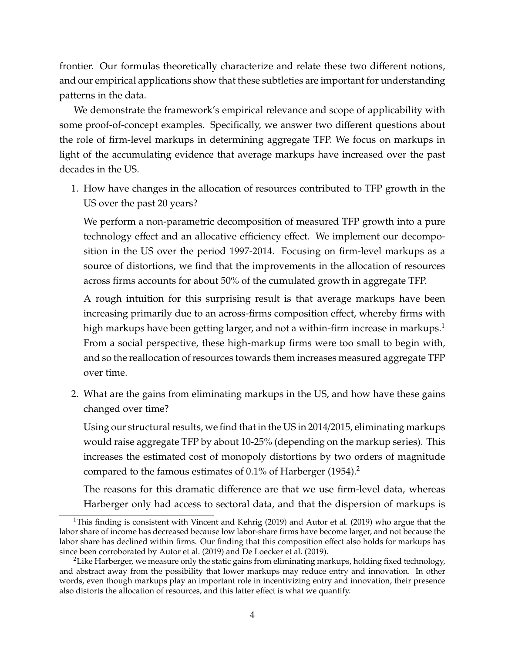frontier. Our formulas theoretically characterize and relate these two different notions, and our empirical applications show that these subtleties are important for understanding patterns in the data.

We demonstrate the framework's empirical relevance and scope of applicability with some proof-of-concept examples. Specifically, we answer two different questions about the role of firm-level markups in determining aggregate TFP. We focus on markups in light of the accumulating evidence that average markups have increased over the past decades in the US.

1. How have changes in the allocation of resources contributed to TFP growth in the US over the past 20 years?

We perform a non-parametric decomposition of measured TFP growth into a pure technology effect and an allocative efficiency effect. We implement our decomposition in the US over the period 1997-2014. Focusing on firm-level markups as a source of distortions, we find that the improvements in the allocation of resources across firms accounts for about 50% of the cumulated growth in aggregate TFP.

A rough intuition for this surprising result is that average markups have been increasing primarily due to an across-firms composition effect, whereby firms with high markups have been getting larger, and not a within-firm increase in markups. $1$ From a social perspective, these high-markup firms were too small to begin with, and so the reallocation of resources towards them increases measured aggregate TFP over time.

2. What are the gains from eliminating markups in the US, and how have these gains changed over time?

Using our structural results, we find that in the US in 2014/2015, eliminating markups would raise aggregate TFP by about 10-25% (depending on the markup series). This increases the estimated cost of monopoly distortions by two orders of magnitude compared to the famous estimates of  $0.1\%$  of [Harberger](#page-50-1) [\(1954\)](#page-50-1).<sup>[2](#page-0-0)</sup>

The reasons for this dramatic difference are that we use firm-level data, whereas Harberger only had access to sectoral data, and that the dispersion of markups is

<sup>&</sup>lt;sup>1</sup>This finding is consistent with [Vincent and Kehrig](#page-51-2) [\(2019\)](#page-48-0) and [Autor et al.](#page-48-0) (2019) who argue that the labor share of income has decreased because low labor-share firms have become larger, and not because the labor share has declined within firms. Our finding that this composition effect also holds for markups has since been corroborated by [Autor et al.](#page-48-0) [\(2019\)](#page-48-0) and [De Loecker et al.](#page-49-2) [\(2019\)](#page-49-2).

<sup>&</sup>lt;sup>2</sup> Like Harberger, we measure only the static gains from eliminating markups, holding fixed technology, and abstract away from the possibility that lower markups may reduce entry and innovation. In other words, even though markups play an important role in incentivizing entry and innovation, their presence also distorts the allocation of resources, and this latter effect is what we quantify.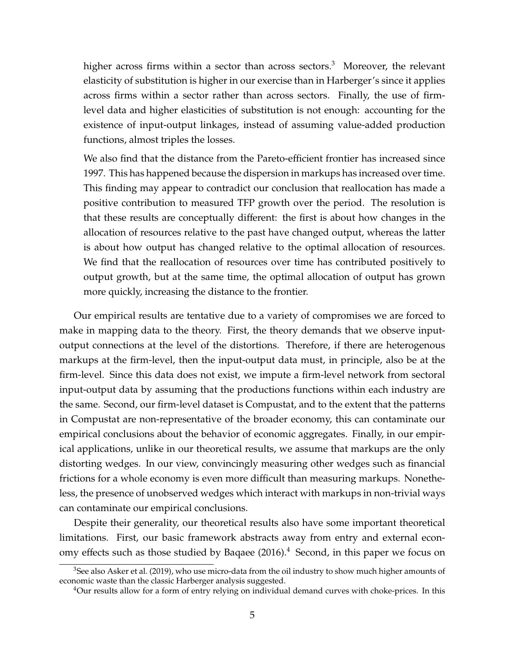higher across firms within a sector than across sectors.<sup>[3](#page-0-0)</sup> Moreover, the relevant elasticity of substitution is higher in our exercise than in Harberger's since it applies across firms within a sector rather than across sectors. Finally, the use of firmlevel data and higher elasticities of substitution is not enough: accounting for the existence of input-output linkages, instead of assuming value-added production functions, almost triples the losses.

We also find that the distance from the Pareto-efficient frontier has increased since 1997. This has happened because the dispersion in markups has increased over time. This finding may appear to contradict our conclusion that reallocation has made a positive contribution to measured TFP growth over the period. The resolution is that these results are conceptually different: the first is about how changes in the allocation of resources relative to the past have changed output, whereas the latter is about how output has changed relative to the optimal allocation of resources. We find that the reallocation of resources over time has contributed positively to output growth, but at the same time, the optimal allocation of output has grown more quickly, increasing the distance to the frontier.

Our empirical results are tentative due to a variety of compromises we are forced to make in mapping data to the theory. First, the theory demands that we observe inputoutput connections at the level of the distortions. Therefore, if there are heterogenous markups at the firm-level, then the input-output data must, in principle, also be at the firm-level. Since this data does not exist, we impute a firm-level network from sectoral input-output data by assuming that the productions functions within each industry are the same. Second, our firm-level dataset is Compustat, and to the extent that the patterns in Compustat are non-representative of the broader economy, this can contaminate our empirical conclusions about the behavior of economic aggregates. Finally, in our empirical applications, unlike in our theoretical results, we assume that markups are the only distorting wedges. In our view, convincingly measuring other wedges such as financial frictions for a whole economy is even more difficult than measuring markups. Nonetheless, the presence of unobserved wedges which interact with markups in non-trivial ways can contaminate our empirical conclusions.

Despite their generality, our theoretical results also have some important theoretical limitations. First, our basic framework abstracts away from entry and external econ-omy effects such as those studied by [Baqaee](#page-48-1)  $(2016)^4$  $(2016)^4$  $(2016)^4$  Second, in this paper we focus on

<sup>&</sup>lt;sup>3</sup>See also [Asker et al.](#page-48-2) [\(2019\)](#page-48-2), who use micro-data from the oil industry to show much higher amounts of economic waste than the classic Harberger analysis suggested.

<sup>&</sup>lt;sup>4</sup>Our results allow for a form of entry relying on individual demand curves with choke-prices. In this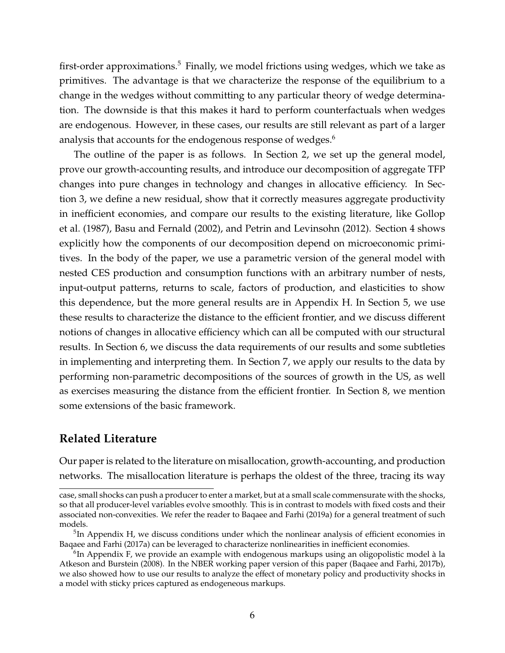first-order approximations.<sup>[5](#page-0-0)</sup> Finally, we model frictions using wedges, which we take as primitives. The advantage is that we characterize the response of the equilibrium to a change in the wedges without committing to any particular theory of wedge determination. The downside is that this makes it hard to perform counterfactuals when wedges are endogenous. However, in these cases, our results are still relevant as part of a larger analysis that accounts for the endogenous response of wedges.<sup>[6](#page-0-0)</sup>

The outline of the paper is as follows. In Section [2,](#page-7-0) we set up the general model, prove our growth-accounting results, and introduce our decomposition of aggregate TFP changes into pure changes in technology and changes in allocative efficiency. In Section [3,](#page-19-0) we define a new residual, show that it correctly measures aggregate productivity in inefficient economies, and compare our results to the existing literature, like [Gollop](#page-50-3) [et al.](#page-50-3) [\(1987\)](#page-50-3), [Basu and Fernald](#page-49-1) [\(2002\)](#page-49-1), and [Petrin and Levinsohn](#page-51-1) [\(2012\)](#page-51-1). Section [4](#page-24-0) shows explicitly how the components of our decomposition depend on microeconomic primitives. In the body of the paper, we use a parametric version of the general model with nested CES production and consumption functions with an arbitrary number of nests, input-output patterns, returns to scale, factors of production, and elasticities to show this dependence, but the more general results are in Appendix [H.](#page-73-0) In Section [5,](#page-30-0) we use these results to characterize the distance to the efficient frontier, and we discuss different notions of changes in allocative efficiency which can all be computed with our structural results. In Section [6,](#page-35-0) we discuss the data requirements of our results and some subtleties in implementing and interpreting them. In Section [7,](#page-38-0) we apply our results to the data by performing non-parametric decompositions of the sources of growth in the US, as well as exercises measuring the distance from the efficient frontier. In Section [8,](#page-47-0) we mention some extensions of the basic framework.

## **Related Literature**

Our paper is related to the literature on misallocation, growth-accounting, and production networks. The misallocation literature is perhaps the oldest of the three, tracing its way

case, small shocks can push a producer to enter a market, but at a small scale commensurate with the shocks, so that all producer-level variables evolve smoothly. This is in contrast to models with fixed costs and their associated non-convexities. We refer the reader to [Baqaee and Farhi](#page-48-3) [\(2019a\)](#page-48-3) for a general treatment of such models.

<sup>&</sup>lt;sup>5</sup>In Appendix [H,](#page-73-0) we discuss conditions under which the nonlinear analysis of efficient economies in [Baqaee and Farhi](#page-48-4) [\(2017a\)](#page-48-4) can be leveraged to characterize nonlinearities in inefficient economies.

 $\rm ^6$ In Appendix [F,](#page-70-0) we provide an example with endogenous markups using an oligopolistic model à la [Atkeson and Burstein](#page-48-5) [\(2008\)](#page-48-5). In the NBER working paper version of this paper [\(Baqaee and Farhi, 2017b\)](#page-48-6), we also showed how to use our results to analyze the effect of monetary policy and productivity shocks in a model with sticky prices captured as endogeneous markups.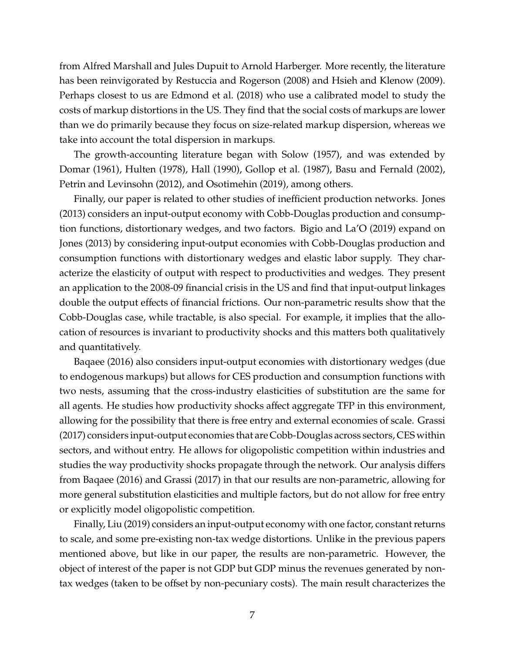from Alfred Marshall and Jules Dupuit to Arnold Harberger. More recently, the literature has been reinvigorated by [Restuccia and Rogerson](#page-51-3) [\(2008\)](#page-51-3) and [Hsieh and Klenow](#page-50-4) [\(2009\)](#page-50-4). Perhaps closest to us are [Edmond et al.](#page-49-3) [\(2018\)](#page-49-3) who use a calibrated model to study the costs of markup distortions in the US. They find that the social costs of markups are lower than we do primarily because they focus on size-related markup dispersion, whereas we take into account the total dispersion in markups.

The growth-accounting literature began with [Solow](#page-51-0) [\(1957\)](#page-51-0), and was extended by [Domar](#page-49-0) [\(1961\)](#page-49-0), [Hulten](#page-50-0) [\(1978\)](#page-50-0), [Hall](#page-50-5) [\(1990\)](#page-50-5), [Gollop et al.](#page-50-3) [\(1987\)](#page-50-3), [Basu and Fernald](#page-49-1) [\(2002\)](#page-49-1), [Petrin and Levinsohn](#page-51-1) [\(2012\)](#page-51-1), and [Osotimehin](#page-51-4) [\(2019\)](#page-51-4), among others.

Finally, our paper is related to other studies of inefficient production networks. [Jones](#page-51-5) [\(2013\)](#page-51-5) considers an input-output economy with Cobb-Douglas production and consumption functions, distortionary wedges, and two factors. [Bigio and La'O](#page-49-4) [\(2019\)](#page-49-4) expand on [Jones](#page-51-5) [\(2013\)](#page-51-5) by considering input-output economies with Cobb-Douglas production and consumption functions with distortionary wedges and elastic labor supply. They characterize the elasticity of output with respect to productivities and wedges. They present an application to the 2008-09 financial crisis in the US and find that input-output linkages double the output effects of financial frictions. Our non-parametric results show that the Cobb-Douglas case, while tractable, is also special. For example, it implies that the allocation of resources is invariant to productivity shocks and this matters both qualitatively and quantitatively.

[Baqaee](#page-48-1) [\(2016\)](#page-48-1) also considers input-output economies with distortionary wedges (due to endogenous markups) but allows for CES production and consumption functions with two nests, assuming that the cross-industry elasticities of substitution are the same for all agents. He studies how productivity shocks affect aggregate TFP in this environment, allowing for the possibility that there is free entry and external economies of scale. [Grassi](#page-50-6) [\(2017\)](#page-50-6) considers input-output economies that are Cobb-Douglas across sectors, CES within sectors, and without entry. He allows for oligopolistic competition within industries and studies the way productivity shocks propagate through the network. Our analysis differs from [Baqaee](#page-48-1) [\(2016\)](#page-48-1) and [Grassi](#page-50-6) [\(2017\)](#page-50-6) in that our results are non-parametric, allowing for more general substitution elasticities and multiple factors, but do not allow for free entry or explicitly model oligopolistic competition.

Finally, [Liu](#page-51-6) [\(2019\)](#page-51-6) considers an input-output economy with one factor, constant returns to scale, and some pre-existing non-tax wedge distortions. Unlike in the previous papers mentioned above, but like in our paper, the results are non-parametric. However, the object of interest of the paper is not GDP but GDP minus the revenues generated by nontax wedges (taken to be offset by non-pecuniary costs). The main result characterizes the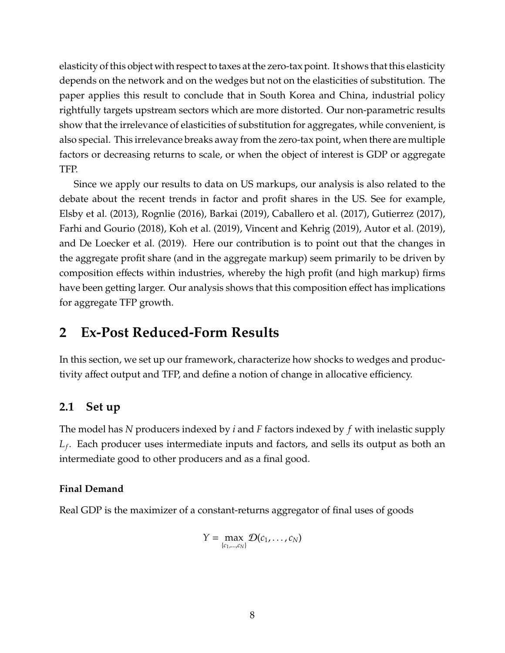elasticity of this object with respect to taxes at the zero-tax point. It shows that this elasticity depends on the network and on the wedges but not on the elasticities of substitution. The paper applies this result to conclude that in South Korea and China, industrial policy rightfully targets upstream sectors which are more distorted. Our non-parametric results show that the irrelevance of elasticities of substitution for aggregates, while convenient, is also special. This irrelevance breaks away from the zero-tax point, when there are multiple factors or decreasing returns to scale, or when the object of interest is GDP or aggregate TFP.

Since we apply our results to data on US markups, our analysis is also related to the debate about the recent trends in factor and profit shares in the US. See for example, [Elsby et al.](#page-49-5) [\(2013\)](#page-49-5), [Rognlie](#page-51-7) [\(2016\)](#page-51-7), [Barkai](#page-49-6) [\(2019\)](#page-49-6), [Caballero et al.](#page-49-7) [\(2017\)](#page-49-7), [Gutierrez](#page-50-7) [\(2017\)](#page-50-7), [Farhi and Gourio](#page-49-8) [\(2018\)](#page-49-8), [Koh et al.](#page-51-8) [\(2019\)](#page-51-8), [Vincent and Kehrig](#page-51-2) [\(2019\)](#page-51-2), [Autor et al.](#page-48-0) [\(2019\)](#page-48-0), and [De Loecker et al.](#page-49-2) [\(2019\)](#page-49-2). Here our contribution is to point out that the changes in the aggregate profit share (and in the aggregate markup) seem primarily to be driven by composition effects within industries, whereby the high profit (and high markup) firms have been getting larger. Our analysis shows that this composition effect has implications for aggregate TFP growth.

## <span id="page-7-0"></span>**2 Ex-Post Reduced-Form Results**

In this section, we set up our framework, characterize how shocks to wedges and productivity affect output and TFP, and define a notion of change in allocative efficiency.

## **2.1 Set up**

The model has *N* producers indexed by *i* and *F* factors indexed by *f* with inelastic supply *Lf* . Each producer uses intermediate inputs and factors, and sells its output as both an intermediate good to other producers and as a final good.

## **Final Demand**

Real GDP is the maximizer of a constant-returns aggregator of final uses of goods

$$
Y = \max_{\{c_1,\ldots,c_N\}} \mathcal{D}(c_1,\ldots,c_N)
$$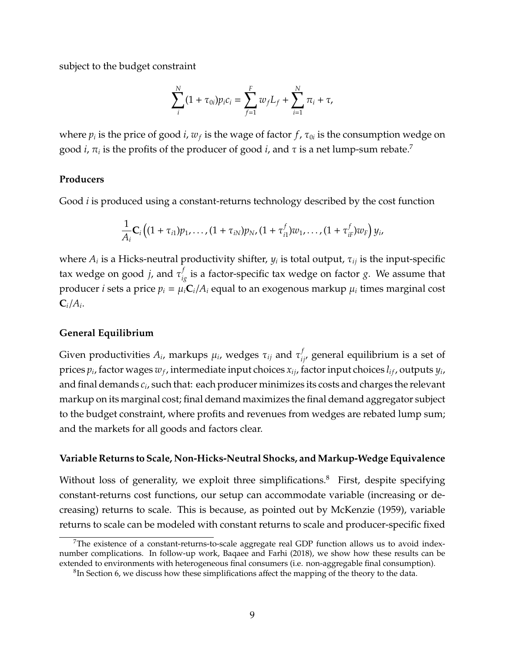subject to the budget constraint

$$
\sum_{i}^{N} (1 + \tau_{0i}) p_i c_i = \sum_{f=1}^{F} w_f L_f + \sum_{i=1}^{N} \pi_i + \tau,
$$

where  $p_i$  is the price of good  $i$ ,  $w_f$  is the wage of factor  $f$ ,  $\tau_{0i}$  is the consumption wedge on good *i*, π*<sup>i</sup>* is the profits of the producer of good *i*, and τ is a net lump-sum rebate.[7](#page-0-0)

### **Producers**

Good *i* is produced using a constant-returns technology described by the cost function

$$
\frac{1}{A_i}\mathbf{C}_i\big((1+\tau_{i1})p_1,\ldots,(1+\tau_{iN})p_N,(1+\tau_{i1}^f)w_1,\ldots,(1+\tau_{iF}^f)w_F\big)y_i,
$$

where *A<sup>i</sup>* is a Hicks-neutral productivity shifter, *y<sup>i</sup>* is total output, τ*ij* is the input-specific tax wedge on good *j,* and  $\tau_{ig}^f$  is a factor-specific tax wedge on factor  $g$ . We assume that producer *i* sets a price  $p_i = \mu_i \mathbf{C}_i / A_i$  equal to an exogenous markup  $\mu_i$  times marginal cost  $\mathbf{C}_i/A_i$ .

### **General Equilibrium**

Given productivities  $A_i$ , markups  $\mu_i$ , wedges  $\tau_{ij}$  and  $\tau_{ij'}^f$  general equilibrium is a set of prices  $p_i$ , factor wages  $w_f$ , intermediate input choices  $x_{ij}$ , factor input choices  $l_{if}$ , outputs  $y_i$ , and final demands *c<sup>i</sup>* , such that: each producer minimizes its costs and charges the relevant markup on its marginal cost; final demand maximizes the final demand aggregator subject to the budget constraint, where profits and revenues from wedges are rebated lump sum; and the markets for all goods and factors clear.

### **Variable Returns to Scale, Non-Hicks-Neutral Shocks, andMarkup-Wedge Equivalence**

Without loss of generality, we exploit three simplifications.<sup>[8](#page-0-0)</sup> First, despite specifying constant-returns cost functions, our setup can accommodate variable (increasing or decreasing) returns to scale. This is because, as pointed out by [McKenzie](#page-51-9) [\(1959\)](#page-51-9), variable returns to scale can be modeled with constant returns to scale and producer-specific fixed

 $7$ The existence of a constant-returns-to-scale aggregate real GDP function allows us to avoid indexnumber complications. In follow-up work, [Baqaee and Farhi](#page-48-7) [\(2018\)](#page-48-7), we show how these results can be extended to environments with heterogeneous final consumers (i.e. non-aggregable final consumption).

 ${}^{8}$ In Section [6,](#page-35-0) we discuss how these simplifications affect the mapping of the theory to the data.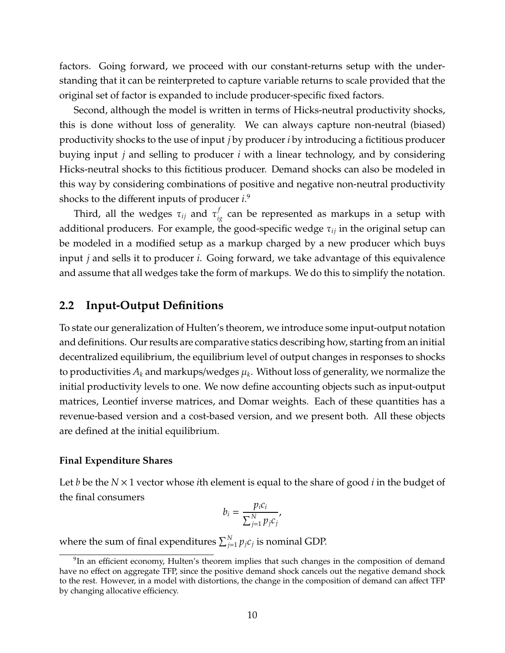factors. Going forward, we proceed with our constant-returns setup with the understanding that it can be reinterpreted to capture variable returns to scale provided that the original set of factor is expanded to include producer-specific fixed factors.

Second, although the model is written in terms of Hicks-neutral productivity shocks, this is done without loss of generality. We can always capture non-neutral (biased) productivity shocks to the use of input *j* by producer *i* by introducing a fictitious producer buying input *j* and selling to producer *i* with a linear technology, and by considering Hicks-neutral shocks to this fictitious producer. Demand shocks can also be modeled in this way by considering combinations of positive and negative non-neutral productivity shocks to the different inputs of producer *i*. [9](#page-0-0)

Third, all the wedges  $\tau_{ij}$  and  $\tau_{ig}^f$  can be represented as markups in a setup with additional producers. For example, the good-specific wedge  $\tau_{ij}$  in the original setup can be modeled in a modified setup as a markup charged by a new producer which buys input *j* and sells it to producer *i*. Going forward, we take advantage of this equivalence and assume that all wedges take the form of markups. We do this to simplify the notation.

## **2.2 Input-Output Definitions**

To state our generalization of Hulten's theorem, we introduce some input-output notation and definitions. Our results are comparative statics describing how, starting from an initial decentralized equilibrium, the equilibrium level of output changes in responses to shocks to productivities *A<sup>k</sup>* and markups/wedges µ*<sup>k</sup>* . Without loss of generality, we normalize the initial productivity levels to one. We now define accounting objects such as input-output matrices, Leontief inverse matrices, and Domar weights. Each of these quantities has a revenue-based version and a cost-based version, and we present both. All these objects are defined at the initial equilibrium.

### **Final Expenditure Shares**

Let *b* be the *N* × 1 vector whose *i*th element is equal to the share of good *i* in the budget of the final consumers

$$
b_i = \frac{p_i c_i}{\sum_{j=1}^N p_j c_j},
$$

where the sum of final expenditures  $\sum_{j=1}^{N} p_j c_j$  is nominal GDP.

 $9$ In an efficient economy, Hulten's theorem implies that such changes in the composition of demand have no effect on aggregate TFP, since the positive demand shock cancels out the negative demand shock to the rest. However, in a model with distortions, the change in the composition of demand can affect TFP by changing allocative efficiency.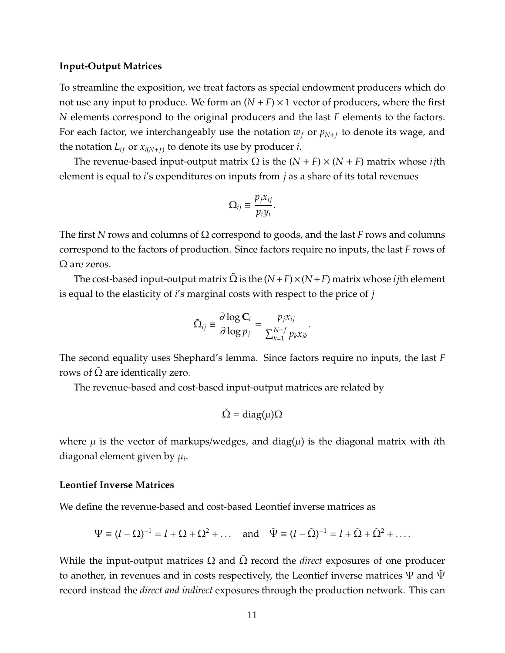### **Input-Output Matrices**

To streamline the exposition, we treat factors as special endowment producers which do not use any input to produce. We form an  $(N + F) \times 1$  vector of producers, where the first *N* elements correspond to the original producers and the last *F* elements to the factors. For each factor, we interchangeably use the notation  $w_f$  or  $p_{N+f}$  to denote its wage, and the notation  $L_{if}$  or  $x_{i(N+f)}$  to denote its use by producer *i*.

The revenue-based input-output matrix  $\Omega$  is the  $(N + F) \times (N + F)$  matrix whose *i*jth element is equal to *i*'s expenditures on inputs from *j* as a share of its total revenues

$$
\Omega_{ij} \equiv \frac{p_j x_{ij}}{p_i y_i}.
$$

The first *N* rows and columns of Ω correspond to goods, and the last *F* rows and columns correspond to the factors of production. Since factors require no inputs, the last *F* rows of Ω are zeros.

The cost-based input-output matrix  $\Omega$  is the  $(N+F) \times (N+F)$  matrix whose *i* jth element is equal to the elasticity of *i*'s marginal costs with respect to the price of *j*

$$
\tilde{\Omega}_{ij} \equiv \frac{\partial \log \mathbf{C}_i}{\partial \log p_j} = \frac{p_j x_{ij}}{\sum_{k=1}^{N+f} p_k x_{ik}}.
$$

The second equality uses Shephard's lemma. Since factors require no inputs, the last *F* rows of  $\tilde{\Omega}$  are identically zero.

The revenue-based and cost-based input-output matrices are related by

$$
\tilde{\Omega} = \text{diag}(\mu)\Omega
$$

where  $\mu$  is the vector of markups/wedges, and diag( $\mu$ ) is the diagonal matrix with *i*th diagonal element given by µ*<sup>i</sup>* .

### **Leontief Inverse Matrices**

We define the revenue-based and cost-based Leontief inverse matrices as

$$
\Psi \equiv (I - \Omega)^{-1} = I + \Omega + \Omega^2 + \dots \quad \text{and} \quad \tilde{\Psi} \equiv (I - \tilde{\Omega})^{-1} = I + \tilde{\Omega} + \tilde{\Omega}^2 + \dots
$$

While the input-output matrices  $\Omega$  and  $\Omega$  record the *direct* exposures of one producer to another, in revenues and in costs respectively, the Leontief inverse matrices  $\Psi$  and  $\Psi$ record instead the *direct and indirect* exposures through the production network. This can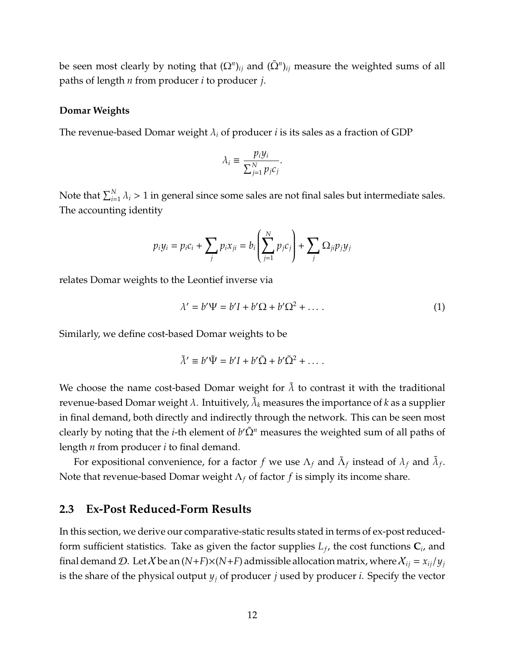be seen most clearly by noting that  $(\Omega^n)_{ij}$  and  $(\tilde{\Omega}^n)_{ij}$  measure the weighted sums of all paths of length *n* from producer *i* to producer *j*.

#### **Domar Weights**

The revenue-based Domar weight  $\lambda_i$  of producer *i* is its sales as a fraction of GDP

$$
\lambda_i \equiv \frac{p_i y_i}{\sum_{j=1}^N p_j c_j}.
$$

Note that  $\sum_{i=1}^N\lambda_i>1$  in general since some sales are not final sales but intermediate sales. The accounting identity

$$
p_i y_i = p_i c_i + \sum_j p_i x_{ji} = b_i \left( \sum_{j=1}^N p_j c_j \right) + \sum_j \Omega_{ji} p_j y_j
$$

relates Domar weights to the Leontief inverse via

$$
\lambda' = b'\Psi = b'I + b'\Omega + b'\Omega^2 + \dots \tag{1}
$$

Similarly, we define cost-based Domar weights to be

$$
\tilde{\lambda}' \equiv b'\tilde{\Psi} = b'I + b'\tilde{\Omega} + b'\tilde{\Omega}^2 + \dots.
$$

We choose the name cost-based Domar weight for  $\lambda$  to contrast it with the traditional revenue-based Domar weight  $\lambda$ . Intuitively,  $\tilde{\lambda}_k$  measures the importance of  $k$  as a supplier in final demand, both directly and indirectly through the network. This can be seen most clearly by noting that the *i*-th element of  $b'$ Ω̃" measures the weighted sum of all paths of length *n* from producer *i* to final demand.

For expositional convenience, for a factor  $f$  we use  $\Lambda_f$  and  $\tilde{\Lambda}_f$  instead of  $\lambda_f$  and  $\tilde{\lambda}_f$ . Note that revenue-based Domar weight Λ*<sup>f</sup>* of factor *f* is simply its income share.

### **2.3 Ex-Post Reduced-Form Results**

In this section, we derive our comparative-static results stated in terms of ex-post reducedform sufficient statistics. Take as given the factor supplies  $L_f$ , the cost functions  $\mathbf{C}_i$ , and final demand D. Let X be an  $(N+F) \times (N+F)$  admissible allocation matrix, where  $X_{ij} = x_{ij}/y_j$ is the share of the physical output *y<sup>j</sup>* of producer *j* used by producer *i*. Specify the vector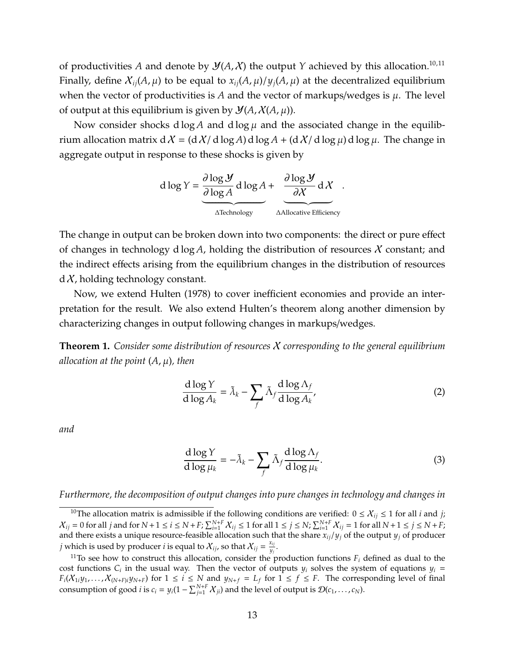of productivities A and denote by  $\mathcal{Y}(A, \mathcal{X})$  the output Y achieved by this allocation.<sup>[10](#page-0-0),[11](#page-0-0)</sup> Finally, define  $X_{ij}(A,\mu)$  to be equal to  $x_{ij}(A,\mu)/y_j(A,\mu)$  at the decentralized equilibrium when the vector of productivities is  $A$  and the vector of markups/wedges is  $\mu$ . The level of output at this equilibrium is given by  $\mathcal{Y}(A, \mathcal{X}(A, \mu)).$ 

Now consider shocks d log A and d log  $\mu$  and the associated change in the equilibrium allocation matrix  $dX = (dX/d \log A) d \log A + (dX/d \log \mu) d \log \mu$ . The change in aggregate output in response to these shocks is given by

d log Y = 
$$
\frac{\partial \log \mathcal{Y}}{\partial \log A}
$$
d log A +  $\frac{\partial \log \mathcal{Y}}{\partial X}$ d X.  
\n $\Delta$ 

The change in output can be broken down into two components: the direct or pure effect of changes in technology d  $log A$ , holding the distribution of resources X constant; and the indirect effects arising from the equilibrium changes in the distribution of resources  $dX$ , holding technology constant.

Now, we extend [Hulten](#page-50-0) [\(1978\)](#page-50-0) to cover inefficient economies and provide an interpretation for the result. We also extend Hulten's theorem along another dimension by characterizing changes in output following changes in markups/wedges.

<span id="page-12-0"></span>**Theorem 1.** *Consider some distribution of resources* X *corresponding to the general equilibrium allocation at the point* (*A*, µ)*, then*

$$
\frac{d \log Y}{d \log A_k} = \tilde{\lambda}_k - \sum_{f} \tilde{\Lambda}_f \frac{d \log \Lambda_f}{d \log A_k},
$$
\n(2)

*and*

$$
\frac{d \log Y}{d \log \mu_k} = -\tilde{\lambda}_k - \sum_{f} \tilde{\Lambda}_f \frac{d \log \Lambda_f}{d \log \mu_k}.
$$
\n(3)

*Furthermore, the decomposition of output changes into pure changes in technology and changes in*

<sup>&</sup>lt;sup>10</sup>The allocation matrix is admissible if the following conditions are verified:  $0 \leq X_{ij} \leq 1$  for all *i* and *j*;  $\mathcal{X}_{ij} = 0$  for all j and for  $N+1 \le i \le N+F$ ;  $\sum_{i=1}^{N+F} \mathcal{X}_{ij} \le 1$  for all  $1 \le j \le N$ ;  $\sum_{i=1}^{N+F} \mathcal{X}_{ij} = 1$  for all  $N+1 \le j \le N+F$ ; and there exists a unique resource-feasible allocation such that the share  $x_{ij}/y_j$  of the output  $y_j$  of producer *j* which is used by producer *i* is equal to  $X_{ij}$ , so that  $X_{ij} = \frac{x_{ij}}{y_{ij}}$  $\frac{y_j}{y_j}$ .

<sup>&</sup>lt;sup>11</sup>To see how to construct this allocation, consider the production functions  $F_i$  defined as dual to the cost functions  $C_i$  in the usual way. Then the vector of outputs  $y_i$  solves the system of equations  $y_i$  =  $F_i(X_{1i}y_1,\ldots,X_{(N+F)i}y_{N+F})$  for  $1\leq i\leq N$  and  $y_{N+f}=L_f$  for  $1\leq f\leq F$ . The corresponding level of final consumption of good *i* is  $c_i = y_i(1 - \sum_{j=1}^{N+F} X_{ji})$  and the level of output is  $\mathcal{D}(c_1, \ldots, c_N)$ .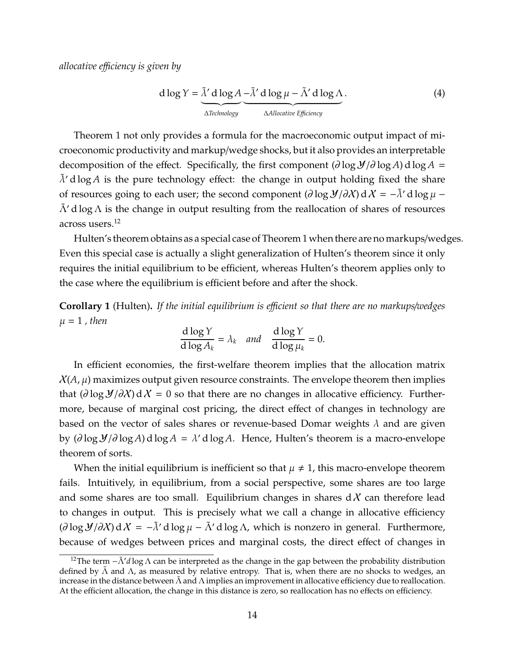*allocative e*ffi*ciency is given by*

d log Y = 
$$
\underbrace{\tilde{\lambda}' \text{d log } A}_{\Delta \text{Technology}} - \underbrace{\tilde{\lambda}' \text{d log } \mu - \tilde{\Lambda}' \text{d log } \Lambda}_{\Delta \text{Allocative Efficiency}}
$$
 (4)

Theorem [1](#page-12-0) not only provides a formula for the macroeconomic output impact of microeconomic productivity and markup/wedge shocks, but it also provides an interpretable decomposition of the effect. Specifically, the first component  $(\partial \log \mathcal{Y}/\partial \log A)$  d log  $A =$  $\lambda'$  d log  $A$  is the pure technology effect: the change in output holding fixed the share of resources going to each user; the second component  $(\partial \log \mathcal{Y}/\partial \mathcal{X}) d\mathcal{X} = -\lambda' d \log \mu$  –  $\tilde{\Lambda}'$  d log  $\Lambda$  is the change in output resulting from the reallocation of shares of resources across users.[12](#page-0-0)

Hulten's theorem obtains as a special case of Theorem [1](#page-12-0) when there are no markups/wedges. Even this special case is actually a slight generalization of Hulten's theorem since it only requires the initial equilibrium to be efficient, whereas Hulten's theorem applies only to the case where the equilibrium is efficient before and after the shock.

**Corollary 1** [\(Hulten\)](#page-50-0)**.** *If the initial equilibrium is e*ffi*cient so that there are no markups*/*wedges*  $\mu = 1$ , then

<span id="page-13-0"></span>
$$
\frac{d \log Y}{d \log A_k} = \lambda_k \quad \text{and} \quad \frac{d \log Y}{d \log \mu_k} = 0.
$$

In efficient economies, the first-welfare theorem implies that the allocation matrix  $X(A, \mu)$  maximizes output given resource constraints. The envelope theorem then implies that  $(\partial \log \mathcal{Y}/\partial X) dX = 0$  so that there are no changes in allocative efficiency. Furthermore, because of marginal cost pricing, the direct effect of changes in technology are based on the vector of sales shares or revenue-based Domar weights  $\lambda$  and are given by (∂ log Y/∂ log *A*) d log *A* = λ <sup>0</sup> d log *A*. Hence, Hulten's theorem is a macro-envelope theorem of sorts.

When the initial equilibrium is inefficient so that  $\mu \neq 1$ , this macro-envelope theorem fails. Intuitively, in equilibrium, from a social perspective, some shares are too large and some shares are too small. Equilibrium changes in shares  $dX$  can therefore lead to changes in output. This is precisely what we call a change in allocative efficiency  $(\partial \log \mathcal{Y}/\partial X) dX = -\lambda' d \log \mu - \Lambda' d \log \Lambda$ , which is nonzero in general. Furthermore, because of wedges between prices and marginal costs, the direct effect of changes in

<sup>&</sup>lt;sup>12</sup>The term  $-\tilde{\Lambda}'d \log \Lambda$  can be interpreted as the change in the gap between the probability distribution defined by  $\tilde{\Lambda}$  and  $\Lambda$ , as measured by relative entropy. That is, when there are no shocks to wedges, an increase in the distance between  $\tilde{\Lambda}$  and  $\Lambda$  implies an improvement in allocative efficiency due to reallocation. At the efficient allocation, the change in this distance is zero, so reallocation has no effects on efficiency.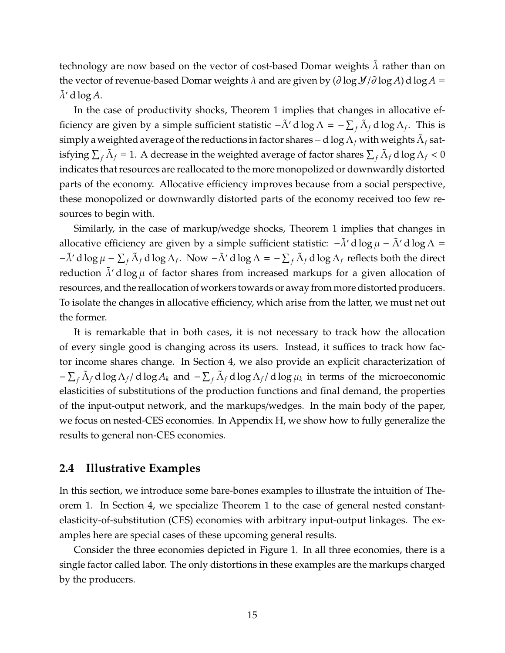technology are now based on the vector of cost-based Domar weights  $\lambda$  rather than on the vector of revenue-based Domar weights  $\lambda$  and are given by  $(\partial \log \mathcal{Y}/\partial \log A)$  d log  $A =$  $\lambda'$  d  $\log A$ .

In the case of productivity shocks, Theorem [1](#page-12-0) implies that changes in allocative efficiency are given by a simple sufficient statistic  $-\tilde{\Lambda}'$  d log  $\Lambda = -\sum_{f} \tilde{\Lambda}_f$  d log  $\Lambda_f$ . This is simply a weighted average of the reductions in factor shares – d  $\log\Lambda_f$  with weights  $\tilde{\Lambda}_f$  satisfying  $\sum_f \tilde\Lambda_f=1.$  A decrease in the weighted average of factor shares  $\sum_f \tilde\Lambda_f$  d log  $\Lambda_f< 0$ indicates that resources are reallocated to the more monopolized or downwardly distorted parts of the economy. Allocative efficiency improves because from a social perspective, these monopolized or downwardly distorted parts of the economy received too few resources to begin with.

Similarly, in the case of markup/wedge shocks, Theorem [1](#page-12-0) implies that changes in allocative efficiency are given by a simple sufficient statistic:  $-\tilde{\lambda}'$  d log  $\mu - \tilde{\Lambda}'$  d log  $\Lambda =$  $-\tilde{\lambda}'$  d log  $\mu - \sum_f \tilde{\Lambda}_f$  d log  $\Lambda_f$ . Now  $-\tilde{\Lambda}'$  d log  $\Lambda = -\sum_f \tilde{\Lambda}_f$  d log  $\Lambda_f$  reflects both the direct reduction  $\tilde{\lambda}'$  d log  $\mu$  of factor shares from increased markups for a given allocation of resources, and the reallocation of workers towards or away from more distorted producers. To isolate the changes in allocative efficiency, which arise from the latter, we must net out the former.

It is remarkable that in both cases, it is not necessary to track how the allocation of every single good is changing across its users. Instead, it suffices to track how factor income shares change. In Section [4,](#page-24-0) we also provide an explicit characterization of  $-\sum_f \tilde{\Lambda}_f d \log \Lambda_f / d \log A_k$  and  $-\sum_f \tilde{\Lambda}_f d \log \Lambda_f / d \log \mu_k$  in terms of the microeconomic elasticities of substitutions of the production functions and final demand, the properties of the input-output network, and the markups/wedges. In the main body of the paper, we focus on nested-CES economies. In Appendix [H,](#page-73-0) we show how to fully generalize the results to general non-CES economies.

## <span id="page-14-0"></span>**2.4 Illustrative Examples**

In this section, we introduce some bare-bones examples to illustrate the intuition of Theorem [1.](#page-12-0) In Section [4,](#page-24-0) we specialize Theorem [1](#page-12-0) to the case of general nested constantelasticity-of-substitution (CES) economies with arbitrary input-output linkages. The examples here are special cases of these upcoming general results.

Consider the three economies depicted in Figure [1.](#page-15-0) In all three economies, there is a single factor called labor. The only distortions in these examples are the markups charged by the producers.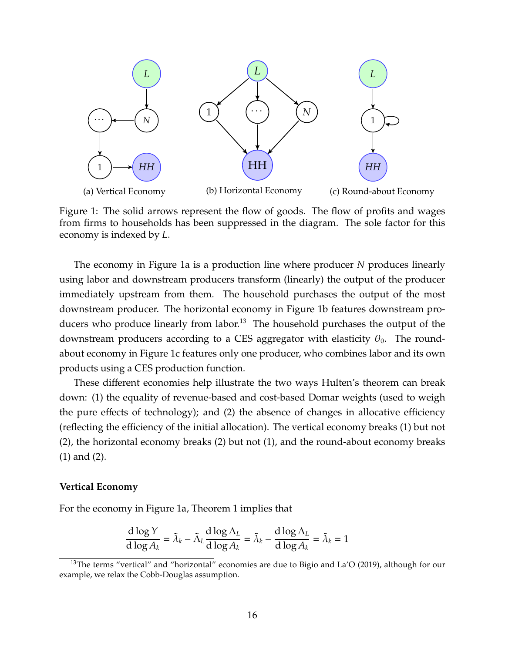<span id="page-15-0"></span>

Figure 1: The solid arrows represent the flow of goods. The flow of profits and wages from firms to households has been suppressed in the diagram. The sole factor for this economy is indexed by *L*.

The economy in Figure [1a](#page-15-0) is a production line where producer *N* produces linearly using labor and downstream producers transform (linearly) the output of the producer immediately upstream from them. The household purchases the output of the most downstream producer. The horizontal economy in Figure [1b](#page-15-0) features downstream pro-ducers who produce linearly from labor.<sup>[13](#page-0-0)</sup> The household purchases the output of the downstream producers according to a CES aggregator with elasticity  $\theta_0$ . The roundabout economy in Figure [1c](#page-15-0) features only one producer, who combines labor and its own products using a CES production function.

These different economies help illustrate the two ways Hulten's theorem can break down: (1) the equality of revenue-based and cost-based Domar weights (used to weigh the pure effects of technology); and (2) the absence of changes in allocative efficiency (reflecting the efficiency of the initial allocation). The vertical economy breaks (1) but not (2), the horizontal economy breaks (2) but not (1), and the round-about economy breaks (1) and (2).

#### **Vertical Economy**

For the economy in Figure [1a,](#page-15-0) Theorem [1](#page-12-0) implies that

$$
\frac{d \log Y}{d \log A_k} = \tilde{\lambda}_k - \tilde{\Lambda}_L \frac{d \log \Lambda_L}{d \log A_k} = \tilde{\lambda}_k - \frac{d \log \Lambda_L}{d \log A_k} = \tilde{\lambda}_k = 1
$$

<sup>&</sup>lt;sup>13</sup>The terms "vertical" and "horizontal" economies are due to Bigio and La<sup>'</sup>O [\(2019\)](#page-49-4), although for our example, we relax the Cobb-Douglas assumption.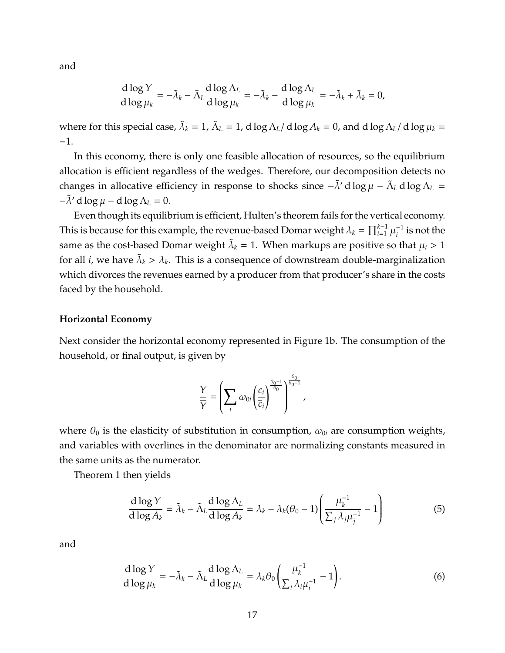and

$$
\frac{d \log Y}{d \log \mu_k} = -\tilde{\lambda}_k - \tilde{\Lambda}_L \frac{d \log \Lambda_L}{d \log \mu_k} = -\tilde{\lambda}_k - \frac{d \log \Lambda_L}{d \log \mu_k} = -\tilde{\lambda}_k + \tilde{\lambda}_k = 0,
$$

where for this special case,  $\tilde{\lambda}_k = 1$ ,  $\tilde{\Lambda}_L = 1$ , d log  $\Lambda_L$ / d log  $A_k = 0$ , and d log  $\Lambda_L$ / d log  $\mu_k = 1$ −1.

In this economy, there is only one feasible allocation of resources, so the equilibrium allocation is efficient regardless of the wedges. Therefore, our decomposition detects no changes in allocative efficiency in response to shocks since  $-λ'$  d log  $μ - λ_L$  d log  $Λ_L$  =  $-\tilde{\lambda}'$  d log  $\mu$  – d log  $\Lambda_L$  = 0.

Even though its equilibrium is efficient, Hulten's theorem fails for the vertical economy. This is because for this example, the revenue-based Domar weight  $\lambda_k = \prod_{i=1}^{k-1} \mu_i^{-1}$  $i<sup>-1</sup>$  is not the same as the cost-based Domar weight  $\tilde{\lambda}_k = 1$ . When markups are positive so that  $\mu_i > 1$ for all *i*, we have  $\tilde{\lambda}_k > \lambda_k$ . This is a consequence of downstream double-marginalization which divorces the revenues earned by a producer from that producer's share in the costs faced by the household.

### **Horizontal Economy**

Next consider the horizontal economy represented in Figure [1b.](#page-15-0) The consumption of the household, or final output, is given by

$$
\frac{Y}{Y} = \left(\sum_{i} \omega_{0i} \left(\frac{c_i}{\overline{c}_i}\right)^{\frac{\theta_0 - 1}{\theta_0}}\right)^{\frac{\theta_0}{\theta_0 - 1}},
$$

where  $\theta_0$  is the elasticity of substitution in consumption,  $\omega_{0i}$  are consumption weights, and variables with overlines in the denominator are normalizing constants measured in the same units as the numerator.

Theorem [1](#page-12-0) then yields

$$
\frac{d \log Y}{d \log A_k} = \tilde{\lambda}_k - \tilde{\Lambda}_L \frac{d \log \Lambda_L}{d \log A_k} = \lambda_k - \lambda_k (\theta_0 - 1) \left( \frac{\mu_k^{-1}}{\sum_j \lambda_j \mu_j^{-1}} - 1 \right)
$$
(5)

and

$$
\frac{\mathrm{d}\log Y}{\mathrm{d}\log\mu_k} = -\tilde{\lambda}_k - \tilde{\Lambda}_L \frac{\mathrm{d}\log\Lambda_L}{\mathrm{d}\log\mu_k} = \lambda_k \theta_0 \left(\frac{\mu_k^{-1}}{\sum_i \lambda_i \mu_i^{-1}} - 1\right). \tag{6}
$$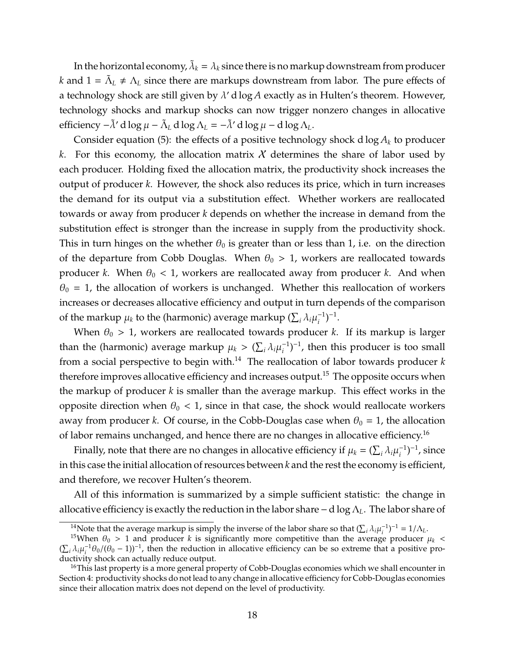In the horizontal economy,  $\tilde{\lambda}_k = \lambda_k$  since there is no markup downstream from producer *k* and  $1 = \tilde{\Lambda}_L \neq \Lambda_L$  since there are markups downstream from labor. The pure effects of a technology shock are still given by  $\lambda'$  d log A exactly as in Hulten's theorem. However, technology shocks and markup shocks can now trigger nonzero changes in allocative efficiency  $-\tilde{\lambda}'$  d log  $\mu - \tilde{\Lambda}_L$  d log  $\Lambda_L = -\tilde{\lambda}'$  d log  $\mu -$  d log  $\Lambda_L$ .

Consider equation [\(5\)](#page-13-0): the effects of a positive technology shock d  $\log A_k$  to producer *k*. For this economy, the allocation matrix  $X$  determines the share of labor used by each producer. Holding fixed the allocation matrix, the productivity shock increases the output of producer *k*. However, the shock also reduces its price, which in turn increases the demand for its output via a substitution effect. Whether workers are reallocated towards or away from producer *k* depends on whether the increase in demand from the substitution effect is stronger than the increase in supply from the productivity shock. This in turn hinges on the whether  $\theta_0$  is greater than or less than 1, i.e. on the direction of the departure from Cobb Douglas. When  $\theta_0 > 1$ , workers are reallocated towards producer *k*. When  $\theta_0 < 1$ , workers are reallocated away from producer *k*. And when  $\theta_0 = 1$ , the allocation of workers is unchanged. Whether this reallocation of workers increases or decreases allocative efficiency and output in turn depends of the comparison of the markup  $\mu_k$  to the (harmonic) average markup ( $\sum_i \lambda_i \mu_i^{-1}$  $i^{-1}$ )<sup>-1</sup>.

When  $\theta_0 > 1$ , workers are reallocated towards producer *k*. If its markup is larger than the (harmonic) average markup  $\mu_k > (\sum_i \lambda_i \mu_i^{-1})$  $\binom{-1}{i}$ , then this producer is too small from a social perspective to begin with.[14](#page-0-0) The reallocation of labor towards producer *k* therefore improves allocative efficiency and increases output.<sup>[15](#page-0-0)</sup> The opposite occurs when the markup of producer *k* is smaller than the average markup. This effect works in the opposite direction when  $\theta_0 < 1$ , since in that case, the shock would reallocate workers away from producer *k*. Of course, in the Cobb-Douglas case when  $\theta_0 = 1$ , the allocation of labor remains unchanged, and hence there are no changes in allocative efficiency.<sup>[16](#page-0-0)</sup>

Finally, note that there are no changes in allocative efficiency if  $\mu_k = (\sum_i \lambda_i \mu_i^{-1})$  $j_i^{-1})^{-1}$ , since in this case the initial allocation of resources between *k* and the rest the economy is efficient, and therefore, we recover Hulten's theorem.

All of this information is summarized by a simple sufficient statistic: the change in allocative efficiency is exactly the reduction in the labor share −d log Λ*L*. The labor share of

<sup>&</sup>lt;sup>14</sup>Note that the average markup is simply the inverse of the labor share so that  $(\sum_i \lambda_i \mu_i^{-1})^{-1} = 1/\Lambda_L$ .

<sup>&</sup>lt;sup>15</sup>When  $\theta_0 > 1$  and producer *k* is significantly more competitive than the average producer  $\mu_k$  <  $(\sum_i \lambda_i \mu_i^{-1} \theta_0/(\theta_0 - 1))^{-1}$ , then the reduction in allocative efficiency can be so extreme that a positive productivity shock can actually reduce output.

<sup>&</sup>lt;sup>16</sup>This last property is a more general property of Cobb-Douglas economies which we shall encounter in Section [4:](#page-24-0) productivity shocks do not lead to any change in allocative efficiency for Cobb-Douglas economies since their allocation matrix does not depend on the level of productivity.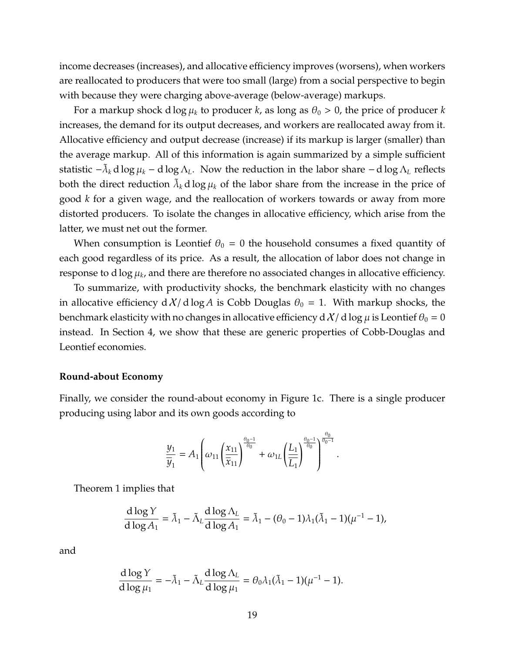income decreases (increases), and allocative efficiency improves (worsens), when workers are reallocated to producers that were too small (large) from a social perspective to begin with because they were charging above-average (below-average) markups.

For a markup shock d log  $\mu_k$  to producer *k*, as long as  $\theta_0 > 0$ , the price of producer *k* increases, the demand for its output decreases, and workers are reallocated away from it. Allocative efficiency and output decrease (increase) if its markup is larger (smaller) than the average markup. All of this information is again summarized by a simple sufficient statistic −λ˜ *<sup>k</sup>* d log µ*<sup>k</sup>* − d log Λ*L*. Now the reduction in the labor share −d log Λ*<sup>L</sup>* reflects both the direct reduction  $\tilde{\lambda}_k$  d log  $\mu_k$  of the labor share from the increase in the price of good *k* for a given wage, and the reallocation of workers towards or away from more distorted producers. To isolate the changes in allocative efficiency, which arise from the latter, we must net out the former.

When consumption is Leontief  $\theta_0 = 0$  the household consumes a fixed quantity of each good regardless of its price. As a result, the allocation of labor does not change in response to  ${\rm d}\log\mu_{k}$ , and there are therefore no associated changes in allocative efficiency.

To summarize, with productivity shocks, the benchmark elasticity with no changes in allocative efficiency  $d X/d \log A$  is Cobb Douglas  $\theta_0 = 1$ . With markup shocks, the benchmark elasticity with no changes in allocative efficiency d  $\chi$  d log  $\mu$  is Leontief  $\theta_0 = 0$ instead. In Section [4,](#page-24-0) we show that these are generic properties of Cobb-Douglas and Leontief economies.

### **Round-about Economy**

Finally, we consider the round-about economy in Figure [1c.](#page-15-0) There is a single producer producing using labor and its own goods according to

$$
\frac{y_1}{\overline{y}_1} = A_1 \left( \omega_{11} \left( \frac{x_{11}}{\overline{x}_{11}} \right)^{\frac{\theta_0 - 1}{\theta_0}} + \omega_{1L} \left( \frac{L_1}{\overline{L}_1} \right)^{\frac{\theta_0 - 1}{\theta_0}} \right)^{\frac{\theta_0}{\theta_0 - 1}}.
$$

Theorem [1](#page-12-0) implies that

$$
\frac{d \log Y}{d \log A_1} = \tilde{\lambda}_1 - \tilde{\Lambda}_L \frac{d \log \Lambda_L}{d \log A_1} = \tilde{\lambda}_1 - (\theta_0 - 1)\lambda_1(\tilde{\lambda}_1 - 1)(\mu^{-1} - 1),
$$

and

$$
\frac{d \log Y}{d \log \mu_1} = -\tilde{\lambda}_1 - \tilde{\Lambda}_L \frac{d \log \Lambda_L}{d \log \mu_1} = \theta_0 \lambda_1 (\tilde{\lambda}_1 - 1)(\mu^{-1} - 1).
$$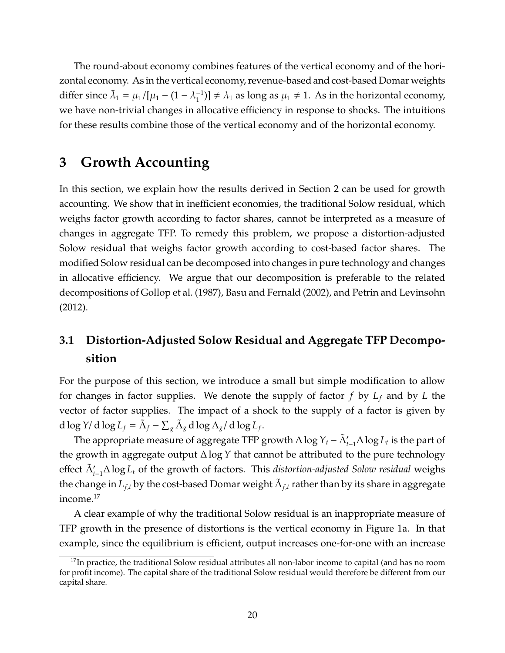The round-about economy combines features of the vertical economy and of the horizontal economy. As in the vertical economy, revenue-based and cost-based Domar weights differ since  $\tilde{\lambda}_1 = \mu_1 / [\mu_1 - (1 - \lambda_1^{-1})]$  $\left[\begin{smallmatrix} -1 \\ 1 \end{smallmatrix}\right]$   $\neq \lambda_1$  as long as  $\mu_1 \neq 1$ . As in the horizontal economy, we have non-trivial changes in allocative efficiency in response to shocks. The intuitions for these results combine those of the vertical economy and of the horizontal economy.

## <span id="page-19-0"></span>**3 Growth Accounting**

In this section, we explain how the results derived in Section [2](#page-7-0) can be used for growth accounting. We show that in inefficient economies, the traditional Solow residual, which weighs factor growth according to factor shares, cannot be interpreted as a measure of changes in aggregate TFP. To remedy this problem, we propose a distortion-adjusted Solow residual that weighs factor growth according to cost-based factor shares. The modified Solow residual can be decomposed into changes in pure technology and changes in allocative efficiency. We argue that our decomposition is preferable to the related decompositions of [Gollop et al.](#page-50-3) [\(1987\)](#page-50-3), [Basu and Fernald](#page-49-1) [\(2002\)](#page-49-1), and [Petrin and Levinsohn](#page-51-1) [\(2012\)](#page-51-1).

## **3.1 Distortion-Adjusted Solow Residual and Aggregate TFP Decomposition**

For the purpose of this section, we introduce a small but simple modification to allow for changes in factor supplies. We denote the supply of factor *f* by *L<sup>f</sup>* and by *L* the vector of factor supplies. The impact of a shock to the supply of a factor is given by d log *Y*/ d log  $L_f = \tilde{\Lambda}_f - \sum_g \tilde{\Lambda}_g$  d log  $\Lambda_g$ / d log  $L_f$ .

The appropriate measure of aggregate TFP growth  $\Delta \log Y_t - \tilde{\Lambda}'_{t-1} \Delta \log L_t$  is the part of the growth in aggregate output ∆log*Y* that cannot be attributed to the pure technology effect Λ˜ <sup>0</sup> *<sup>t</sup>*−1∆log *L<sup>t</sup>* of the growth of factors. This *distortion-adjusted Solow residual* weighs the change in  $L_{f,t}$  by the cost-based Domar weight  $\tilde{\Lambda}_{f,t}$  rather than by its share in aggregate income.[17](#page-0-0)

A clear example of why the traditional Solow residual is an inappropriate measure of TFP growth in the presence of distortions is the vertical economy in Figure [1a.](#page-15-0) In that example, since the equilibrium is efficient, output increases one-for-one with an increase

 $17$ In practice, the traditional Solow residual attributes all non-labor income to capital (and has no room for profit income). The capital share of the traditional Solow residual would therefore be different from our capital share.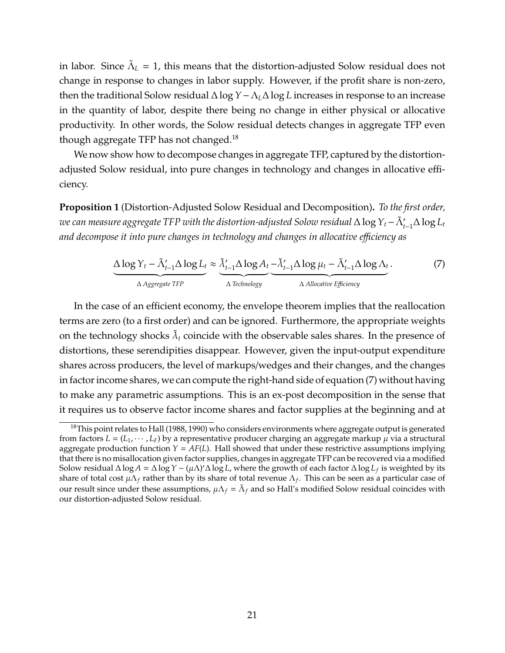in labor. Since  $\tilde{\Lambda}_L$  = 1, this means that the distortion-adjusted Solow residual does not change in response to changes in labor supply. However, if the profit share is non-zero, then the traditional Solow residual ∆log*Y*−Λ*L*∆log *L* increases in response to an increase in the quantity of labor, despite there being no change in either physical or allocative productivity. In other words, the Solow residual detects changes in aggregate TFP even though aggregate TFP has not changed.<sup>[18](#page-0-0)</sup>

We now show how to decompose changes in aggregate TFP, captured by the distortionadjusted Solow residual, into pure changes in technology and changes in allocative efficiency.

**Proposition 1** (Distortion-Adjusted Solow Residual and Decomposition)**.** *To the first order,*  $\alpha$  *we can measure aggregate TFP with the distortion-adjusted Solow residual*  $\Delta \log Y_t - \tilde{\Lambda}'_{t-1}\Delta \log L_t$ *and decompose it into pure changes in technology and changes in allocative e*ffi*ciency as*

<span id="page-20-0"></span>
$$
\underbrace{\Delta \log Y_t - \tilde{\Lambda}'_{t-1} \Delta \log L_t}_{\Delta \text{ Aggregate TFP}} \approx \underbrace{\tilde{\Lambda}'_{t-1} \Delta \log A_t}_{\Delta \text{ Technology}} - \underbrace{\tilde{\Lambda}'_{t-1} \Delta \log \mu_t - \tilde{\Lambda}'_{t-1} \Delta \log \Lambda_t}_{\Delta \text{ Allocation.}}. \tag{7}
$$

In the case of an efficient economy, the envelope theorem implies that the reallocation terms are zero (to a first order) and can be ignored. Furthermore, the appropriate weights on the technology shocks  $\tilde{\lambda}_t$  coincide with the observable sales shares. In the presence of distortions, these serendipities disappear. However, given the input-output expenditure shares across producers, the level of markups/wedges and their changes, and the changes in factor income shares, we can compute the right-hand side of equation [\(7\)](#page-20-0) without having to make any parametric assumptions. This is an ex-post decomposition in the sense that it requires us to observe factor income shares and factor supplies at the beginning and at

<sup>&</sup>lt;sup>18</sup>This point relates to [Hall](#page-50-2) [\(1988,](#page-50-2) [1990\)](#page-50-5) who considers environments where aggregate output is generated from factors  $L = (L_1, \dots, L_F)$  by a representative producer charging an aggregate markup  $\mu$  via a structural aggregate production function  $Y = AF(L)$ . Hall showed that under these restrictive assumptions implying that there is no misallocation given factor supplies, changes in aggregate TFP can be recovered via a modified Solow residual Δ log *A* = Δ log *Y* − ( $\mu$ Λ)′Δ log *L*, where the growth of each factor Δ log *L<sub>f</sub>* is weighted by its share of total cost µΛ*<sup>f</sup>* rather than by its share of total revenue Λ*<sup>f</sup>* . This can be seen as a particular case of our result since under these assumptions,  $μΛ_f = Λ_f$  and so Hall's modified Solow residual coincides with our distortion-adjusted Solow residual.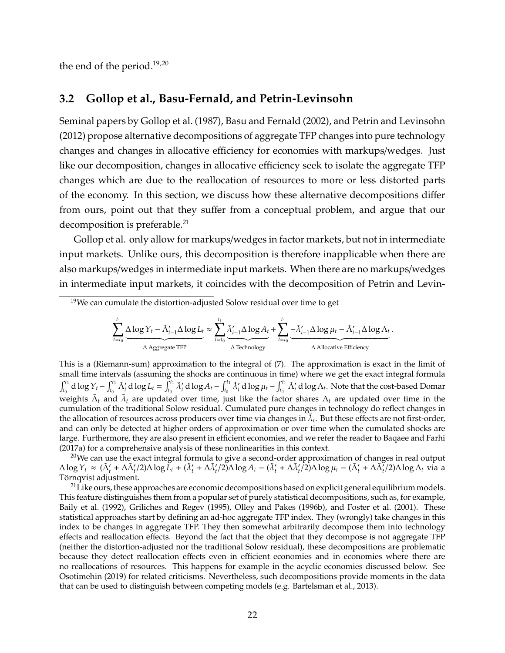the end of the period. $19,20$  $19,20$  $19,20$ 

### **3.2 Gollop et al., Basu-Fernald, and Petrin-Levinsohn**

Seminal papers by [Gollop et al.](#page-50-3) [\(1987\)](#page-50-3), [Basu and Fernald](#page-49-1) [\(2002\)](#page-49-1), and [Petrin and Levinsohn](#page-51-1) [\(2012\)](#page-51-1) propose alternative decompositions of aggregate TFP changes into pure technology changes and changes in allocative efficiency for economies with markups/wedges. Just like our decomposition, changes in allocative efficiency seek to isolate the aggregate TFP changes which are due to the reallocation of resources to more or less distorted parts of the economy. In this section, we discuss how these alternative decompositions differ from ours, point out that they suffer from a conceptual problem, and argue that our decomposition is preferable.<sup>[21](#page-0-0)</sup>

Gollop et al. only allow for markups/wedges in factor markets, but not in intermediate input markets. Unlike ours, this decomposition is therefore inapplicable when there are also markups/wedges in intermediate input markets. When there are no markups/wedges in intermediate input markets, it coincides with the decomposition of [Petrin and Levin-](#page-51-1)

 $19$ [We can cumulate the distortion-adjusted Solow residual over time to get](#page-51-1)

$$
\sum_{t=t_0}^{t_1} \underbrace{\Delta \log Y_t - \tilde{\Lambda}'_{t-1} \Delta \log L_t}_{\Delta \text{ Aggregate TFP}} \approx \sum_{t=t_0}^{t_1} \underbrace{\tilde{\lambda}'_{t-1} \Delta \log A_t}_{\Delta \text{ Technology}} + \sum_{t=t_0}^{t_1} \underbrace{-\tilde{\lambda}'_{t-1} \Delta \log \mu_t - \tilde{\Lambda}'_{t-1} \Delta \log \Lambda_t}_{\Delta \text{ Allocation}}
$$

.

[This is a \(Riemann-sum\) approximation to the integral of \(7\). The approximation is exact in the limit of](#page-51-1) [small time intervals \(assuming the shocks are continuous in time\) where we get the exact integral formula](#page-51-1)  $\int_{t_0}^{t_1} d\log Y_t - \int_{t_0}^{t_1} \tilde{\Lambda}'_t d\log L_t = \int_{t_0}^{t_1} \tilde{\lambda}'_t d\log A_t - \int_{t_0}^{t_1} \tilde{\lambda}'_t d\log \mu_t - \int_{t_0}^{t_1} \tilde{\Lambda}'_t d\log \Lambda_t$ [. Note that the cost-based Domar](#page-51-1) weights  $\tilde{\Lambda}_t$  and  $\tilde{\lambda}_t$  [are updated over time, just like the factor shares](#page-51-1)  $\Lambda_t$  are updated over time in the [cumulation of the traditional Solow residual. Cumulated pure changes in technology do reflect changes in](#page-51-1) [the allocation of resources across producers over time via changes in](#page-51-1)  $\tilde{\lambda}_t$ . But these effects are not first-order, [and can only be detected at higher orders of approximation or over time when the cumulated shocks are](#page-51-1) large. Furthermore, they are also present in effi[cient economies, and we refer the reader to Baqaee and Farhi](#page-51-1) [\(2017a\) for a comprehensive analysis of these nonlinearities in this context.](#page-51-1)

 $20$ [We can use the exact integral formula to give a second-order approximation of changes in real output](#page-51-1)  $\Delta \log Y_t \approx (\tilde{\Lambda}'_t + \Delta \tilde{\Lambda}'_t/2) \Delta \log \tilde{L}_t + (\tilde{\lambda}'_t + \Delta \tilde{\lambda}'_t/2) \Delta \log A_t - (\tilde{\lambda}'_t + \Delta \tilde{\lambda}'_t/2) \Delta \log \mu_t - (\tilde{\Lambda}'_t + \Delta \tilde{\Lambda}'_t/2) \Delta \log \Lambda_t$  via a Törnqvist adjustment.

 $^{21}$ [Like ours, these approaches are economic decompositions based on explicit general equilibrium models.](#page-51-1) [This feature distinguishes them from a popular set of purely statistical decompositions, such as, for example,](#page-51-1) [Baily et al. \(1992\), Griliches and Regev \(1995\), Olley and Pakes \(1996b\), and Foster et al. \(2001\). These](#page-51-1) [statistical approaches start by defining an ad-hoc aggregate TFP index. They \(wrongly\) take changes in this](#page-51-1) [index to be changes in aggregate TFP. They then somewhat arbitrarily decompose them into technology](#page-51-1) effects and reallocation eff[ects. Beyond the fact that the object that they decompose is not aggregate TFP](#page-51-1) [\(neither the distortion-adjusted nor the traditional Solow residual\), these decompositions are problematic](#page-51-1) because they detect reallocation effects even in effi[cient economies and in economies where there are](#page-51-1) [no reallocations of resources. This happens for example in the acyclic economies discussed below. See](#page-51-1) [Osotimehin \(2019\) for related criticisms. Nevertheless, such decompositions provide moments in the data](#page-51-1) [that can be used to distinguish between competing models \(e.g. Bartelsman et al., 2013\).](#page-51-1)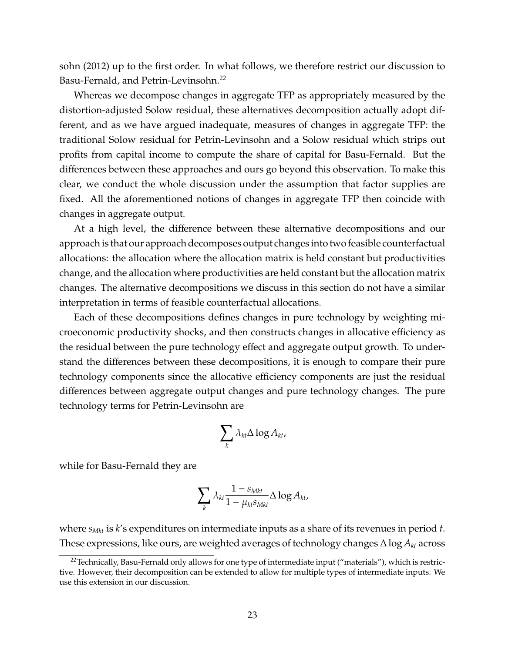[sohn](#page-51-1) [\(2012\)](#page-51-1) up to the first order. In what follows, we therefore restrict our discussion to Basu-Fernald, and Petrin-Levinsohn.<sup>[22](#page-0-0)</sup>

Whereas we decompose changes in aggregate TFP as appropriately measured by the distortion-adjusted Solow residual, these alternatives decomposition actually adopt different, and as we have argued inadequate, measures of changes in aggregate TFP: the traditional Solow residual for Petrin-Levinsohn and a Solow residual which strips out profits from capital income to compute the share of capital for Basu-Fernald. But the differences between these approaches and ours go beyond this observation. To make this clear, we conduct the whole discussion under the assumption that factor supplies are fixed. All the aforementioned notions of changes in aggregate TFP then coincide with changes in aggregate output.

At a high level, the difference between these alternative decompositions and our approach is that our approach decomposes output changes into two feasible counterfactual allocations: the allocation where the allocation matrix is held constant but productivities change, and the allocation where productivities are held constant but the allocation matrix changes. The alternative decompositions we discuss in this section do not have a similar interpretation in terms of feasible counterfactual allocations.

Each of these decompositions defines changes in pure technology by weighting microeconomic productivity shocks, and then constructs changes in allocative efficiency as the residual between the pure technology effect and aggregate output growth. To understand the differences between these decompositions, it is enough to compare their pure technology components since the allocative efficiency components are just the residual differences between aggregate output changes and pure technology changes. The pure technology terms for Petrin-Levinsohn are

$$
\sum_k \lambda_{kt} \Delta \log A_{kt},
$$

while for Basu-Fernald they are

$$
\sum_k \lambda_{kt} \frac{1 - s_{Mkt}}{1 - \mu_{kt} s_{Mkt}} \Delta \log A_{kt},
$$

where *sMkt* is *k*'s expenditures on intermediate inputs as a share of its revenues in period *t*. These expressions, like ours, are weighted averages of technology changes ∆log *Akt* across

<sup>&</sup>lt;sup>22</sup>Technically, Basu-Fernald only allows for one type of intermediate input ("materials"), which is restrictive. However, their decomposition can be extended to allow for multiple types of intermediate inputs. We use this extension in our discussion.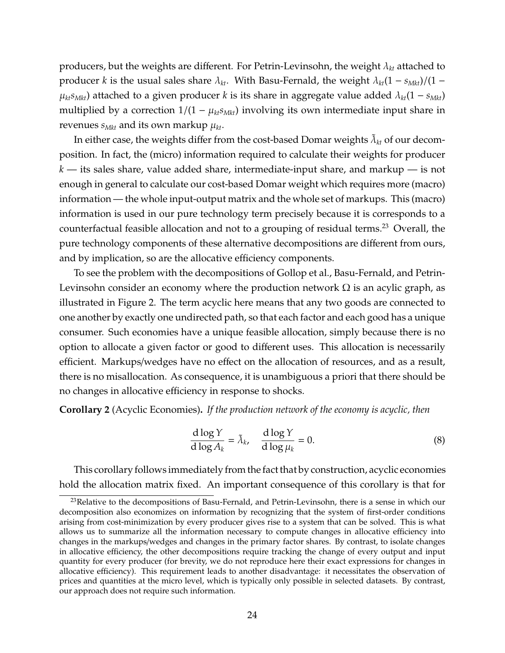producers, but the weights are different. For Petrin-Levinsohn, the weight  $\lambda_{kt}$  attached to producer *k* is the usual sales share  $\lambda_{kt}$ . With Basu-Fernald, the weight  $\lambda_{kt}(1 - s_{Mkt})/(1 \mu_{kt}$ *s*<sub>*Mkt</sub>*) attached to a given producer *k* is its share in aggregate value added  $\lambda_{kt}$ (1 − *s*<sub>*Mkt*</sub>)</sub> multiplied by a correction  $1/(1 - \mu_{kt} s_{Mkt})$  involving its own intermediate input share in revenues  $s_{Mkt}$  and its own markup  $\mu_{kt}$ .

In either case, the weights differ from the cost-based Domar weights  $\tilde{\lambda}_{kt}$  of our decomposition. In fact, the (micro) information required to calculate their weights for producer  $k$  — its sales share, value added share, intermediate-input share, and markup — is not enough in general to calculate our cost-based Domar weight which requires more (macro) information — the whole input-output matrix and the whole set of markups. This (macro) information is used in our pure technology term precisely because it is corresponds to a counterfactual feasible allocation and not to a grouping of residual terms.<sup>[23](#page-0-0)</sup> Overall, the pure technology components of these alternative decompositions are different from ours, and by implication, so are the allocative efficiency components.

To see the problem with the decompositions of Gollop et al., Basu-Fernald, and Petrin-Levinsohn consider an economy where the production network  $Ω$  is an acylic graph, as illustrated in Figure [2.](#page-24-1) The term acyclic here means that any two goods are connected to one another by exactly one undirected path, so that each factor and each good has a unique consumer. Such economies have a unique feasible allocation, simply because there is no option to allocate a given factor or good to different uses. This allocation is necessarily efficient. Markups/wedges have no effect on the allocation of resources, and as a result, there is no misallocation. As consequence, it is unambiguous a priori that there should be no changes in allocative efficiency in response to shocks.

**Corollary 2** (Acyclic Economies)**.** *If the production network of the economy is acyclic, then*

$$
\frac{d \log Y}{d \log A_k} = \tilde{\lambda}_k, \quad \frac{d \log Y}{d \log \mu_k} = 0.
$$
\n(8)

This corollary follows immediately from the fact that by construction, acyclic economies hold the allocation matrix fixed. An important consequence of this corollary is that for

<sup>&</sup>lt;sup>23</sup>Relative to the decompositions of Basu-Fernald, and Petrin-Levinsohn, there is a sense in which our decomposition also economizes on information by recognizing that the system of first-order conditions arising from cost-minimization by every producer gives rise to a system that can be solved. This is what allows us to summarize all the information necessary to compute changes in allocative efficiency into changes in the markups/wedges and changes in the primary factor shares. By contrast, to isolate changes in allocative efficiency, the other decompositions require tracking the change of every output and input quantity for every producer (for brevity, we do not reproduce here their exact expressions for changes in allocative efficiency). This requirement leads to another disadvantage: it necessitates the observation of prices and quantities at the micro level, which is typically only possible in selected datasets. By contrast, our approach does not require such information.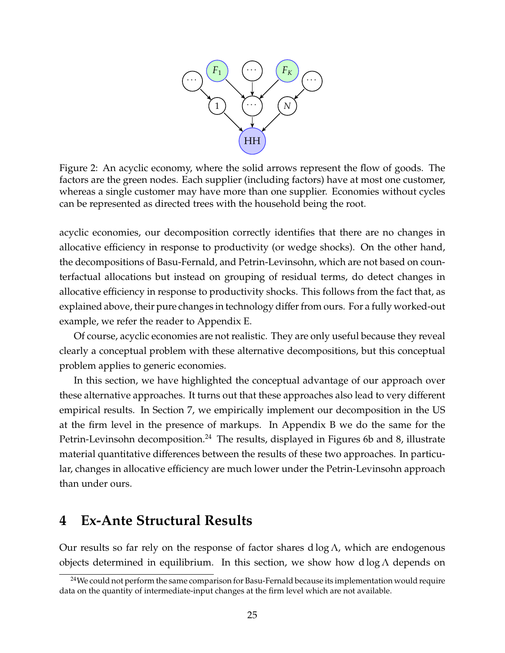

<span id="page-24-1"></span>Figure 2: An acyclic economy, where the solid arrows represent the flow of goods. The factors are the green nodes. Each supplier (including factors) have at most one customer, whereas a single customer may have more than one supplier. Economies without cycles can be represented as directed trees with the household being the root.

acyclic economies, our decomposition correctly identifies that there are no changes in allocative efficiency in response to productivity (or wedge shocks). On the other hand, the decompositions of Basu-Fernald, and Petrin-Levinsohn, which are not based on counterfactual allocations but instead on grouping of residual terms, do detect changes in allocative efficiency in response to productivity shocks. This follows from the fact that, as explained above, their pure changes in technology differ from ours. For a fully worked-out example, we refer the reader to Appendix [E.](#page-69-0)

Of course, acyclic economies are not realistic. They are only useful because they reveal clearly a conceptual problem with these alternative decompositions, but this conceptual problem applies to generic economies.

In this section, we have highlighted the conceptual advantage of our approach over these alternative approaches. It turns out that these approaches also lead to very different empirical results. In Section [7,](#page-38-0) we empirically implement our decomposition in the US at the firm level in the presence of markups. In Appendix [B](#page-55-0) we do the same for the Petrin-Levinsohn decomposition.<sup>[24](#page-0-0)</sup> The results, displayed in Figures [6b](#page-52-0) and [8,](#page-55-1) illustrate material quantitative differences between the results of these two approaches. In particular, changes in allocative efficiency are much lower under the Petrin-Levinsohn approach than under ours.

## <span id="page-24-0"></span>**4 Ex-Ante Structural Results**

Our results so far rely on the response of factor shares  $d \log \Lambda$ , which are endogenous objects determined in equilibrium. In this section, we show how d  $\log \Lambda$  depends on

<sup>&</sup>lt;sup>24</sup>We could not perform the same comparison for Basu-Fernald because its implementation would require data on the quantity of intermediate-input changes at the firm level which are not available.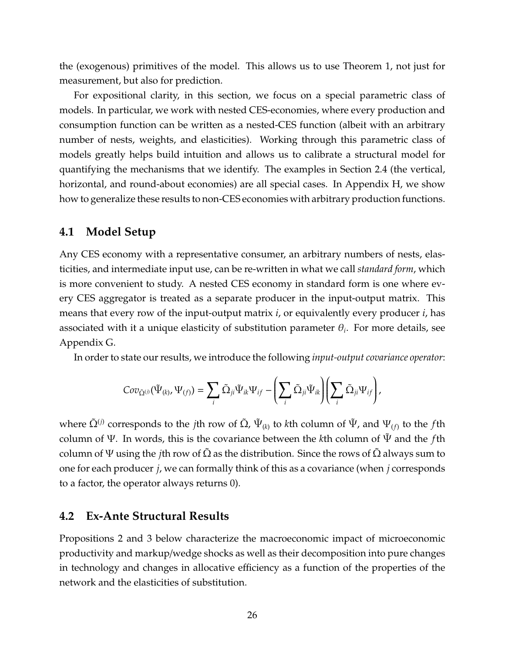the (exogenous) primitives of the model. This allows us to use Theorem [1,](#page-12-0) not just for measurement, but also for prediction.

For expositional clarity, in this section, we focus on a special parametric class of models. In particular, we work with nested CES-economies, where every production and consumption function can be written as a nested-CES function (albeit with an arbitrary number of nests, weights, and elasticities). Working through this parametric class of models greatly helps build intuition and allows us to calibrate a structural model for quantifying the mechanisms that we identify. The examples in Section [2.4](#page-14-0) (the vertical, horizontal, and round-about economies) are all special cases. In Appendix [H,](#page-73-0) we show how to generalize these results to non-CES economies with arbitrary production functions.

## **4.1 Model Setup**

Any CES economy with a representative consumer, an arbitrary numbers of nests, elasticities, and intermediate input use, can be re-written in what we call *standard form*, which is more convenient to study. A nested CES economy in standard form is one where every CES aggregator is treated as a separate producer in the input-output matrix. This means that every row of the input-output matrix *i*, or equivalently every producer *i*, has associated with it a unique elasticity of substitution parameter  $\theta_i$ . For more details, see Appendix [G.](#page-72-0)

In order to state our results, we introduce the following *input-output covariance operator*:

<span id="page-25-0"></span>
$$
Cov_{\tilde{\Omega}^{(j)}}(\tilde{\Psi}_{(k)},\Psi_{(f)})=\sum_i\tilde{\Omega}_{ji}\tilde{\Psi}_{ik}\Psi_{if}-\left(\sum_i\tilde{\Omega}_{ji}\tilde{\Psi}_{ik}\right)\left(\sum_i\tilde{\Omega}_{ji}\Psi_{if}\right),
$$

where  $\tilde{\Omega}^{(j)}$  corresponds to the *j*th row of  $\tilde{\Omega}$ ,  $\tilde{\Psi}_{(k)}$  to *k*th column of  $\tilde{\Psi}$ , and  $\Psi_{(f)}$  to the *f*th column of Ψ. In words, this is the covariance between the *k*th column of Ψ˜ and the *f*th column of Ψ using the *j*th row of  $\Omega$  as the distribution. Since the rows of  $\Omega$  always sum to one for each producer *j*, we can formally think of this as a covariance (when *j* corresponds to a factor, the operator always returns 0).

### **4.2 Ex-Ante Structural Results**

Propositions [2](#page-26-0) and [3](#page-28-0) below characterize the macroeconomic impact of microeconomic productivity and markup/wedge shocks as well as their decomposition into pure changes in technology and changes in allocative efficiency as a function of the properties of the network and the elasticities of substitution.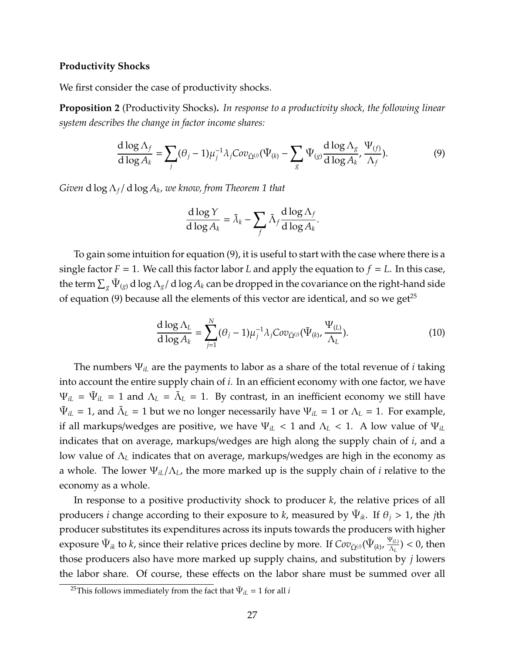#### **Productivity Shocks**

We first consider the case of productivity shocks.

<span id="page-26-0"></span>**Proposition 2** (Productivity Shocks)**.** *In response to a productivity shock, the following linear system describes the change in factor income shares:*

$$
\frac{\mathrm{d}\log\Lambda_f}{\mathrm{d}\log A_k} = \sum_j (\theta_j - 1)\mu_j^{-1} \lambda_j Cov_{\tilde{\Omega}^{(j)}}(\tilde{\Psi}_{(k)} - \sum_g \tilde{\Psi}_{(g)} \frac{\mathrm{d}\log\Lambda_g}{\mathrm{d}\log A_k}, \frac{\Psi_{(f)}}{\Lambda_f}).
$$
\n(9)

*Given* d log Λ*<sup>f</sup>* / d log *A<sup>k</sup> , we know, from Theorem [1](#page-12-0) that*

$$
\frac{d \log Y}{d \log A_k} = \tilde{\lambda}_k - \sum_{f} \tilde{\Lambda}_f \frac{d \log \Lambda_f}{d \log A_k}.
$$

To gain some intuition for equation [\(9\)](#page-25-0), it is useful to start with the case where there is a single factor  $F = 1$ . We call this factor labor *L* and apply the equation to  $f = L$ . In this case, the term  $\sum_g \tilde{\Psi}_{(g)}$  d log  $\Lambda_g$ /d log  $A_k$  can be dropped in the covariance on the right-hand side of equation [\(9\)](#page-25-0) because all the elements of this vector are identical, and so we get<sup>[25](#page-0-0)</sup>

$$
\frac{\mathrm{d}\log\Lambda_L}{\mathrm{d}\log\Lambda_k} = \sum_{j=1}^N (\theta_j - 1)\mu_j^{-1} \lambda_j Cov_{\tilde{\Omega}^{(j)}}(\tilde{\Psi}_{(k)}, \frac{\Psi_{(L)}}{\Lambda_L}).
$$
\n(10)

The numbers Ψ*iL* are the payments to labor as a share of the total revenue of *i* taking into account the entire supply chain of *i*. In an efficient economy with one factor, we have  $\Psi_{iL} = \tilde{\Psi}_{iL} = 1$  and  $\Lambda_L = \tilde{\Lambda}_L = 1$ . By contrast, in an inefficient economy we still have  $\Psi_{iL} = 1$ , and  $\tilde{\Lambda}_L = 1$  but we no longer necessarily have  $\Psi_{iL} = 1$  or  $\Lambda_L = 1$ . For example, if all markups/wedges are positive, we have  $\Psi_{iL}$  < 1 and  $\Lambda_L$  < 1. A low value of  $\Psi_{iL}$ indicates that on average, markups/wedges are high along the supply chain of *i*, and a low value of Λ*<sup>L</sup>* indicates that on average, markups/wedges are high in the economy as a whole. The lower Ψ*iL*/Λ*L*, the more marked up is the supply chain of *i* relative to the economy as a whole.

In response to a positive productivity shock to producer *k*, the relative prices of all producers *i* change according to their exposure to *k*, measured by  $\tilde{\Psi}_{ik}$ . If  $\theta_j > 1$ , the *j*th producer substitutes its expenditures across its inputs towards the producers with higher exposure  $\tilde{\Psi}_{ik}$  to *k*, since their relative prices decline by more. If  $Cov_{\tilde{\Omega}^{(j)}}(\tilde{\Psi}_{(k)},\frac{\Psi_{(L)}}{\Lambda_L})$  $\frac{d^{2}(L)}{\Delta_{L}}$ ) < 0, then those producers also have more marked up supply chains, and substitution by *j* lowers the labor share. Of course, these effects on the labor share must be summed over all

<sup>&</sup>lt;sup>25</sup>This follows immediately from the fact that  $\tilde{\Psi}_{iL}$  = 1 for all *i*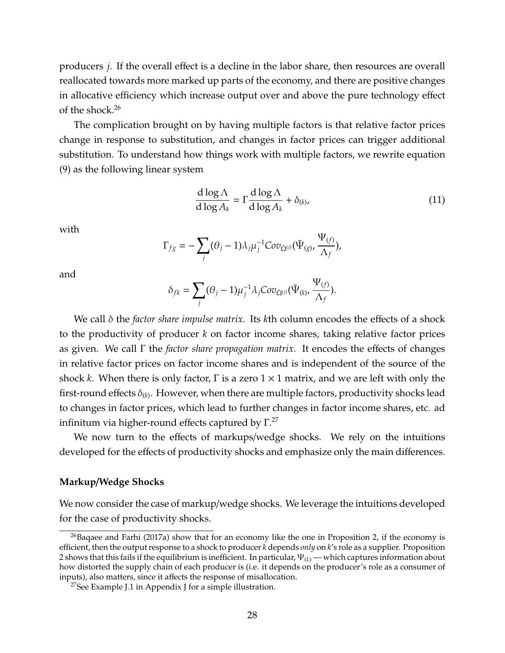producers *j*. If the overall effect is a decline in the labor share, then resources are overall reallocated towards more marked up parts of the economy, and there are positive changes in allocative efficiency which increase output over and above the pure technology effect of the shock.[26](#page-0-0)

The complication brought on by having multiple factors is that relative factor prices change in response to substitution, and changes in factor prices can trigger additional substitution. To understand how things work with multiple factors, we rewrite equation [\(9\)](#page-25-0) as the following linear system

$$
\frac{d \log \Lambda}{d \log A_k} = \Gamma \frac{d \log \Lambda}{d \log A_k} + \delta_{(k)},\tag{11}
$$

with

$$
\Gamma_{fg} = -\sum_j (\theta_j - 1) \lambda_j \mu_j^{-1} Cov_{\tilde{\Omega}^{(j)}}(\tilde{\Psi}_{(g)}, \frac{\Psi_{(f)}}{\Lambda_f}),
$$

and

$$
\delta_{fk} = \sum_j (\theta_j - 1) \mu_j^{-1} \lambda_j Cov_{\tilde{\Omega}^{(j)}}(\tilde{\Psi}_{(k)}, \frac{\Psi_{(f)}}{\Lambda_f}).
$$

We call δ the *factor share impulse matrix*. Its *k*th column encodes the effects of a shock to the productivity of producer *k* on factor income shares, taking relative factor prices as given. We call Γ the *factor share propagation matrix*. It encodes the effects of changes in relative factor prices on factor income shares and is independent of the source of the shock *k*. When there is only factor,  $\Gamma$  is a zero  $1 \times 1$  matrix, and we are left with only the first-round effects  $\delta_{(k)}$ . However, when there are multiple factors, productivity shocks lead to changes in factor prices, which lead to further changes in factor income shares, etc. ad infinitum via higher-round effects captured by  $\Gamma^{.27}$  $\Gamma^{.27}$  $\Gamma^{.27}$ 

We now turn to the effects of markups/wedge shocks. We rely on the intuitions developed for the effects of productivity shocks and emphasize only the main differences.

#### **Markup**/**Wedge Shocks**

We now consider the case of markup/wedge shocks. We leverage the intuitions developed for the case of productivity shocks.

 $^{26}$ [Baqaee and Farhi](#page-48-4) [\(2017a\)](#page-48-4) show that for an economy like the one in Proposition [2,](#page-26-0) if the economy is efficient, then the output response to a shock to producer *k* depends *only* on *k*'s role as a supplier. Proposition [2](#page-26-0) shows that this fails if the equilibrium is inefficient. In particular, Ψ(*L*) — which captures information about how distorted the supply chain of each producer is (i.e. it depends on the producer's role as a consumer of inputs), also matters, since it affects the response of misallocation.

 $27$ See Example [J.1](#page-81-0) in Appendix [J](#page-81-1) for a simple illustration.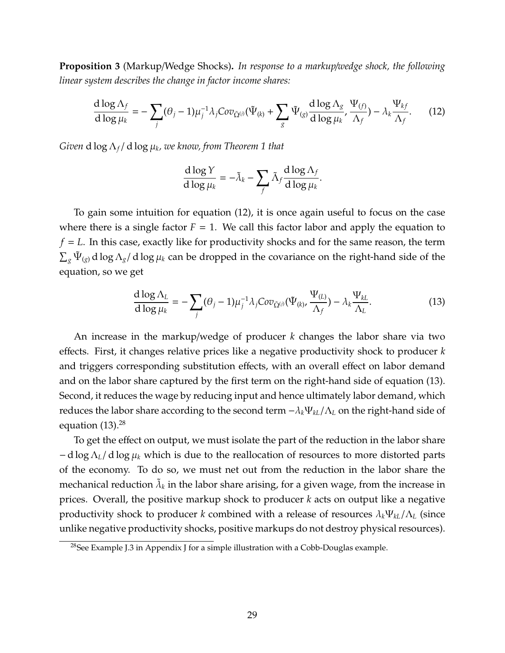<span id="page-28-0"></span>**Proposition 3** (Markup/Wedge Shocks)**.** *In response to a markup*/*wedge shock, the following linear system describes the change in factor income shares:*

$$
\frac{d \log \Lambda_f}{d \log \mu_k} = -\sum_j (\theta_j - 1) \mu_j^{-1} \lambda_j Cov_{\tilde{\Omega}^{(j)}}(\tilde{\Psi}_{(k)} + \sum_g \tilde{\Psi}_{(g)} \frac{d \log \Lambda_g}{d \log \mu_k}, \frac{\Psi_{(f)}}{\Lambda_f}) - \lambda_k \frac{\Psi_{kf}}{\Lambda_f}.
$$
 (12)

*Given* d log Λ*<sup>f</sup>* / d log µ*<sup>k</sup> , we know, from Theorem [1](#page-12-0) that*

<span id="page-28-2"></span><span id="page-28-1"></span>
$$
\frac{d \log Y}{d \log \mu_k} = -\tilde{\lambda}_k - \sum_{f} \tilde{\Lambda}_f \frac{d \log \Lambda_f}{d \log \mu_k}.
$$

To gain some intuition for equation [\(12\)](#page-28-1), it is once again useful to focus on the case where there is a single factor  $F = 1$ . We call this factor labor and apply the equation to *f* = *L*. In this case, exactly like for productivity shocks and for the same reason, the term  $\sum_g \tilde{\Psi}_{(g)}$  d log  $\Lambda_g$ / d log  $\mu_k$  can be dropped in the covariance on the right-hand side of the equation, so we get

$$
\frac{\mathrm{d}\log\Lambda_L}{\mathrm{d}\log\mu_k} = -\sum_j (\theta_j - 1)\mu_j^{-1} \lambda_j Cov_{\tilde{\Omega}^{(j)}}(\tilde{\Psi}_{(k)}, \frac{\Psi_{(L)}}{\Lambda_f}) - \lambda_k \frac{\Psi_{kL}}{\Lambda_L}.\tag{13}
$$

An increase in the markup/wedge of producer *k* changes the labor share via two effects. First, it changes relative prices like a negative productivity shock to producer *k* and triggers corresponding substitution effects, with an overall effect on labor demand and on the labor share captured by the first term on the right-hand side of equation [\(13\)](#page-28-2). Second, it reduces the wage by reducing input and hence ultimately labor demand, which reduces the labor share according to the second term −λ*k*Ψ*kL*/Λ*<sup>L</sup>* on the right-hand side of equation  $(13).^{28}$  $(13).^{28}$  $(13).^{28}$  $(13).^{28}$ 

To get the effect on output, we must isolate the part of the reduction in the labor share −d log Λ*L*/ d log µ*<sup>k</sup>* which is due to the reallocation of resources to more distorted parts of the economy. To do so, we must net out from the reduction in the labor share the mechanical reduction  $\tilde{\lambda}_k$  in the labor share arising, for a given wage, from the increase in prices. Overall, the positive markup shock to producer *k* acts on output like a negative productivity shock to producer *k* combined with a release of resources  $\lambda_k \Psi_{k} / \Lambda_L$  (since unlike negative productivity shocks, positive markups do not destroy physical resources).

<sup>&</sup>lt;sup>28</sup>See Example [J.3](#page-83-0) in Appendix [J](#page-81-1) for a simple illustration with a Cobb-Douglas example.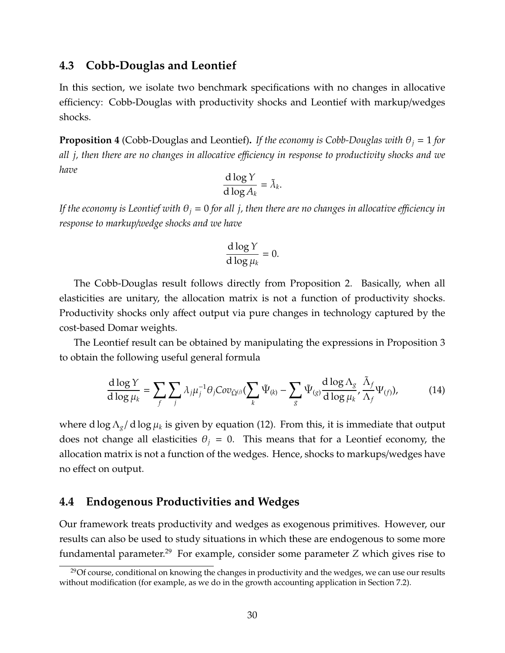## **4.3 Cobb-Douglas and Leontief**

In this section, we isolate two benchmark specifications with no changes in allocative efficiency: Cobb-Douglas with productivity shocks and Leontief with markup/wedges shocks.

**Proposition 4** (Cobb-Douglas and Leontief). *If the economy is Cobb-Douglas with*  $\theta_i = 1$  *for all j, then there are no changes in allocative e*ffi*ciency in response to productivity shocks and we have*

<span id="page-29-0"></span>
$$
\frac{\mathrm{d}\log Y}{\mathrm{d}\log A_k} = \tilde{\lambda}_k.
$$

*If the economy is Leontief with*  $\theta_i = 0$  *for all j, then there are no changes in allocative efficiency in response to markup*/*wedge shocks and we have*

$$
\frac{\mathrm{d}\log Y}{\mathrm{d}\log\mu_k}=0.
$$

The Cobb-Douglas result follows directly from Proposition [2.](#page-26-0) Basically, when all elasticities are unitary, the allocation matrix is not a function of productivity shocks. Productivity shocks only affect output via pure changes in technology captured by the cost-based Domar weights.

The Leontief result can be obtained by manipulating the expressions in Proposition [3](#page-28-0) to obtain the following useful general formula

$$
\frac{d \log Y}{d \log \mu_k} = \sum_{f} \sum_{j} \lambda_j \mu_j^{-1} \theta_j \text{Cov}_{\tilde{\Omega}^{(j)}} (\sum_{k} \tilde{\Psi}_{(k)} - \sum_{g} \tilde{\Psi}_{(g)} \frac{d \log \Lambda_g}{d \log \mu_k}, \frac{\tilde{\Lambda}_f}{\Lambda_f} \Psi_{(f)}),
$$
(14)

where d log Λ*g*/ d log µ*<sup>k</sup>* is given by equation [\(12\)](#page-28-1). From this, it is immediate that output does not change all elasticities  $\theta_i = 0$ . This means that for a Leontief economy, the allocation matrix is not a function of the wedges. Hence, shocks to markups/wedges have no effect on output.

## **4.4 Endogenous Productivities and Wedges**

Our framework treats productivity and wedges as exogenous primitives. However, our results can also be used to study situations in which these are endogenous to some more fundamental parameter.[29](#page-0-0) For example, consider some parameter *Z* which gives rise to

<sup>&</sup>lt;sup>29</sup>Of course, conditional on knowing the changes in productivity and the wedges, we can use our results without modification (for example, as we do in the growth accounting application in Section [7.2\)](#page-42-0).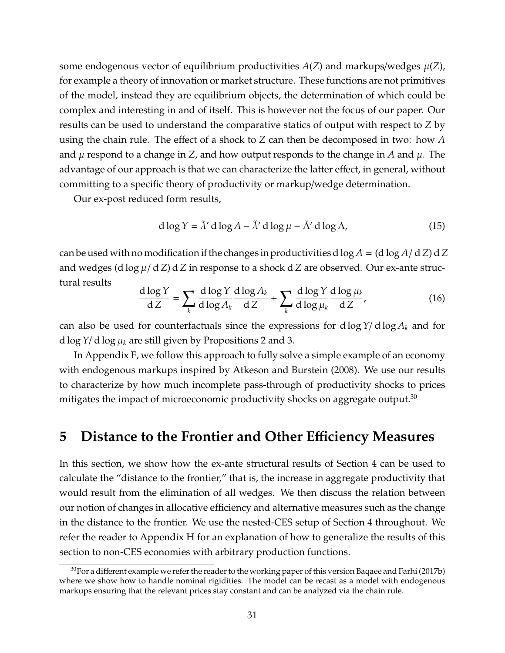some endogenous vector of equilibrium productivities  $A(Z)$  and markups/wedges  $\mu(Z)$ , for example a theory of innovation or market structure. These functions are not primitives of the model, instead they are equilibrium objects, the determination of which could be complex and interesting in and of itself. This is however not the focus of our paper. Our results can be used to understand the comparative statics of output with respect to *Z* by using the chain rule. The effect of a shock to *Z* can then be decomposed in two: how *A* and  $\mu$  respond to a change in Z, and how output responds to the change in A and  $\mu$ . The advantage of our approach is that we can characterize the latter effect, in general, without committing to a specific theory of productivity or markup/wedge determination.

Our ex-post reduced form results,

$$
d \log Y = \tilde{\lambda}' d \log A - \tilde{\lambda}' d \log \mu - \tilde{\Lambda}' d \log \Lambda,
$$
 (15)

can be used with no modification if the changes in productivities d  $\log A = (d \log A / dZ) dZ$ and wedges (d log µ/ d*Z*) d*Z* in response to a shock d*Z* are observed. Our ex-ante structural results

$$
\frac{d \log Y}{d Z} = \sum_{k} \frac{d \log Y}{d \log A_k} \frac{d \log A_k}{d Z} + \sum_{k} \frac{d \log Y}{d \log \mu_k} \frac{d \log \mu_k}{d Z},
$$
(16)

can also be used for counterfactuals since the expressions for d log *Y*/ d log *A<sup>k</sup>* and for d log  $Y$ / d log  $\mu_k$  are still given by Propositions [2](#page-26-0) and [3.](#page-28-0)

In Appendix [F,](#page-70-0) we follow this approach to fully solve a simple example of an economy with endogenous markups inspired by [Atkeson and Burstein](#page-48-5) [\(2008\)](#page-48-5). We use our results to characterize by how much incomplete pass-through of productivity shocks to prices mitigates the impact of microeconomic productivity shocks on aggregate output. $30$ 

## <span id="page-30-0"></span>**5 Distance to the Frontier and Other E**ffi**ciency Measures**

In this section, we show how the ex-ante structural results of Section [4](#page-24-0) can be used to calculate the "distance to the frontier," that is, the increase in aggregate productivity that would result from the elimination of all wedges. We then discuss the relation between our notion of changes in allocative efficiency and alternative measures such as the change in the distance to the frontier. We use the nested-CES setup of Section [4](#page-24-0) throughout. We refer the reader to Appendix [H](#page-73-0) for an explanation of how to generalize the results of this section to non-CES economies with arbitrary production functions.

 $30$ For a different example we refer the reader to the working paper of this version [Baqaee and Farhi](#page-48-6) [\(2017b\)](#page-48-6) where we show how to handle nominal rigidities. The model can be recast as a model with endogenous markups ensuring that the relevant prices stay constant and can be analyzed via the chain rule.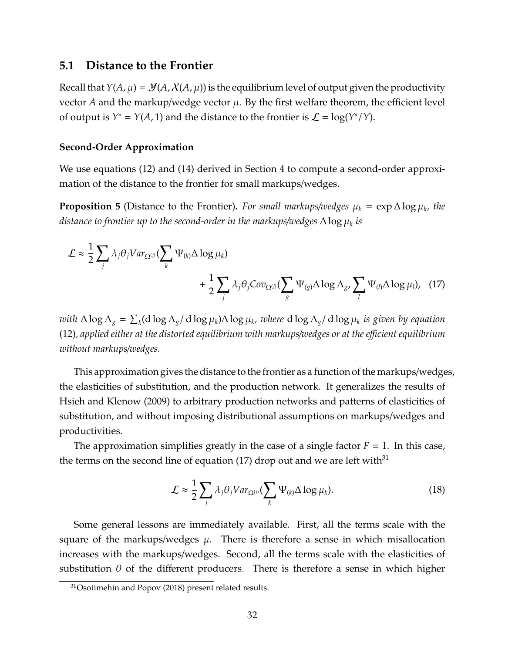### **5.1 Distance to the Frontier**

Recall that  $Y(A, \mu) = \mathcal{Y}(A, \mathcal{X}(A, \mu))$  is the equilibrium level of output given the productivity vector *A* and the markup/wedge vector  $\mu$ . By the first welfare theorem, the efficient level of output is  $Y^* = Y(A, 1)$  and the distance to the frontier is  $\mathcal{L} = \log(Y^*/Y)$ .

### **Second-Order Approximation**

We use equations [\(12\)](#page-28-1) and [\(14\)](#page-29-0) derived in Section [4](#page-24-0) to compute a second-order approximation of the distance to the frontier for small markups/wedges.

**Proposition 5** (Distance to the Frontier)**.** *For small markups*/*wedges* µ*<sup>k</sup>* = exp∆log µ*<sup>k</sup> , the distance to frontier up to the second-order in the markups*/*wedges* ∆log µ*<sup>k</sup> is*

$$
\mathcal{L} \approx \frac{1}{2} \sum_{j} \lambda_{j} \theta_{j} Var_{\Omega^{(j)}} \left( \sum_{k} \Psi_{(k)} \Delta \log \mu_{k} \right) + \frac{1}{2} \sum_{j} \lambda_{j} \theta_{j} Cov_{\Omega^{(j)}} \left( \sum_{g} \Psi_{(g)} \Delta \log \Lambda_{g}, \sum_{l} \Psi_{(l)} \Delta \log \mu_{l} \right), \quad (17)
$$

 $with \Delta log \Lambda_g = \sum_k (d log \Lambda_g / d log \mu_k) \Delta log \mu_k$ , where  $d log \Lambda_g / d log \mu_k$  is given by equation [\(12\)](#page-28-1)*, applied either at the distorted equilibrium with markups*/*wedges or at the e*ffi*cient equilibrium without markups*/*wedges.*

This approximation gives the distance to the frontier as a function of the markups/wedges, the elasticities of substitution, and the production network. It generalizes the results of [Hsieh and Klenow](#page-50-4) [\(2009\)](#page-50-4) to arbitrary production networks and patterns of elasticities of substitution, and without imposing distributional assumptions on markups/wedges and productivities.

The approximation simplifies greatly in the case of a single factor  $F = 1$ . In this case, the terms on the second line of equation  $(17)$  drop out and we are left with<sup>[31](#page-0-0)</sup>

<span id="page-31-0"></span>
$$
\mathcal{L} \approx \frac{1}{2} \sum_{j} \lambda_{j} \theta_{j} Var_{\Omega^{(j)}} (\sum_{k} \Psi_{(k)} \Delta \log \mu_{k}). \tag{18}
$$

Some general lessons are immediately available. First, all the terms scale with the square of the markups/wedges  $\mu$ . There is therefore a sense in which misallocation increases with the markups/wedges. Second, all the terms scale with the elasticities of substitution  $\theta$  of the different producers. There is therefore a sense in which higher

<sup>31</sup>[Osotimehin and Popov](#page-51-11) [\(2018\)](#page-51-11) present related results.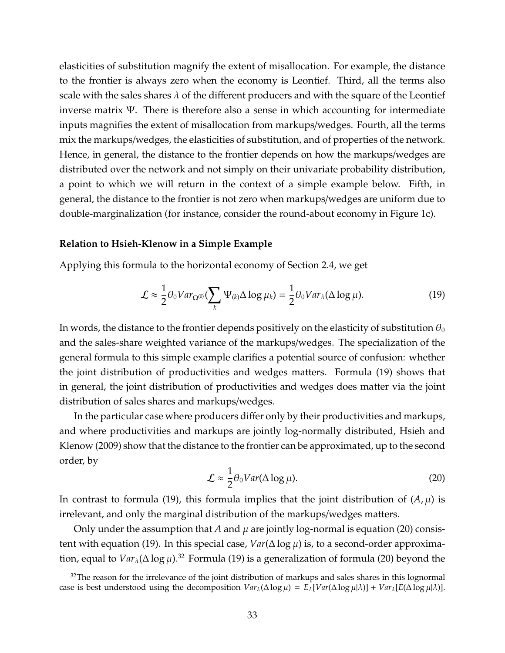elasticities of substitution magnify the extent of misallocation. For example, the distance to the frontier is always zero when the economy is Leontief. Third, all the terms also scale with the sales shares  $\lambda$  of the different producers and with the square of the Leontief inverse matrix Ψ. There is therefore also a sense in which accounting for intermediate inputs magnifies the extent of misallocation from markups/wedges. Fourth, all the terms mix the markups/wedges, the elasticities of substitution, and of properties of the network. Hence, in general, the distance to the frontier depends on how the markups/wedges are distributed over the network and not simply on their univariate probability distribution, a point to which we will return in the context of a simple example below. Fifth, in general, the distance to the frontier is not zero when markups/wedges are uniform due to double-marginalization (for instance, consider the round-about economy in Figure [1c\)](#page-15-0).

### **Relation to Hsieh-Klenow in a Simple Example**

Applying this formula to the horizontal economy of Section [2.4,](#page-14-0) we get

<span id="page-32-0"></span>
$$
\mathcal{L} \approx \frac{1}{2} \theta_0 Var_{\Omega^{(0)}}(\sum_k \Psi_{(k)} \Delta \log \mu_k) = \frac{1}{2} \theta_0 Var_{\lambda}(\Delta \log \mu). \tag{19}
$$

In words, the distance to the frontier depends positively on the elasticity of substitution  $\theta_0$ and the sales-share weighted variance of the markups/wedges. The specialization of the general formula to this simple example clarifies a potential source of confusion: whether the joint distribution of productivities and wedges matters. Formula [\(19\)](#page-32-0) shows that in general, the joint distribution of productivities and wedges does matter via the joint distribution of sales shares and markups/wedges.

In the particular case where producers differ only by their productivities and markups, and where productivities and markups are jointly log-normally distributed, [Hsieh and](#page-50-4) [Klenow](#page-50-4) [\(2009\)](#page-50-4) show that the distance to the frontier can be approximated, up to the second order, by

<span id="page-32-1"></span>
$$
\mathcal{L} \approx \frac{1}{2} \theta_0 Var(\Delta \log \mu). \tag{20}
$$

In contrast to formula [\(19\)](#page-32-0), this formula implies that the joint distribution of  $(A, \mu)$  is irrelevant, and only the marginal distribution of the markups/wedges matters.

Only under the assumption that A and  $\mu$  are jointly log-normal is equation [\(20\)](#page-32-1) consis-tent with equation [\(19\)](#page-32-0). In this special case,  $Var(\Delta \log \mu)$  is, to a second-order approximation, equal to  $Var_{\lambda}(\Delta \log \mu)$ .<sup>[32](#page-0-0)</sup> Formula [\(19\)](#page-32-0) is a generalization of formula [\(20\)](#page-32-1) beyond the

 $32$ The reason for the irrelevance of the joint distribution of markups and sales shares in this lognormal case is best understood using the decomposition  $Var_\lambda(\Delta \log \mu) = E_\lambda[Var(\Delta \log \mu|\lambda)] + Var_\lambda[E(\Delta \log \mu|\lambda)].$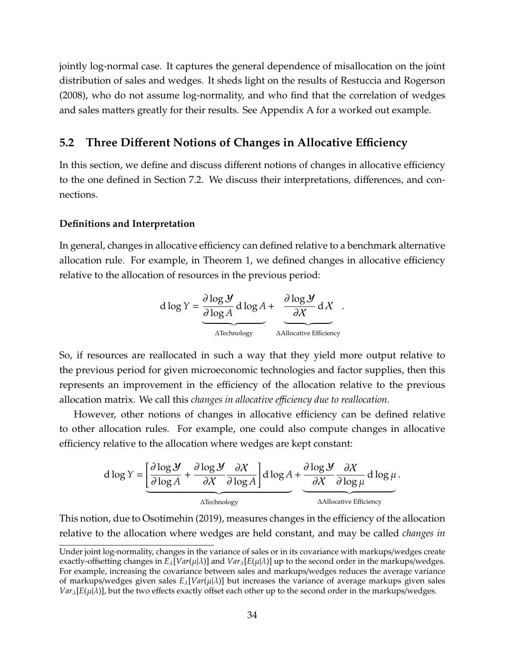jointly log-normal case. It captures the general dependence of misallocation on the joint distribution of sales and wedges. It sheds light on the results of [Restuccia and Rogerson](#page-51-3) [\(2008\)](#page-51-3), who do not assume log-normality, and who find that the correlation of wedges and sales matters greatly for their results. See Appendix [A](#page-52-1) for a worked out example.

## **5.2 Three Di**ff**erent Notions of Changes in Allocative E**ffi**ciency**

In this section, we define and discuss different notions of changes in allocative efficiency to the one defined in Section [7.2.](#page-42-0) We discuss their interpretations, differences, and connections.

## **Definitions and Interpretation**

In general, changes in allocative efficiency can defined relative to a benchmark alternative allocation rule. For example, in Theorem [1,](#page-12-0) we defined changes in allocative efficiency relative to the allocation of resources in the previous period:

d log Y = 
$$
\frac{\partial \log \mathcal{Y}}{\partial \log A}
$$
d log A +  $\frac{\partial \log \mathcal{Y}}{\partial X}$ d X.  
\n $\Delta$ 

So, if resources are reallocated in such a way that they yield more output relative to the previous period for given microeconomic technologies and factor supplies, then this represents an improvement in the efficiency of the allocation relative to the previous allocation matrix. We call this *changes in allocative e*ffi*ciency due to reallocation*.

However, other notions of changes in allocative efficiency can be defined relative to other allocation rules. For example, one could also compute changes in allocative efficiency relative to the allocation where wedges are kept constant:

$$
d \log Y = \underbrace{\left[\frac{\partial \log Y}{\partial \log A} + \frac{\partial \log Y}{\partial X} \frac{\partial X}{\partial \log A}\right] d \log A}_{\text{ATechnology}} + \underbrace{\frac{\partial \log Y}{\partial X} \frac{\partial X}{\partial \log \mu}}_{\text{AAllocative Efficiency}} d \log \mu.
$$

This notion, due to [Osotimehin](#page-51-4) [\(2019\)](#page-51-4), measures changes in the efficiency of the allocation relative to the allocation where wedges are held constant, and may be called *changes in*

Under joint log-normality, changes in the variance of sales or in its covariance with markups/wedges create exactly-offsetting changes in  $E_\lambda[Var(\mu|\lambda)]$  and  $Var_\lambda[E(\mu|\lambda)]$  up to the second order in the markups/wedges. For example, increasing the covariance between sales and markups/wedges reduces the average variance of markups/wedges given sales  $E_{\lambda}[Var(\mu|\lambda)]$  but increases the variance of average markups given sales  $Var_{\lambda}[E(\mu|\lambda)]$ , but the two effects exactly offset each other up to the second order in the markups/wedges.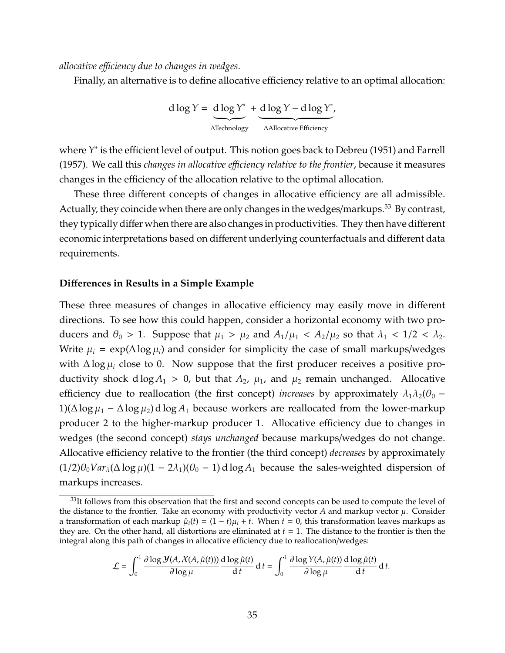*allocative e*ffi*ciency due to changes in wedges*.

Finally, an alternative is to define allocative efficiency relative to an optimal allocation:

$$
d \log Y = \underbrace{d \log Y^*}_{\Delta \text{Technology}} + \underbrace{d \log Y - d \log Y^*}_{\Delta \text{Allocative Efficiency}},
$$

where Y<sup>\*</sup> is the efficient level of output. This notion goes back to [Debreu](#page-49-10) [\(1951\)](#page-49-10) and [Farrell](#page-50-10) [\(1957\)](#page-50-10). We call this *changes in allocative e*ffi*ciency relative to the frontier*, because it measures changes in the efficiency of the allocation relative to the optimal allocation.

These three different concepts of changes in allocative efficiency are all admissible. Actually, they coincide when there are only changes in the wedges/markups.<sup>[33](#page-0-0)</sup> By contrast, they typically differ when there are also changes in productivities. They then have different economic interpretations based on different underlying counterfactuals and different data requirements.

### **Di**ff**erences in Results in a Simple Example**

These three measures of changes in allocative efficiency may easily move in different directions. To see how this could happen, consider a horizontal economy with two producers and  $\theta_0 > 1$ . Suppose that  $\mu_1 > \mu_2$  and  $A_1/\mu_1 < A_2/\mu_2$  so that  $\lambda_1 < 1/2 < \lambda_2$ . Write  $\mu_i = \exp(\Delta \log \mu_i)$  and consider for simplicity the case of small markups/wedges with Δlog  $\mu_i$  close to 0. Now suppose that the first producer receives a positive productivity shock d  $\log A_1 > 0$ , but that  $A_2$ ,  $\mu_1$ , and  $\mu_2$  remain unchanged. Allocative efficiency due to reallocation (the first concept) *increases* by approximately  $\lambda_1 \lambda_2(\theta_0 -$ 1)( $\Delta$ log μ<sub>1</sub> −  $\Delta$ log μ<sub>2</sub>) d log A<sub>1</sub> because workers are reallocated from the lower-markup producer 2 to the higher-markup producer 1. Allocative efficiency due to changes in wedges (the second concept) *stays unchanged* because markups/wedges do not change. Allocative efficiency relative to the frontier (the third concept) *decreases* by approximately  $(1/2)\theta_0 \text{Var}_\lambda(\Delta \log \mu)(1 - 2\lambda_1)(\theta_0 - 1) \,d \log A_1$  because the sales-weighted dispersion of markups increases.

$$
\mathcal{L} = \int_0^1 \frac{\partial \log \mathcal{Y}(A, X(A, \hat{\mu}(t)))}{\partial \log \mu} \frac{d \log \hat{\mu}(t)}{dt} dt = \int_0^1 \frac{\partial \log Y(A, \hat{\mu}(t))}{\partial \log \mu} \frac{d \log \hat{\mu}(t)}{dt} dt.
$$

 $33$ It follows from this observation that the first and second concepts can be used to compute the level of the distance to the frontier. Take an economy with productivity vector *A* and markup vector  $\mu$ . Consider a transformation of each markup  $\hat{\mu}_i(t) = (1 - t)\mu_i + t$ . When  $t = 0$ , this transformation leaves markups as they are. On the other hand, all distortions are eliminated at  $t = 1$ . The distance to the frontier is then the integral along this path of changes in allocative efficiency due to reallocation/wedges: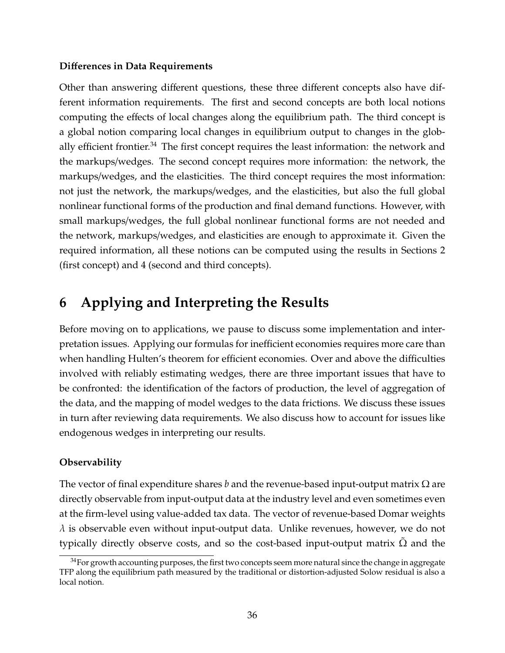### **Di**ff**erences in Data Requirements**

Other than answering different questions, these three different concepts also have different information requirements. The first and second concepts are both local notions computing the effects of local changes along the equilibrium path. The third concept is a global notion comparing local changes in equilibrium output to changes in the globally efficient frontier.[34](#page-0-0) The first concept requires the least information: the network and the markups/wedges. The second concept requires more information: the network, the markups/wedges, and the elasticities. The third concept requires the most information: not just the network, the markups/wedges, and the elasticities, but also the full global nonlinear functional forms of the production and final demand functions. However, with small markups/wedges, the full global nonlinear functional forms are not needed and the network, markups/wedges, and elasticities are enough to approximate it. Given the required information, all these notions can be computed using the results in Sections [2](#page-7-0) (first concept) and [4](#page-24-0) (second and third concepts).

## <span id="page-35-0"></span>**6 Applying and Interpreting the Results**

Before moving on to applications, we pause to discuss some implementation and interpretation issues. Applying our formulas for inefficient economies requires more care than when handling Hulten's theorem for efficient economies. Over and above the difficulties involved with reliably estimating wedges, there are three important issues that have to be confronted: the identification of the factors of production, the level of aggregation of the data, and the mapping of model wedges to the data frictions. We discuss these issues in turn after reviewing data requirements. We also discuss how to account for issues like endogenous wedges in interpreting our results.

## **Observability**

The vector of final expenditure shares *b* and the revenue-based input-output matrix  $\Omega$  are directly observable from input-output data at the industry level and even sometimes even at the firm-level using value-added tax data. The vector of revenue-based Domar weights  $\lambda$  is observable even without input-output data. Unlike revenues, however, we do not typically directly observe costs, and so the cost-based input-output matrix  $\Omega$  and the

 $34$  For growth accounting purposes, the first two concepts seem more natural since the change in aggregate TFP along the equilibrium path measured by the traditional or distortion-adjusted Solow residual is also a local notion.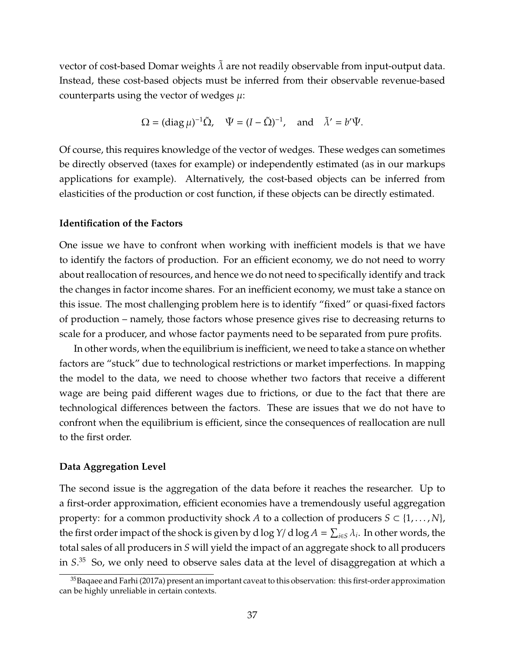vector of cost-based Domar weights  $\lambda$  are not readily observable from input-output data. Instead, these cost-based objects must be inferred from their observable revenue-based counterparts using the vector of wedges  $\mu$ :

$$
\Omega = (\text{diag }\mu)^{-1} \tilde{\Omega}, \quad \tilde{\Psi} = (I - \tilde{\Omega})^{-1}, \text{ and } \tilde{\lambda}' = b' \tilde{\Psi}.
$$

Of course, this requires knowledge of the vector of wedges. These wedges can sometimes be directly observed (taxes for example) or independently estimated (as in our markups applications for example). Alternatively, the cost-based objects can be inferred from elasticities of the production or cost function, if these objects can be directly estimated.

#### **Identification of the Factors**

One issue we have to confront when working with inefficient models is that we have to identify the factors of production. For an efficient economy, we do not need to worry about reallocation of resources, and hence we do not need to specifically identify and track the changes in factor income shares. For an inefficient economy, we must take a stance on this issue. The most challenging problem here is to identify "fixed" or quasi-fixed factors of production – namely, those factors whose presence gives rise to decreasing returns to scale for a producer, and whose factor payments need to be separated from pure profits.

In other words, when the equilibrium is inefficient, we need to take a stance on whether factors are "stuck" due to technological restrictions or market imperfections. In mapping the model to the data, we need to choose whether two factors that receive a different wage are being paid different wages due to frictions, or due to the fact that there are technological differences between the factors. These are issues that we do not have to confront when the equilibrium is efficient, since the consequences of reallocation are null to the first order.

#### **Data Aggregation Level**

The second issue is the aggregation of the data before it reaches the researcher. Up to a first-order approximation, efficient economies have a tremendously useful aggregation property: for a common productivity shock *A* to a collection of producers  $S \subset \{1, \ldots, N\}$ , the first order impact of the shock is given by d log  $Y$ / d log  $A = \sum_{i \in S} \lambda_i$ . In other words, the total sales of all producers in *S* will yield the impact of an aggregate shock to all producers in *S*. [35](#page-0-0) So, we only need to observe sales data at the level of disaggregation at which a

<sup>&</sup>lt;sup>35</sup>[Baqaee and Farhi](#page-48-0) [\(2017a\)](#page-48-0) present an important caveat to this observation: this first-order approximation can be highly unreliable in certain contexts.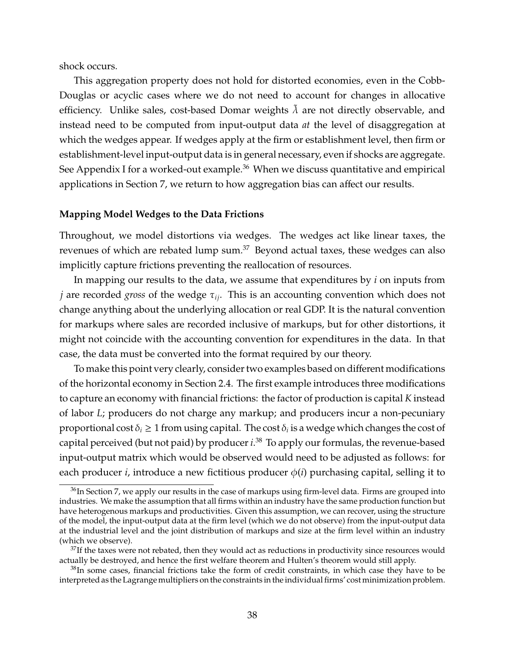shock occurs.

This aggregation property does not hold for distorted economies, even in the Cobb-Douglas or acyclic cases where we do not need to account for changes in allocative efficiency. Unlike sales, cost-based Domar weights  $\lambda$  are not directly observable, and instead need to be computed from input-output data *at* the level of disaggregation at which the wedges appear. If wedges apply at the firm or establishment level, then firm or establishment-level input-output data is in general necessary, even if shocks are aggregate. See Appendix [I](#page-80-0) for a worked-out example.<sup>[36](#page-0-0)</sup> When we discuss quantitative and empirical applications in Section [7,](#page-38-0) we return to how aggregation bias can affect our results.

#### **Mapping Model Wedges to the Data Frictions**

Throughout, we model distortions via wedges. The wedges act like linear taxes, the revenues of which are rebated lump sum.<sup>[37](#page-0-0)</sup> Beyond actual taxes, these wedges can also implicitly capture frictions preventing the reallocation of resources.

In mapping our results to the data, we assume that expenditures by *i* on inputs from *j* are recorded *gross* of the wedge τ*ij*. This is an accounting convention which does not change anything about the underlying allocation or real GDP. It is the natural convention for markups where sales are recorded inclusive of markups, but for other distortions, it might not coincide with the accounting convention for expenditures in the data. In that case, the data must be converted into the format required by our theory.

To make this point very clearly, consider two examples based on different modifications of the horizontal economy in Section [2.4.](#page-14-0) The first example introduces three modifications to capture an economy with financial frictions: the factor of production is capital *K* instead of labor *L*; producers do not charge any markup; and producers incur a non-pecuniary proportional cost  $\delta_i \geq 1$  from using capital. The cost  $\delta_i$  is a wedge which changes the cost of capital perceived (but not paid) by producer*i*. [38](#page-0-0) To apply our formulas, the revenue-based input-output matrix which would be observed would need to be adjusted as follows: for each producer *i*, introduce a new fictitious producer  $\phi(i)$  purchasing capital, selling it to

 $36$ In Section [7,](#page-38-0) we apply our results in the case of markups using firm-level data. Firms are grouped into industries. We make the assumption that all firms within an industry have the same production function but have heterogenous markups and productivities. Given this assumption, we can recover, using the structure of the model, the input-output data at the firm level (which we do not observe) from the input-output data at the industrial level and the joint distribution of markups and size at the firm level within an industry (which we observe).

 $37$ If the taxes were not rebated, then they would act as reductions in productivity since resources would actually be destroyed, and hence the first welfare theorem and Hulten's theorem would still apply.

 $38$ In some cases, financial frictions take the form of credit constraints, in which case they have to be interpreted as the Lagrange multipliers on the constraints in the individual firms' cost minimization problem.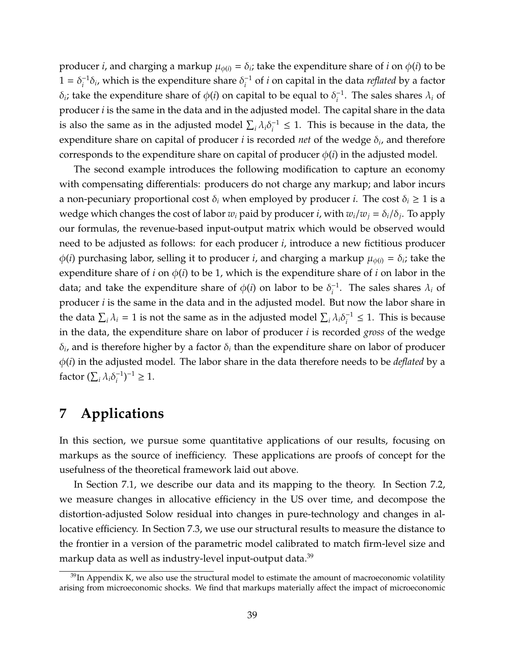producer *i,* and charging a markup  $\mu_{\phi(i)} = \delta_i$ ; take the expenditure share of *i* on  $\phi(i)$  to be  $1 = \delta_i^{-1}$  $\int_i^{-1} \delta_i$ , which is the expenditure share  $\delta_i^{-1}$ *i* of *i* on capital in the data *reflated* by a factor  $\delta_i$ ; take the expenditure share of  $\phi(i)$  on capital to be equal to  $\delta_i^{-1}$  $i^{\text{-}1}$ . The sales shares  $\lambda_i$  of producer *i* is the same in the data and in the adjusted model. The capital share in the data is also the same as in the adjusted model  $\sum_i \lambda_i \delta_i^{-1}$  $i<sup>j</sup> \leq 1$ . This is because in the data, the expenditure share on capital of producer *i* is recorded *net* of the wedge δ*<sup>i</sup>* , and therefore corresponds to the expenditure share on capital of producer  $\phi(i)$  in the adjusted model.

The second example introduces the following modification to capture an economy with compensating differentials: producers do not charge any markup; and labor incurs a non-pecuniary proportional cost  $\delta_i$  when employed by producer *i*. The cost  $\delta_i \geq 1$  is a wedge which changes the cost of labor  $w_i$  paid by producer  $i$ , with  $w_i/w_j = \delta_i/\delta_j$ . To apply our formulas, the revenue-based input-output matrix which would be observed would need to be adjusted as follows: for each producer *i*, introduce a new fictitious producer  $\phi$ (*i*) purchasing labor, selling it to producer *i*, and charging a markup  $\mu_{\phi(i)} = \delta_i$ ; take the expenditure share of *i* on  $\phi(i)$  to be 1, which is the expenditure share of *i* on labor in the data; and take the expenditure share of  $\phi(i)$  on labor to be  $\delta_i^{-1}$  $i^{\text{-}1}$ . The sales shares  $\lambda_i$  of producer *i* is the same in the data and in the adjusted model. But now the labor share in the data  $\sum_i \lambda_i = 1$  is not the same as in the adjusted model  $\sum_i \lambda_i \delta_i^{-1}$  $i<sup>j</sup> \leq 1$ . This is because in the data, the expenditure share on labor of producer *i* is recorded *gross* of the wedge  $\delta_i$ , and is therefore higher by a factor  $\delta_i$  than the expenditure share on labor of producer φ(*i*) in the adjusted model. The labor share in the data therefore needs to be *deflated* by a factor ( $\sum_i \lambda_i \delta_i^{-1}$  $i^{-1}$ <sup>-1</sup> ≥ 1.

### <span id="page-38-0"></span>**7 Applications**

In this section, we pursue some quantitative applications of our results, focusing on markups as the source of inefficiency. These applications are proofs of concept for the usefulness of the theoretical framework laid out above.

In Section [7.1,](#page-39-0) we describe our data and its mapping to the theory. In Section [7.2,](#page-42-0) we measure changes in allocative efficiency in the US over time, and decompose the distortion-adjusted Solow residual into changes in pure-technology and changes in allocative efficiency. In Section [7.3,](#page-44-0) we use our structural results to measure the distance to the frontier in a version of the parametric model calibrated to match firm-level size and markup data as well as industry-level input-output data.<sup>[39](#page-0-0)</sup>

 $39$ In Appendix [K,](#page-84-0) we also use the structural model to estimate the amount of macroeconomic volatility arising from microeconomic shocks. We find that markups materially affect the impact of microeconomic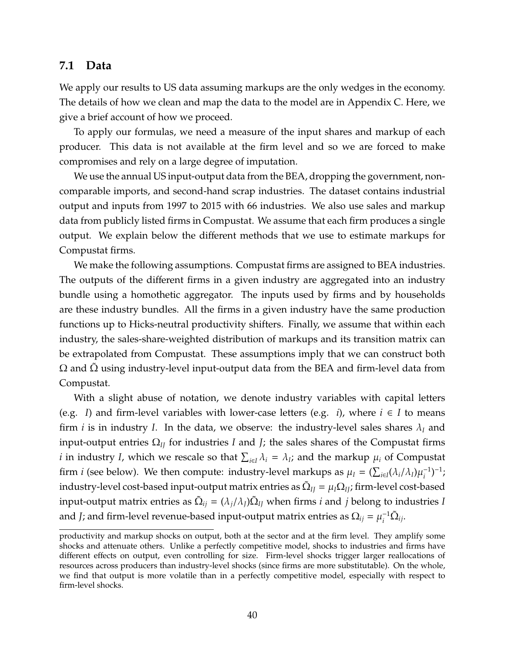#### <span id="page-39-0"></span>**7.1 Data**

We apply our results to US data assuming markups are the only wedges in the economy. The details of how we clean and map the data to the model are in Appendix [C.](#page-56-0) Here, we give a brief account of how we proceed.

To apply our formulas, we need a measure of the input shares and markup of each producer. This data is not available at the firm level and so we are forced to make compromises and rely on a large degree of imputation.

We use the annual US input-output data from the BEA, dropping the government, noncomparable imports, and second-hand scrap industries. The dataset contains industrial output and inputs from 1997 to 2015 with 66 industries. We also use sales and markup data from publicly listed firms in Compustat. We assume that each firm produces a single output. We explain below the different methods that we use to estimate markups for Compustat firms.

We make the following assumptions. Compustat firms are assigned to BEA industries. The outputs of the different firms in a given industry are aggregated into an industry bundle using a homothetic aggregator. The inputs used by firms and by households are these industry bundles. All the firms in a given industry have the same production functions up to Hicks-neutral productivity shifters. Finally, we assume that within each industry, the sales-share-weighted distribution of markups and its transition matrix can be extrapolated from Compustat. These assumptions imply that we can construct both  $Ω$  and  $Ω$  using industry-level input-output data from the BEA and firm-level data from Compustat.

With a slight abuse of notation, we denote industry variables with capital letters (e.g. *I*) and firm-level variables with lower-case letters (e.g. *i*), where  $i \in I$  to means firm *i* is in industry *I*. In the data, we observe: the industry-level sales shares  $\lambda_I$  and input-output entries  $\Omega_{II}$  for industries *I* and *J*; the sales shares of the Compustat firms *i* in industry *I*, which we rescale so that  $\sum_{i\in I}\lambda_i = \lambda_I$ ; and the markup  $\mu_i$  of Compustat firm *i* (see below). We then compute: industry-level markups as  $\mu_I = (\sum_{i \in I} (\lambda_i/\lambda_I) \mu_i^{-1})$  $i^{-1}$ )<sup>-1</sup>; industry-level cost-based input-output matrix entries as  $\tilde{\Omega}_{IJ} = \mu_I \Omega_{IJ}$ ; firm-level cost-based input-output matrix entries as  $\tilde{\Omega}_{ij} = (\lambda_j/\lambda_J)\tilde{\Omega}_{IJ}$  when firms *i* and *j* belong to industries *I* and *J;* and firm-level revenue-based input-output matrix entries as  $\Omega_{ij} = \mu_i^{-1} \tilde{\Omega}_{ij}$ .

productivity and markup shocks on output, both at the sector and at the firm level. They amplify some shocks and attenuate others. Unlike a perfectly competitive model, shocks to industries and firms have different effects on output, even controlling for size. Firm-level shocks trigger larger reallocations of resources across producers than industry-level shocks (since firms are more substitutable). On the whole, we find that output is more volatile than in a perfectly competitive model, especially with respect to firm-level shocks.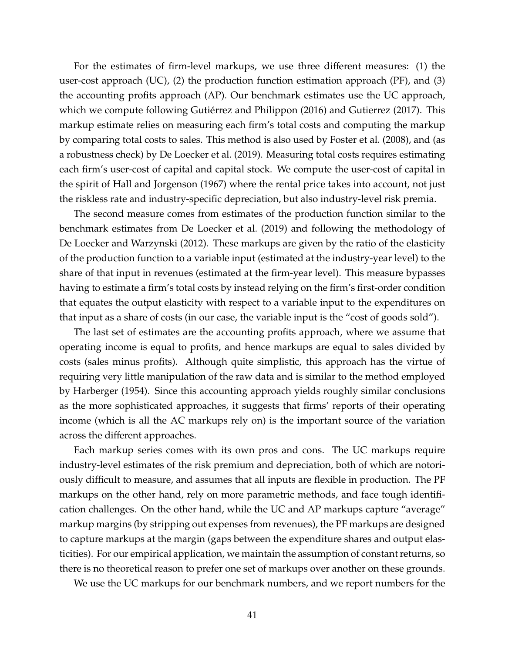For the estimates of firm-level markups, we use three different measures: (1) the user-cost approach (UC), (2) the production function estimation approach (PF), and (3) the accounting profits approach (AP). Our benchmark estimates use the UC approach, which we compute following Gutiérrez and Philippon [\(2016\)](#page-50-0) and [Gutierrez](#page-50-1) [\(2017\)](#page-50-1). This markup estimate relies on measuring each firm's total costs and computing the markup by comparing total costs to sales. This method is also used by [Foster et al.](#page-50-2) [\(2008\)](#page-50-2), and (as a robustness check) by [De Loecker et al.](#page-49-0) [\(2019\)](#page-49-0). Measuring total costs requires estimating each firm's user-cost of capital and capital stock. We compute the user-cost of capital in the spirit of [Hall and Jorgenson](#page-50-3) [\(1967\)](#page-50-3) where the rental price takes into account, not just the riskless rate and industry-specific depreciation, but also industry-level risk premia.

The second measure comes from estimates of the production function similar to the benchmark estimates from [De Loecker et al.](#page-49-0) [\(2019\)](#page-49-0) and following the methodology of [De Loecker and Warzynski](#page-49-1) [\(2012\)](#page-49-1). These markups are given by the ratio of the elasticity of the production function to a variable input (estimated at the industry-year level) to the share of that input in revenues (estimated at the firm-year level). This measure bypasses having to estimate a firm's total costs by instead relying on the firm's first-order condition that equates the output elasticity with respect to a variable input to the expenditures on that input as a share of costs (in our case, the variable input is the "cost of goods sold").

The last set of estimates are the accounting profits approach, where we assume that operating income is equal to profits, and hence markups are equal to sales divided by costs (sales minus profits). Although quite simplistic, this approach has the virtue of requiring very little manipulation of the raw data and is similar to the method employed by [Harberger](#page-50-4) [\(1954\)](#page-50-4). Since this accounting approach yields roughly similar conclusions as the more sophisticated approaches, it suggests that firms' reports of their operating income (which is all the AC markups rely on) is the important source of the variation across the different approaches.

Each markup series comes with its own pros and cons. The UC markups require industry-level estimates of the risk premium and depreciation, both of which are notoriously difficult to measure, and assumes that all inputs are flexible in production. The PF markups on the other hand, rely on more parametric methods, and face tough identification challenges. On the other hand, while the UC and AP markups capture "average" markup margins (by stripping out expenses from revenues), the PF markups are designed to capture markups at the margin (gaps between the expenditure shares and output elasticities). For our empirical application, we maintain the assumption of constant returns, so there is no theoretical reason to prefer one set of markups over another on these grounds.

We use the UC markups for our benchmark numbers, and we report numbers for the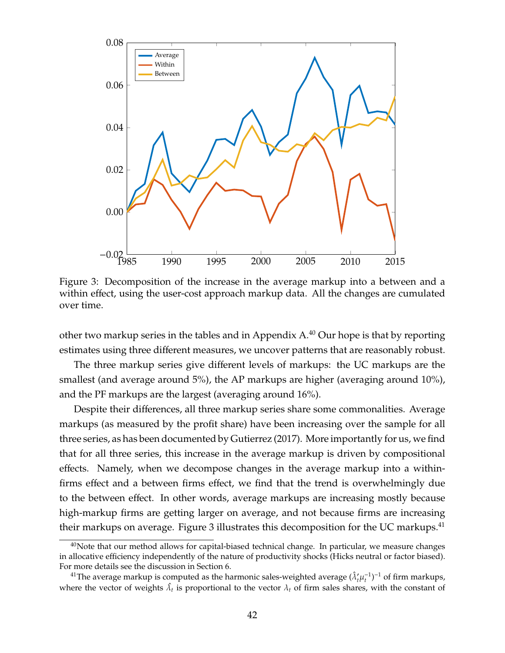<span id="page-41-0"></span>

Figure 3: Decomposition of the increase in the average markup into a between and a within effect, using the user-cost approach markup data. All the changes are cumulated over time.

other two markup series in the tables and in Appendix  $A<sup>40</sup>$  $A<sup>40</sup>$  $A<sup>40</sup>$  Our hope is that by reporting estimates using three different measures, we uncover patterns that are reasonably robust.

The three markup series give different levels of markups: the UC markups are the smallest (and average around 5%), the AP markups are higher (averaging around 10%), and the PF markups are the largest (averaging around 16%).

Despite their differences, all three markup series share some commonalities. Average markups (as measured by the profit share) have been increasing over the sample for all three series, as has been documented by [Gutierrez](#page-50-1) [\(2017\)](#page-50-1). More importantly for us, we find that for all three series, this increase in the average markup is driven by compositional effects. Namely, when we decompose changes in the average markup into a withinfirms effect and a between firms effect, we find that the trend is overwhelmingly due to the between effect. In other words, average markups are increasing mostly because high-markup firms are getting larger on average, and not because firms are increasing their markups on average. Figure [3](#page-41-0) illustrates this decomposition for the UC markups.<sup>[41](#page-0-0)</sup>

 $40$ Note that our method allows for capital-biased technical change. In particular, we measure changes in allocative efficiency independently of the nature of productivity shocks (Hicks neutral or factor biased). For more details see the discussion in Section [6.](#page-35-0)

<sup>&</sup>lt;sup>41</sup>The average markup is computed as the harmonic sales-weighted average  $(\hat{\lambda}'_t \mu_t^{-1})^{-1}$  of firm markups, where the vector of weights  $\hat{\lambda_t}$  is proportional to the vector  $\lambda_t$  of firm sales shares, with the constant of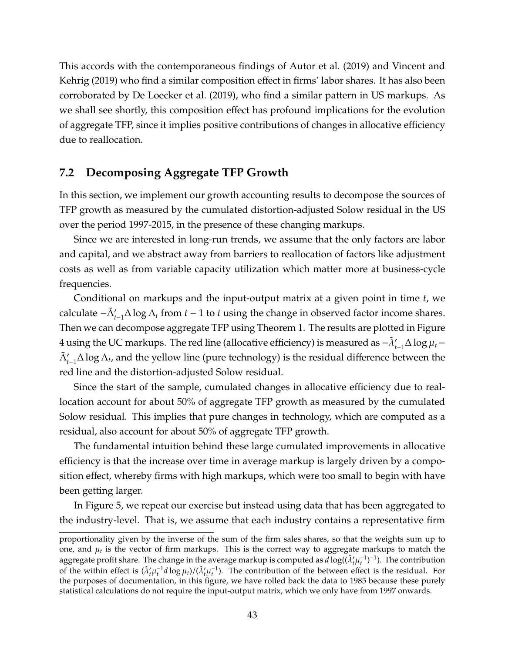This accords with the contemporaneous findings of [Autor et al.](#page-48-1) [\(2019\)](#page-48-1) and [Vincent and](#page-51-0) [Kehrig](#page-51-0) [\(2019\)](#page-51-0) who find a similar composition effect in firms' labor shares. It has also been corroborated by [De Loecker et al.](#page-49-0) [\(2019\)](#page-49-0), who find a similar pattern in US markups. As we shall see shortly, this composition effect has profound implications for the evolution of aggregate TFP, since it implies positive contributions of changes in allocative efficiency due to reallocation.

### <span id="page-42-0"></span>**7.2 Decomposing Aggregate TFP Growth**

In this section, we implement our growth accounting results to decompose the sources of TFP growth as measured by the cumulated distortion-adjusted Solow residual in the US over the period 1997-2015, in the presence of these changing markups.

Since we are interested in long-run trends, we assume that the only factors are labor and capital, and we abstract away from barriers to reallocation of factors like adjustment costs as well as from variable capacity utilization which matter more at business-cycle frequencies.

Conditional on markups and the input-output matrix at a given point in time *t*, we calculate  $-\tilde{\Lambda}'_{t-1}\Delta \log \Lambda_t$  from  $t-1$  to  $t$  using the change in observed factor income shares. Then we can decompose aggregate TFP using Theorem [1.](#page-20-0) The results are plotted in Figure [4](#page-43-0) using the UC markups. The red line (allocative efficiency) is measured as  $-\tilde{\lambda}'_{t-1}\Delta\log\mu_t$  –  $\tilde{\Lambda}'_{t-1}\Delta\log\Lambda_t$ , and the yellow line (pure technology) is the residual difference between the red line and the distortion-adjusted Solow residual.

Since the start of the sample, cumulated changes in allocative efficiency due to reallocation account for about 50% of aggregate TFP growth as measured by the cumulated Solow residual. This implies that pure changes in technology, which are computed as a residual, also account for about 50% of aggregate TFP growth.

The fundamental intuition behind these large cumulated improvements in allocative efficiency is that the increase over time in average markup is largely driven by a composition effect, whereby firms with high markups, which were too small to begin with have been getting larger.

In Figure [5,](#page-43-0) we repeat our exercise but instead using data that has been aggregated to the industry-level. That is, we assume that each industry contains a representative firm

proportionality given by the inverse of the sum of the firm sales shares, so that the weights sum up to one, and  $\mu_t$  is the vector of firm markups. This is the correct way to aggregate markups to match the aggregate profit share. The change in the average markup is computed as  $d\log((\hat{\lambda}'_t\mu_t^{-1})^{-1})$ . The contribution of the within effect is  $(\hat{\lambda}'_t \mu_t^{-1} d \log \mu_t) / (\hat{\lambda}'_t \mu_t^{-1})$ . The contribution of the between effect is the residual. For the purposes of documentation, in this figure, we have rolled back the data to 1985 because these purely statistical calculations do not require the input-output matrix, which we only have from 1997 onwards.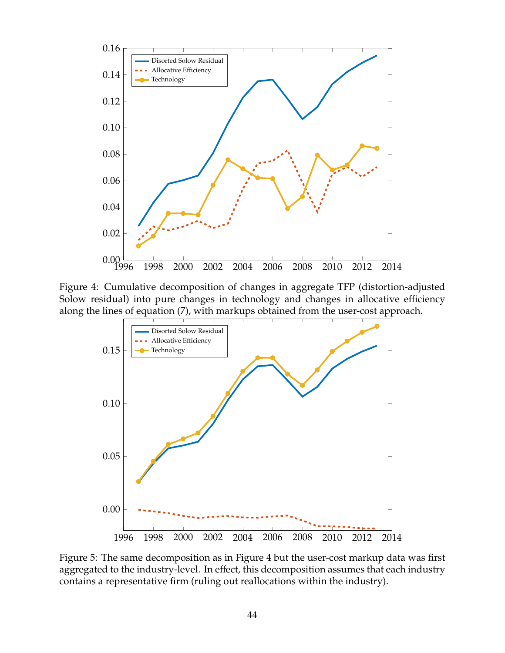<span id="page-43-0"></span>

Figure 4: Cumulative decomposition of changes in aggregate TFP (distortion-adjusted Solow residual) into pure changes in technology and changes in allocative efficiency along the lines of equation [\(7\)](#page-20-1), with markups obtained from the user-cost approach.



Figure 5: The same decomposition as in Figure [4](#page-43-0) but the user-cost markup data was first aggregated to the industry-level. In effect, this decomposition assumes that each industry contains a representative firm (ruling out reallocations within the industry).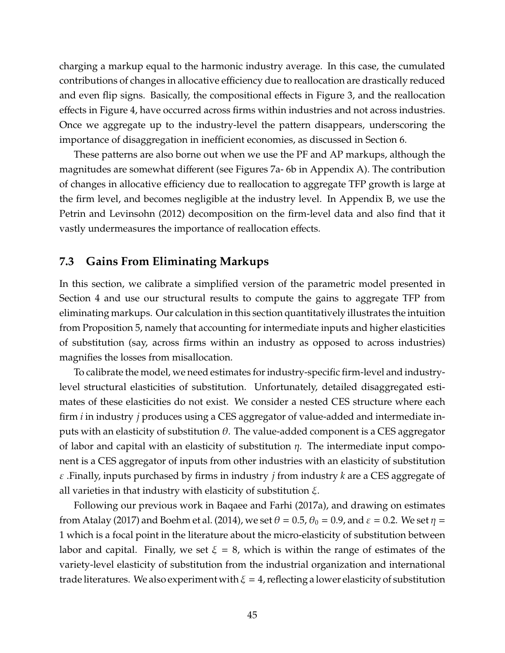charging a markup equal to the harmonic industry average. In this case, the cumulated contributions of changes in allocative efficiency due to reallocation are drastically reduced and even flip signs. Basically, the compositional effects in Figure [3,](#page-41-0) and the reallocation effects in Figure [4,](#page-43-0) have occurred across firms within industries and not across industries. Once we aggregate up to the industry-level the pattern disappears, underscoring the importance of disaggregation in inefficient economies, as discussed in Section [6.](#page-35-0)

These patterns are also borne out when we use the PF and AP markups, although the magnitudes are somewhat different (see Figures [7a-](#page-52-1) [6b](#page-52-2) in Appendix [A\)](#page-52-0). The contribution of changes in allocative efficiency due to reallocation to aggregate TFP growth is large at the firm level, and becomes negligible at the industry level. In Appendix [B,](#page-55-0) we use the [Petrin and Levinsohn](#page-51-1) [\(2012\)](#page-51-1) decomposition on the firm-level data and also find that it vastly undermeasures the importance of reallocation effects.

#### <span id="page-44-0"></span>**7.3 Gains From Eliminating Markups**

In this section, we calibrate a simplified version of the parametric model presented in Section [4](#page-24-0) and use our structural results to compute the gains to aggregate TFP from eliminating markups. Our calculation in this section quantitatively illustrates the intuition from Proposition [5,](#page-31-0) namely that accounting for intermediate inputs and higher elasticities of substitution (say, across firms within an industry as opposed to across industries) magnifies the losses from misallocation.

To calibrate the model, we need estimates for industry-specific firm-level and industrylevel structural elasticities of substitution. Unfortunately, detailed disaggregated estimates of these elasticities do not exist. We consider a nested CES structure where each firm *i* in industry *j* produces using a CES aggregator of value-added and intermediate inputs with an elasticity of substitution  $\theta$ . The value-added component is a CES aggregator of labor and capital with an elasticity of substitution  $\eta$ . The intermediate input component is a CES aggregator of inputs from other industries with an elasticity of substitution ε .Finally, inputs purchased by firms in industry *j* from industry *k* are a CES aggregate of all varieties in that industry with elasticity of substitution  $\xi$ .

Following our previous work in [Baqaee and Farhi](#page-48-0) [\(2017a\)](#page-48-0), and drawing on estimates from [Atalay](#page-48-2) [\(2017\)](#page-48-2) and [Boehm et al.](#page-49-2) [\(2014\)](#page-49-2), we set  $\theta = 0.5$ ,  $\theta_0 = 0.9$ , and  $\varepsilon = 0.2$ . We set  $\eta =$ 1 which is a focal point in the literature about the micro-elasticity of substitution between labor and capital. Finally, we set  $\xi = 8$ , which is within the range of estimates of the variety-level elasticity of substitution from the industrial organization and international trade literatures. We also experiment with  $\xi = 4$ , reflecting a lower elasticity of substitution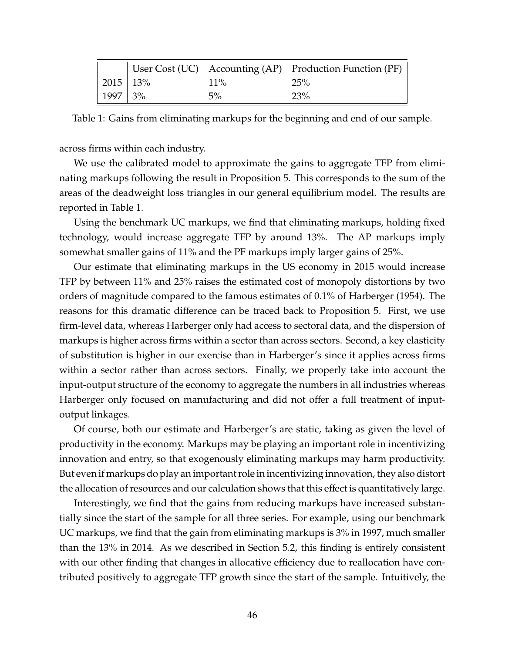<span id="page-45-0"></span>

|                  |        | User Cost (UC) Accounting (AP) Production Function (PF) |
|------------------|--------|---------------------------------------------------------|
| $2015 \mid 13\%$ | $11\%$ | 25%                                                     |
| $1997 \mid 3\%$  | 5%     | <b>23%</b>                                              |

Table 1: Gains from eliminating markups for the beginning and end of our sample.

across firms within each industry.

We use the calibrated model to approximate the gains to aggregate TFP from eliminating markups following the result in Proposition [5.](#page-31-0) This corresponds to the sum of the areas of the deadweight loss triangles in our general equilibrium model. The results are reported in Table [1.](#page-45-0)

Using the benchmark UC markups, we find that eliminating markups, holding fixed technology, would increase aggregate TFP by around 13%. The AP markups imply somewhat smaller gains of 11% and the PF markups imply larger gains of 25%.

Our estimate that eliminating markups in the US economy in 2015 would increase TFP by between 11% and 25% raises the estimated cost of monopoly distortions by two orders of magnitude compared to the famous estimates of 0.1% of [Harberger](#page-50-4) [\(1954\)](#page-50-4). The reasons for this dramatic difference can be traced back to Proposition [5.](#page-31-0) First, we use firm-level data, whereas Harberger only had access to sectoral data, and the dispersion of markups is higher across firms within a sector than across sectors. Second, a key elasticity of substitution is higher in our exercise than in Harberger's since it applies across firms within a sector rather than across sectors. Finally, we properly take into account the input-output structure of the economy to aggregate the numbers in all industries whereas Harberger only focused on manufacturing and did not offer a full treatment of inputoutput linkages.

Of course, both our estimate and Harberger's are static, taking as given the level of productivity in the economy. Markups may be playing an important role in incentivizing innovation and entry, so that exogenously eliminating markups may harm productivity. But even if markups do play an important role in incentivizing innovation, they also distort the allocation of resources and our calculation shows that this effect is quantitatively large.

Interestingly, we find that the gains from reducing markups have increased substantially since the start of the sample for all three series. For example, using our benchmark UC markups, we find that the gain from eliminating markups is 3% in 1997, much smaller than the 13% in 2014. As we described in Section [5.2,](#page-33-0) this finding is entirely consistent with our other finding that changes in allocative efficiency due to reallocation have contributed positively to aggregate TFP growth since the start of the sample. Intuitively, the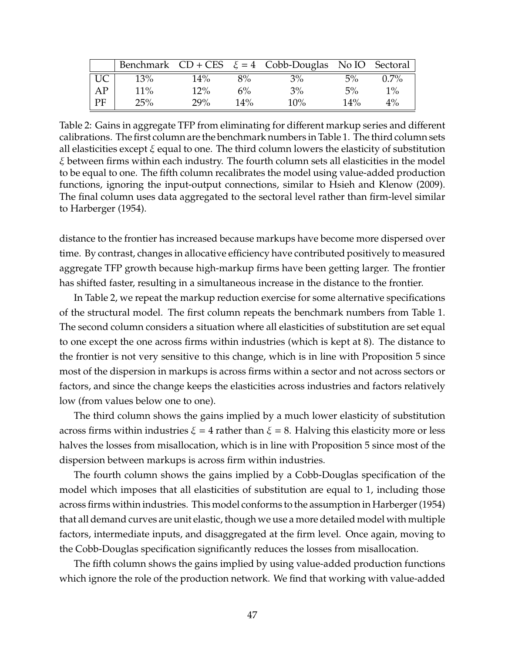<span id="page-46-0"></span>

|    |     |     |        | Benchmark $CD + CES \xi = 4$ Cobb-Douglas No IO Sectoral |     |         |
|----|-----|-----|--------|----------------------------------------------------------|-----|---------|
| UC | 13% | 14% | 8%     | 3%                                                       | 5%  | $0.7\%$ |
| AP | 11% | 12% | 6%     | 3%                                                       | 5%  | $1\%$   |
| PF | 25% | 29% | $14\%$ | $10\%$                                                   | 14% | $4\%$   |

Table 2: Gains in aggregate TFP from eliminating for different markup series and different calibrations. The first column are the benchmark numbers in Table [1.](#page-45-0) The third column sets all elasticities except  $\xi$  equal to one. The third column lowers the elasticity of substitution ξ between firms within each industry. The fourth column sets all elasticities in the model to be equal to one. The fifth column recalibrates the model using value-added production functions, ignoring the input-output connections, similar to [Hsieh and Klenow](#page-50-5) [\(2009\)](#page-50-5). The final column uses data aggregated to the sectoral level rather than firm-level similar to [Harberger](#page-50-4) [\(1954\)](#page-50-4).

distance to the frontier has increased because markups have become more dispersed over time. By contrast, changes in allocative efficiency have contributed positively to measured aggregate TFP growth because high-markup firms have been getting larger. The frontier has shifted faster, resulting in a simultaneous increase in the distance to the frontier.

In Table [2,](#page-46-0) we repeat the markup reduction exercise for some alternative specifications of the structural model. The first column repeats the benchmark numbers from Table [1.](#page-45-0) The second column considers a situation where all elasticities of substitution are set equal to one except the one across firms within industries (which is kept at 8). The distance to the frontier is not very sensitive to this change, which is in line with Proposition [5](#page-31-0) since most of the dispersion in markups is across firms within a sector and not across sectors or factors, and since the change keeps the elasticities across industries and factors relatively low (from values below one to one).

The third column shows the gains implied by a much lower elasticity of substitution across firms within industries  $\xi = 4$  rather than  $\xi = 8$ . Halving this elasticity more or less halves the losses from misallocation, which is in line with Proposition [5](#page-31-0) since most of the dispersion between markups is across firm within industries.

The fourth column shows the gains implied by a Cobb-Douglas specification of the model which imposes that all elasticities of substitution are equal to 1, including those across firms within industries. This model conforms to the assumption in [Harberger](#page-50-4) [\(1954\)](#page-50-4) that all demand curves are unit elastic, though we use a more detailed model with multiple factors, intermediate inputs, and disaggregated at the firm level. Once again, moving to the Cobb-Douglas specification significantly reduces the losses from misallocation.

The fifth column shows the gains implied by using value-added production functions which ignore the role of the production network. We find that working with value-added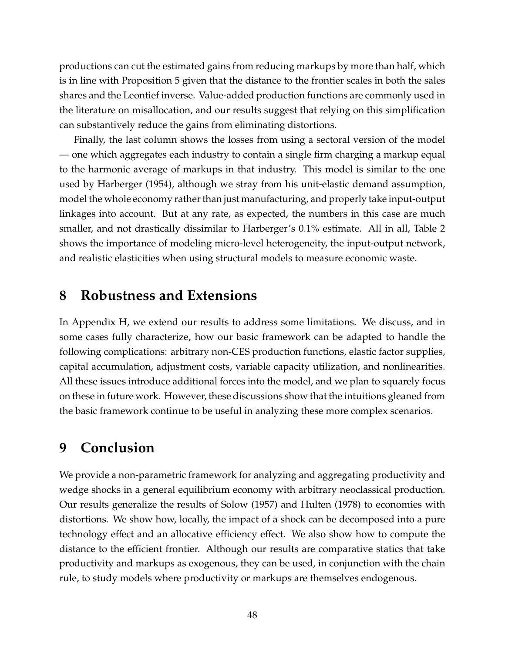productions can cut the estimated gains from reducing markups by more than half, which is in line with Proposition [5](#page-31-0) given that the distance to the frontier scales in both the sales shares and the Leontief inverse. Value-added production functions are commonly used in the literature on misallocation, and our results suggest that relying on this simplification can substantively reduce the gains from eliminating distortions.

Finally, the last column shows the losses from using a sectoral version of the model — one which aggregates each industry to contain a single firm charging a markup equal to the harmonic average of markups in that industry. This model is similar to the one used by [Harberger](#page-50-4) [\(1954\)](#page-50-4), although we stray from his unit-elastic demand assumption, model the whole economy rather than just manufacturing, and properly take input-output linkages into account. But at any rate, as expected, the numbers in this case are much smaller, and not drastically dissimilar to Harberger's 0.1% estimate. All in all, Table [2](#page-46-0) shows the importance of modeling micro-level heterogeneity, the input-output network, and realistic elasticities when using structural models to measure economic waste.

### **8 Robustness and Extensions**

In Appendix [H,](#page-73-0) we extend our results to address some limitations. We discuss, and in some cases fully characterize, how our basic framework can be adapted to handle the following complications: arbitrary non-CES production functions, elastic factor supplies, capital accumulation, adjustment costs, variable capacity utilization, and nonlinearities. All these issues introduce additional forces into the model, and we plan to squarely focus on these in future work. However, these discussions show that the intuitions gleaned from the basic framework continue to be useful in analyzing these more complex scenarios.

### **9 Conclusion**

We provide a non-parametric framework for analyzing and aggregating productivity and wedge shocks in a general equilibrium economy with arbitrary neoclassical production. Our results generalize the results of [Solow](#page-51-2) [\(1957\)](#page-51-2) and [Hulten](#page-50-6) [\(1978\)](#page-50-6) to economies with distortions. We show how, locally, the impact of a shock can be decomposed into a pure technology effect and an allocative efficiency effect. We also show how to compute the distance to the efficient frontier. Although our results are comparative statics that take productivity and markups as exogenous, they can be used, in conjunction with the chain rule, to study models where productivity or markups are themselves endogenous.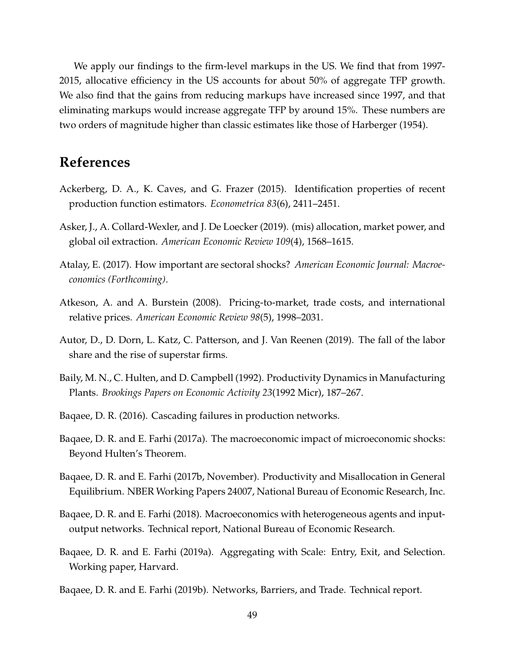We apply our findings to the firm-level markups in the US. We find that from 1997- 2015, allocative efficiency in the US accounts for about 50% of aggregate TFP growth. We also find that the gains from reducing markups have increased since 1997, and that eliminating markups would increase aggregate TFP by around 15%. These numbers are two orders of magnitude higher than classic estimates like those of [Harberger](#page-50-4) [\(1954\)](#page-50-4).

### **References**

- <span id="page-48-3"></span>Ackerberg, D. A., K. Caves, and G. Frazer (2015). Identification properties of recent production function estimators. *Econometrica 83*(6), 2411–2451.
- Asker, J., A. Collard-Wexler, and J. De Loecker (2019). (mis) allocation, market power, and global oil extraction. *American Economic Review 109*(4), 1568–1615.
- <span id="page-48-2"></span>Atalay, E. (2017). How important are sectoral shocks? *American Economic Journal: Macroeconomics (Forthcoming)*.
- <span id="page-48-5"></span>Atkeson, A. and A. Burstein (2008). Pricing-to-market, trade costs, and international relative prices. *American Economic Review 98*(5), 1998–2031.
- <span id="page-48-1"></span>Autor, D., D. Dorn, L. Katz, C. Patterson, and J. Van Reenen (2019). The fall of the labor share and the rise of superstar firms.
- Baily, M. N., C. Hulten, and D. Campbell (1992). Productivity Dynamics in Manufacturing Plants. *Brookings Papers on Economic Activity 23*(1992 Micr), 187–267.
- Baqaee, D. R. (2016). Cascading failures in production networks.
- <span id="page-48-0"></span>Baqaee, D. R. and E. Farhi (2017a). The macroeconomic impact of microeconomic shocks: Beyond Hulten's Theorem.
- Baqaee, D. R. and E. Farhi (2017b, November). Productivity and Misallocation in General Equilibrium. NBER Working Papers 24007, National Bureau of Economic Research, Inc.
- Baqaee, D. R. and E. Farhi (2018). Macroeconomics with heterogeneous agents and inputoutput networks. Technical report, National Bureau of Economic Research.
- Baqaee, D. R. and E. Farhi (2019a). Aggregating with Scale: Entry, Exit, and Selection. Working paper, Harvard.
- <span id="page-48-4"></span>Baqaee, D. R. and E. Farhi (2019b). Networks, Barriers, and Trade. Technical report.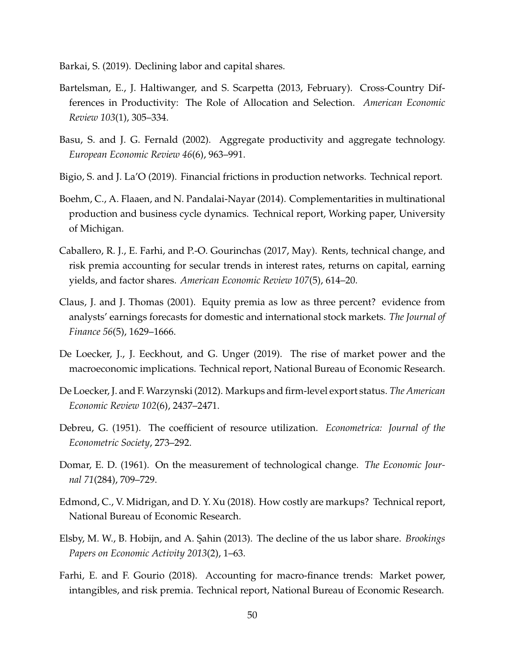Barkai, S. (2019). Declining labor and capital shares.

- Bartelsman, E., J. Haltiwanger, and S. Scarpetta (2013, February). Cross-Country Differences in Productivity: The Role of Allocation and Selection. *American Economic Review 103*(1), 305–334.
- Basu, S. and J. G. Fernald (2002). Aggregate productivity and aggregate technology. *European Economic Review 46*(6), 963–991.
- Bigio, S. and J. La'O (2019). Financial frictions in production networks. Technical report.
- <span id="page-49-2"></span>Boehm, C., A. Flaaen, and N. Pandalai-Nayar (2014). Complementarities in multinational production and business cycle dynamics. Technical report, Working paper, University of Michigan.
- Caballero, R. J., E. Farhi, and P.-O. Gourinchas (2017, May). Rents, technical change, and risk premia accounting for secular trends in interest rates, returns on capital, earning yields, and factor shares. *American Economic Review 107*(5), 614–20.
- <span id="page-49-3"></span>Claus, J. and J. Thomas (2001). Equity premia as low as three percent? evidence from analysts' earnings forecasts for domestic and international stock markets. *The Journal of Finance 56*(5), 1629–1666.
- <span id="page-49-0"></span>De Loecker, J., J. Eeckhout, and G. Unger (2019). The rise of market power and the macroeconomic implications. Technical report, National Bureau of Economic Research.
- <span id="page-49-1"></span>De Loecker, J. and F. Warzynski (2012). Markups and firm-level export status. *The American Economic Review 102*(6), 2437–2471.
- Debreu, G. (1951). The coefficient of resource utilization. *Econometrica: Journal of the Econometric Society*, 273–292.
- Domar, E. D. (1961). On the measurement of technological change. *The Economic Journal 71*(284), 709–729.
- Edmond, C., V. Midrigan, and D. Y. Xu (2018). How costly are markups? Technical report, National Bureau of Economic Research.
- Elsby, M. W., B. Hobijn, and A. Şahin (2013). The decline of the us labor share. *Brookings Papers on Economic Activity 2013*(2), 1–63.
- Farhi, E. and F. Gourio (2018). Accounting for macro-finance trends: Market power, intangibles, and risk premia. Technical report, National Bureau of Economic Research.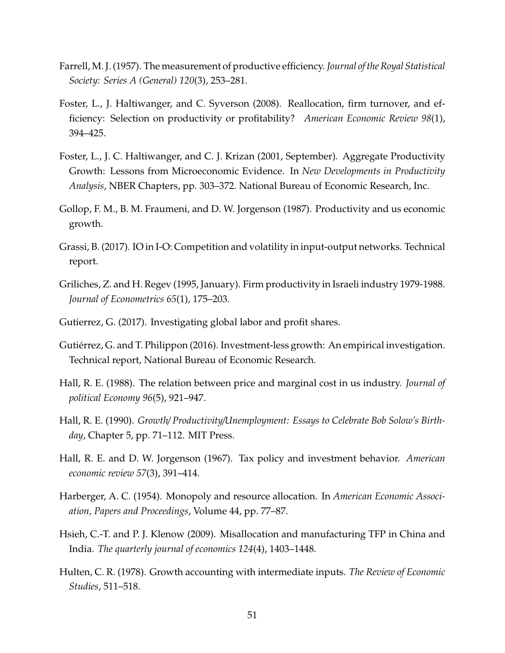- Farrell, M. J. (1957). The measurement of productive efficiency. *Journal of the Royal Statistical Society: Series A (General) 120*(3), 253–281.
- <span id="page-50-2"></span>Foster, L., J. Haltiwanger, and C. Syverson (2008). Reallocation, firm turnover, and efficiency: Selection on productivity or profitability? *American Economic Review 98*(1), 394–425.
- Foster, L., J. C. Haltiwanger, and C. J. Krizan (2001, September). Aggregate Productivity Growth: Lessons from Microeconomic Evidence. In *New Developments in Productivity Analysis*, NBER Chapters, pp. 303–372. National Bureau of Economic Research, Inc.
- Gollop, F. M., B. M. Fraumeni, and D. W. Jorgenson (1987). Productivity and us economic growth.
- Grassi, B. (2017). IO in I-O: Competition and volatility in input-output networks. Technical report.
- Griliches, Z. and H. Regev (1995, January). Firm productivity in Israeli industry 1979-1988. *Journal of Econometrics 65*(1), 175–203.
- <span id="page-50-1"></span>Gutierrez, G. (2017). Investigating global labor and profit shares.
- <span id="page-50-0"></span>Gutiérrez, G. and T. Philippon (2016). Investment-less growth: An empirical investigation. Technical report, National Bureau of Economic Research.
- <span id="page-50-7"></span>Hall, R. E. (1988). The relation between price and marginal cost in us industry. *Journal of political Economy 96*(5), 921–947.
- Hall, R. E. (1990). *Growth*/ *Productivity*/*Unemployment: Essays to Celebrate Bob Solow's Birthday*, Chapter 5, pp. 71–112. MIT Press.
- <span id="page-50-3"></span>Hall, R. E. and D. W. Jorgenson (1967). Tax policy and investment behavior. *American economic review 57*(3), 391–414.
- <span id="page-50-4"></span>Harberger, A. C. (1954). Monopoly and resource allocation. In *American Economic Association, Papers and Proceedings*, Volume 44, pp. 77–87.
- <span id="page-50-5"></span>Hsieh, C.-T. and P. J. Klenow (2009). Misallocation and manufacturing TFP in China and India. *The quarterly journal of economics 124*(4), 1403–1448.
- <span id="page-50-6"></span>Hulten, C. R. (1978). Growth accounting with intermediate inputs. *The Review of Economic Studies*, 511–518.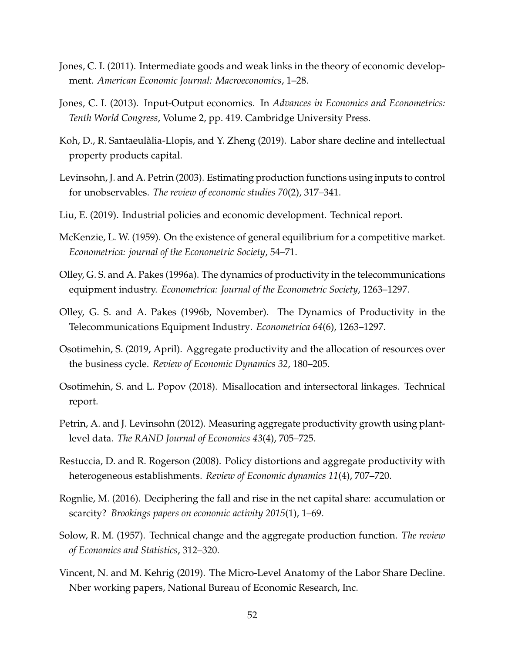- Jones, C. I. (2011). Intermediate goods and weak links in the theory of economic development. *American Economic Journal: Macroeconomics*, 1–28.
- Jones, C. I. (2013). Input-Output economics. In *Advances in Economics and Econometrics: Tenth World Congress*, Volume 2, pp. 419. Cambridge University Press.
- Koh, D., R. Santaeulalia-Llopis, and Y. Zheng (2019). Labor share decline and intellectual ` property products capital.
- <span id="page-51-4"></span>Levinsohn, J. and A. Petrin (2003). Estimating production functions using inputs to control for unobservables. *The review of economic studies 70*(2), 317–341.
- Liu, E. (2019). Industrial policies and economic development. Technical report.
- McKenzie, L. W. (1959). On the existence of general equilibrium for a competitive market. *Econometrica: journal of the Econometric Society*, 54–71.
- <span id="page-51-3"></span>Olley, G. S. and A. Pakes (1996a). The dynamics of productivity in the telecommunications equipment industry. *Econometrica: Journal of the Econometric Society*, 1263–1297.
- Olley, G. S. and A. Pakes (1996b, November). The Dynamics of Productivity in the Telecommunications Equipment Industry. *Econometrica 64*(6), 1263–1297.
- Osotimehin, S. (2019, April). Aggregate productivity and the allocation of resources over the business cycle. *Review of Economic Dynamics 32*, 180–205.
- Osotimehin, S. and L. Popov (2018). Misallocation and intersectoral linkages. Technical report.
- <span id="page-51-1"></span>Petrin, A. and J. Levinsohn (2012). Measuring aggregate productivity growth using plantlevel data. *The RAND Journal of Economics 43*(4), 705–725.
- Restuccia, D. and R. Rogerson (2008). Policy distortions and aggregate productivity with heterogeneous establishments. *Review of Economic dynamics 11*(4), 707–720.
- Rognlie, M. (2016). Deciphering the fall and rise in the net capital share: accumulation or scarcity? *Brookings papers on economic activity 2015*(1), 1–69.
- <span id="page-51-2"></span>Solow, R. M. (1957). Technical change and the aggregate production function. *The review of Economics and Statistics*, 312–320.
- <span id="page-51-0"></span>Vincent, N. and M. Kehrig (2019). The Micro-Level Anatomy of the Labor Share Decline. Nber working papers, National Bureau of Economic Research, Inc.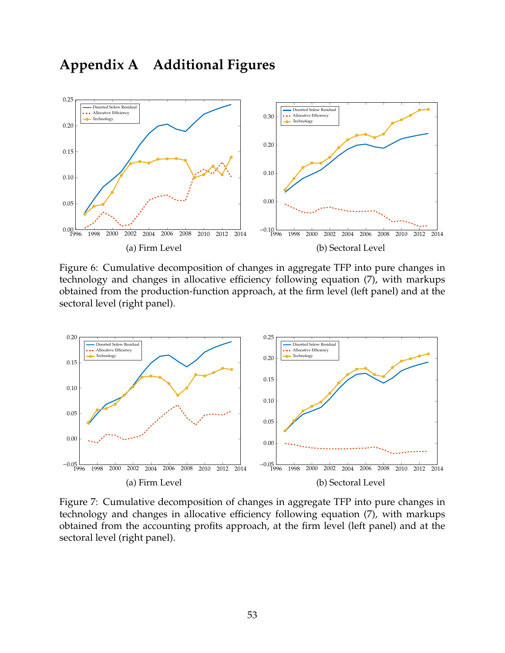<span id="page-52-2"></span>

# <span id="page-52-0"></span>**Appendix A Additional Figures**

Figure 6: Cumulative decomposition of changes in aggregate TFP into pure changes in technology and changes in allocative efficiency following equation [\(7\)](#page-20-1), with markups obtained from the production-function approach, at the firm level (left panel) and at the sectoral level (right panel).

<span id="page-52-1"></span>

Figure 7: Cumulative decomposition of changes in aggregate TFP into pure changes in technology and changes in allocative efficiency following equation [\(7\)](#page-20-1), with markups obtained from the accounting profits approach, at the firm level (left panel) and at the sectoral level (right panel).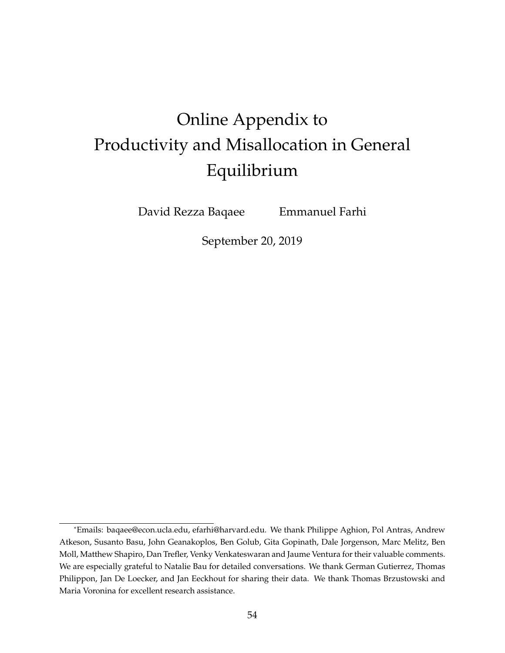# Online Appendix to Productivity and Misallocation in General Equilibrium

David Rezza Baqaee Emmanuel Farhi

September 20, 2019

<sup>∗</sup>Emails: baqaee@econ.ucla.edu, efarhi@harvard.edu. We thank Philippe Aghion, Pol Antras, Andrew Atkeson, Susanto Basu, John Geanakoplos, Ben Golub, Gita Gopinath, Dale Jorgenson, Marc Melitz, Ben Moll, Matthew Shapiro, Dan Trefler, Venky Venkateswaran and Jaume Ventura for their valuable comments. We are especially grateful to Natalie Bau for detailed conversations. We thank German Gutierrez, Thomas Philippon, Jan De Loecker, and Jan Eeckhout for sharing their data. We thank Thomas Brzustowski and Maria Voronina for excellent research assistance.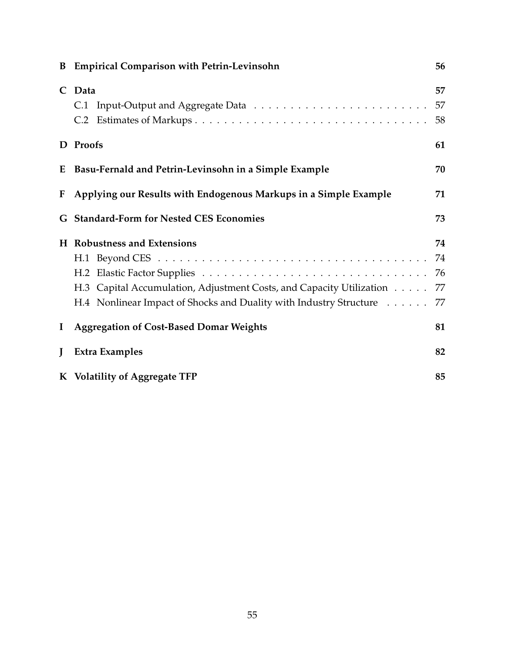|   | <b>B</b> Empirical Comparison with Petrin-Levinsohn                   | 56 |
|---|-----------------------------------------------------------------------|----|
|   | C Data                                                                | 57 |
|   |                                                                       | 57 |
|   |                                                                       | 58 |
|   | D Proofs                                                              | 61 |
| E | Basu-Fernald and Petrin-Levinsohn in a Simple Example                 | 70 |
| F | Applying our Results with Endogenous Markups in a Simple Example      | 71 |
|   | G Standard-Form for Nested CES Economies                              | 73 |
|   | H Robustness and Extensions                                           | 74 |
|   |                                                                       | 74 |
|   |                                                                       | 76 |
|   | H.3 Capital Accumulation, Adjustment Costs, and Capacity Utilization  | 77 |
|   | H.4 Nonlinear Impact of Shocks and Duality with Industry Structure 77 |    |
|   | <b>Aggregation of Cost-Based Domar Weights</b>                        | 81 |
| J | <b>Extra Examples</b>                                                 | 82 |
|   | K Volatility of Aggregate TFP                                         | 85 |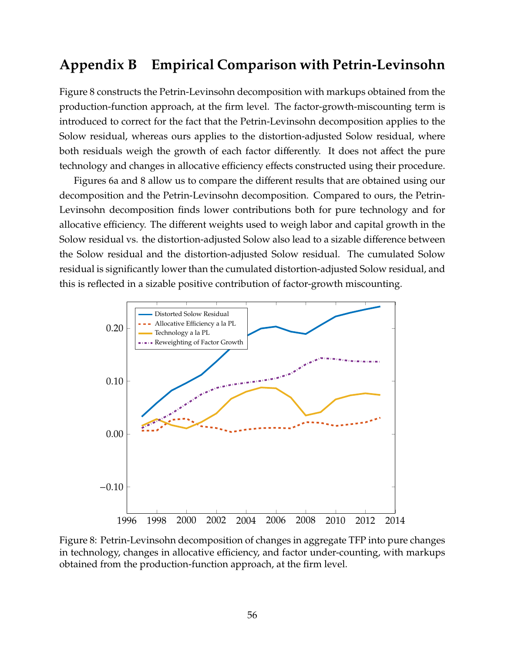## <span id="page-55-0"></span>**Appendix B Empirical Comparison with Petrin-Levinsohn**

Figure [8](#page-55-1) constructs the Petrin-Levinsohn decomposition with markups obtained from the production-function approach, at the firm level. The factor-growth-miscounting term is introduced to correct for the fact that the Petrin-Levinsohn decomposition applies to the Solow residual, whereas ours applies to the distortion-adjusted Solow residual, where both residuals weigh the growth of each factor differently. It does not affect the pure technology and changes in allocative efficiency effects constructed using their procedure.

Figures [6a](#page-52-2) and [8](#page-55-1) allow us to compare the different results that are obtained using our decomposition and the Petrin-Levinsohn decomposition. Compared to ours, the Petrin-Levinsohn decomposition finds lower contributions both for pure technology and for allocative efficiency. The different weights used to weigh labor and capital growth in the Solow residual vs. the distortion-adjusted Solow also lead to a sizable difference between the Solow residual and the distortion-adjusted Solow residual. The cumulated Solow residual is significantly lower than the cumulated distortion-adjusted Solow residual, and this is reflected in a sizable positive contribution of factor-growth miscounting.

<span id="page-55-1"></span>

Figure 8: Petrin-Levinsohn decomposition of changes in aggregate TFP into pure changes in technology, changes in allocative efficiency, and factor under-counting, with markups obtained from the production-function approach, at the firm level.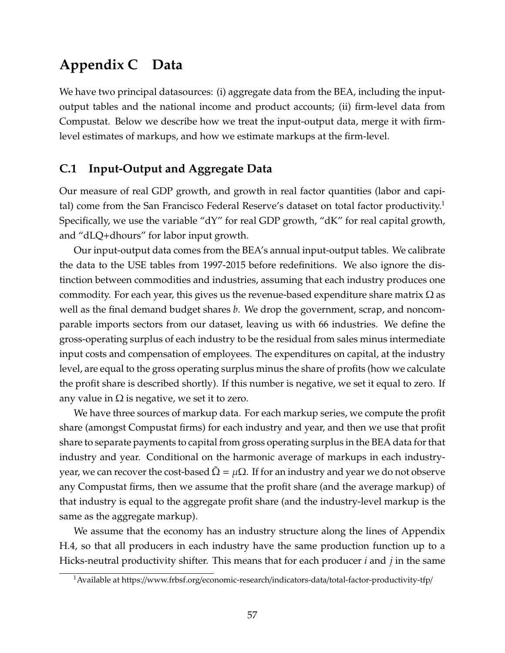## <span id="page-56-0"></span>**Appendix C Data**

We have two principal datasources: (i) aggregate data from the BEA, including the inputoutput tables and the national income and product accounts; (ii) firm-level data from Compustat. Below we describe how we treat the input-output data, merge it with firmlevel estimates of markups, and how we estimate markups at the firm-level.

### <span id="page-56-1"></span>**C.1 Input-Output and Aggregate Data**

Our measure of real GDP growth, and growth in real factor quantities (labor and capi-tal) come from the San Francisco Federal Reserve's dataset on total factor productivity.<sup>[1](#page-0-0)</sup> Specifically, we use the variable "dY" for real GDP growth, "dK" for real capital growth, and "dLQ+dhours" for labor input growth.

Our input-output data comes from the BEA's annual input-output tables. We calibrate the data to the USE tables from 1997-2015 before redefinitions. We also ignore the distinction between commodities and industries, assuming that each industry produces one commodity. For each year, this gives us the revenue-based expenditure share matrix  $\Omega$  as well as the final demand budget shares *b*. We drop the government, scrap, and noncomparable imports sectors from our dataset, leaving us with 66 industries. We define the gross-operating surplus of each industry to be the residual from sales minus intermediate input costs and compensation of employees. The expenditures on capital, at the industry level, are equal to the gross operating surplus minus the share of profits (how we calculate the profit share is described shortly). If this number is negative, we set it equal to zero. If any value in  $\Omega$  is negative, we set it to zero.

We have three sources of markup data. For each markup series, we compute the profit share (amongst Compustat firms) for each industry and year, and then we use that profit share to separate payments to capital from gross operating surplus in the BEA data for that industry and year. Conditional on the harmonic average of markups in each industryyear, we can recover the cost-based  $\Omega = \mu\Omega$ . If for an industry and year we do not observe any Compustat firms, then we assume that the profit share (and the average markup) of that industry is equal to the aggregate profit share (and the industry-level markup is the same as the aggregate markup).

We assume that the economy has an industry structure along the lines of Appendix [H.4,](#page-76-1) so that all producers in each industry have the same production function up to a Hicks-neutral productivity shifter. This means that for each producer *i* and *j* in the same

<sup>&</sup>lt;sup>1</sup>Available at https://www.frbsf.org/economic-research/indicators-data/total-factor-productivity-tfp/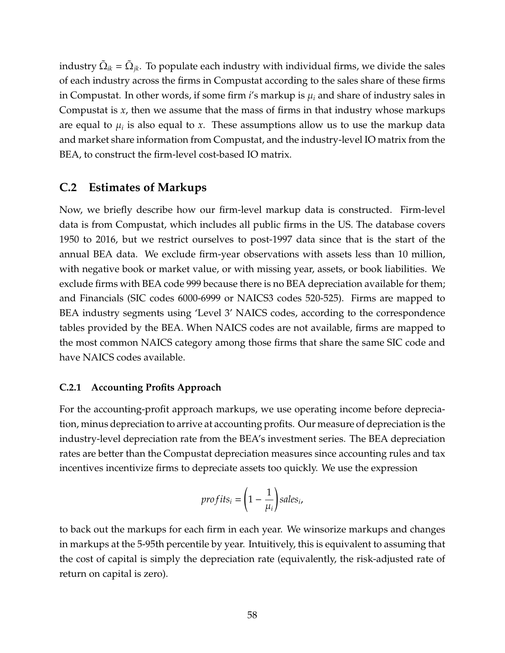industry  $\tilde{\Omega}_{ik}=\tilde{\Omega}_{jk}.$  To populate each industry with individual firms, we divide the sales of each industry across the firms in Compustat according to the sales share of these firms in Compustat. In other words, if some firm  $i$ 's markup is  $\mu_i$  and share of industry sales in Compustat is *x*, then we assume that the mass of firms in that industry whose markups are equal to  $\mu_i$  is also equal to  $x$ . These assumptions allow us to use the markup data and market share information from Compustat, and the industry-level IO matrix from the BEA, to construct the firm-level cost-based IO matrix.

### <span id="page-57-0"></span>**C.2 Estimates of Markups**

Now, we briefly describe how our firm-level markup data is constructed. Firm-level data is from Compustat, which includes all public firms in the US. The database covers 1950 to 2016, but we restrict ourselves to post-1997 data since that is the start of the annual BEA data. We exclude firm-year observations with assets less than 10 million, with negative book or market value, or with missing year, assets, or book liabilities. We exclude firms with BEA code 999 because there is no BEA depreciation available for them; and Financials (SIC codes 6000-6999 or NAICS3 codes 520-525). Firms are mapped to BEA industry segments using 'Level 3' NAICS codes, according to the correspondence tables provided by the BEA. When NAICS codes are not available, firms are mapped to the most common NAICS category among those firms that share the same SIC code and have NAICS codes available.

#### **C.2.1 Accounting Profits Approach**

For the accounting-profit approach markups, we use operating income before depreciation, minus depreciation to arrive at accounting profits. Our measure of depreciation is the industry-level depreciation rate from the BEA's investment series. The BEA depreciation rates are better than the Compustat depreciation measures since accounting rules and tax incentives incentivize firms to depreciate assets too quickly. We use the expression

$$
profits_i = \left(1 - \frac{1}{\mu_i}\right) sales_i,
$$

to back out the markups for each firm in each year. We winsorize markups and changes in markups at the 5-95th percentile by year. Intuitively, this is equivalent to assuming that the cost of capital is simply the depreciation rate (equivalently, the risk-adjusted rate of return on capital is zero).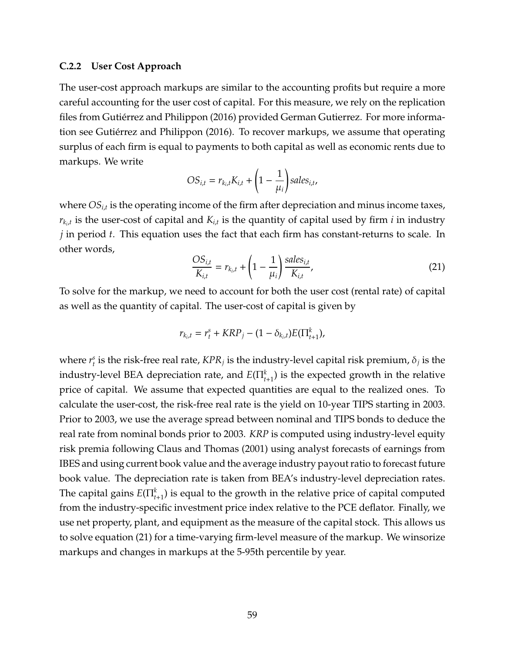#### **C.2.2 User Cost Approach**

The user-cost approach markups are similar to the accounting profits but require a more careful accounting for the user cost of capital. For this measure, we rely on the replication files from Gutiérrez and Philippon [\(2016\)](#page-50-0) provided German Gutierrez. For more informa-tion see Gutiérrez and Philippon [\(2016\)](#page-50-0). To recover markups, we assume that operating surplus of each firm is equal to payments to both capital as well as economic rents due to markups. We write

$$
OS_{i,t} = r_{k_i,t}K_{i,t} + \left(1 - \frac{1}{\mu_i}\right) sales_{i,t},
$$

where *OSi*,*<sup>t</sup>* is the operating income of the firm after depreciation and minus income taxes,  $r_{k_i,t}$  is the user-cost of capital and  $K_{i,t}$  is the quantity of capital used by firm *i* in industry *j* in period *t*. This equation uses the fact that each firm has constant-returns to scale. In other words,

<span id="page-58-0"></span>
$$
\frac{OS_{i,t}}{K_{i,t}} = r_{k_i,t} + \left(1 - \frac{1}{\mu_i}\right) \frac{sales_{i,t}}{K_{i,t}},
$$
\n(21)

To solve for the markup, we need to account for both the user cost (rental rate) of capital as well as the quantity of capital. The user-cost of capital is given by

$$
r_{k_i,t} = r_t^s + KRP_j - (1 - \delta_{k_i,t})E(\Pi_{t+1}^k),
$$

where  $r_i^s$  is the risk-free real rate,  $\text{KPR}_j$  is the industry-level capital risk premium,  $\delta_j$  is the industry-level BEA depreciation rate, and  $E(\Pi_{t+1}^k)$  is the expected growth in the relative price of capital. We assume that expected quantities are equal to the realized ones. To calculate the user-cost, the risk-free real rate is the yield on 10-year TIPS starting in 2003. Prior to 2003, we use the average spread between nominal and TIPS bonds to deduce the real rate from nominal bonds prior to 2003. *KRP* is computed using industry-level equity risk premia following [Claus and Thomas](#page-49-3) [\(2001\)](#page-49-3) using analyst forecasts of earnings from IBES and using current book value and the average industry payout ratio to forecast future book value. The depreciation rate is taken from BEA's industry-level depreciation rates. The capital gains  $E(\Pi_{t+1}^k)$  is equal to the growth in the relative price of capital computed from the industry-specific investment price index relative to the PCE deflator. Finally, we use net property, plant, and equipment as the measure of the capital stock. This allows us to solve equation [\(21\)](#page-58-0) for a time-varying firm-level measure of the markup. We winsorize markups and changes in markups at the 5-95th percentile by year.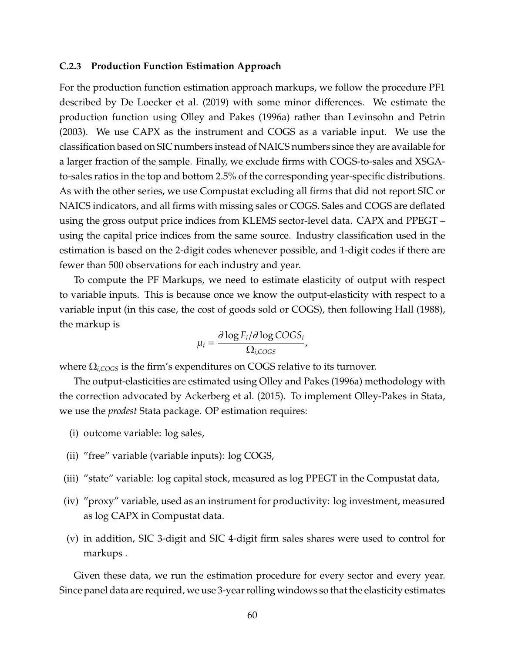#### **C.2.3 Production Function Estimation Approach**

For the production function estimation approach markups, we follow the procedure PF1 described by [De Loecker et al.](#page-49-0) [\(2019\)](#page-49-0) with some minor differences. We estimate the production function using [Olley and Pakes](#page-51-3) [\(1996a\)](#page-51-3) rather than [Levinsohn and Petrin](#page-51-4) [\(2003\)](#page-51-4). We use CAPX as the instrument and COGS as a variable input. We use the classification based on SIC numbers instead of NAICS numbers since they are available for a larger fraction of the sample. Finally, we exclude firms with COGS-to-sales and XSGAto-sales ratios in the top and bottom 2.5% of the corresponding year-specific distributions. As with the other series, we use Compustat excluding all firms that did not report SIC or NAICS indicators, and all firms with missing sales or COGS. Sales and COGS are deflated using the gross output price indices from KLEMS sector-level data. CAPX and PPEGT – using the capital price indices from the same source. Industry classification used in the estimation is based on the 2-digit codes whenever possible, and 1-digit codes if there are fewer than 500 observations for each industry and year.

To compute the PF Markups, we need to estimate elasticity of output with respect to variable inputs. This is because once we know the output-elasticity with respect to a variable input (in this case, the cost of goods sold or COGS), then following [Hall](#page-50-7) [\(1988\)](#page-50-7), the markup is

$$
\mu_i = \frac{\partial \log F_i / \partial \log COGS_i}{\Omega_{i,COGS}},
$$

where  $\Omega_{i,COGS}$  is the firm's expenditures on COGS relative to its turnover.

The output-elasticities are estimated using [Olley and Pakes](#page-51-3) [\(1996a\)](#page-51-3) methodology with the correction advocated by [Ackerberg et al.](#page-48-3) [\(2015\)](#page-48-3). To implement Olley-Pakes in Stata, we use the *prodest* Stata package. OP estimation requires:

- (i) outcome variable: log sales,
- (ii) "free" variable (variable inputs): log COGS,
- (iii) "state" variable: log capital stock, measured as log PPEGT in the Compustat data,
- (iv) "proxy" variable, used as an instrument for productivity: log investment, measured as log CAPX in Compustat data.
- (v) in addition, SIC 3-digit and SIC 4-digit firm sales shares were used to control for markups .

Given these data, we run the estimation procedure for every sector and every year. Since panel data are required, we use 3-year rolling windows so that the elasticity estimates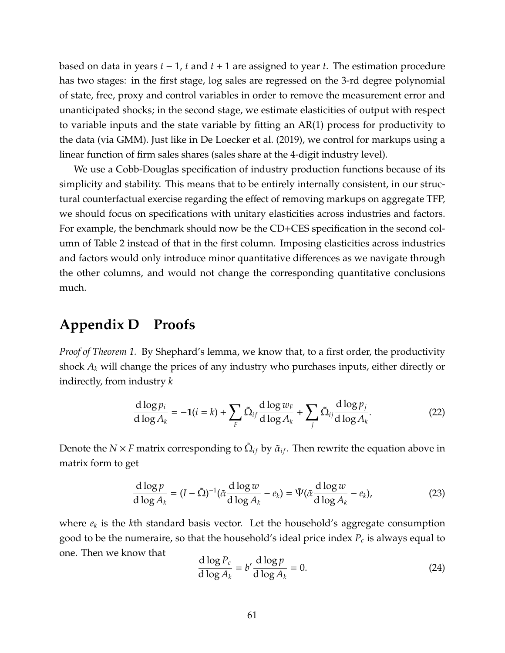based on data in years *t* − 1, *t* and *t* + 1 are assigned to year *t*. The estimation procedure has two stages: in the first stage, log sales are regressed on the 3-rd degree polynomial of state, free, proxy and control variables in order to remove the measurement error and unanticipated shocks; in the second stage, we estimate elasticities of output with respect to variable inputs and the state variable by fitting an AR(1) process for productivity to the data (via GMM). Just like in [De Loecker et al.](#page-49-0) [\(2019\)](#page-49-0), we control for markups using a linear function of firm sales shares (sales share at the 4-digit industry level).

We use a Cobb-Douglas specification of industry production functions because of its simplicity and stability. This means that to be entirely internally consistent, in our structural counterfactual exercise regarding the effect of removing markups on aggregate TFP, we should focus on specifications with unitary elasticities across industries and factors. For example, the benchmark should now be the CD+CES specification in the second column of Table [2](#page-46-0) instead of that in the first column. Imposing elasticities across industries and factors would only introduce minor quantitative differences as we navigate through the other columns, and would not change the corresponding quantitative conclusions much.

### <span id="page-60-0"></span>**Appendix D Proofs**

*Proof of Theorem [1.](#page-12-0)* By Shephard's lemma, we know that, to a first order, the productivity shock *A<sup>k</sup>* will change the prices of any industry who purchases inputs, either directly or indirectly, from industry *k*

$$
\frac{d \log p_i}{d \log A_k} = -1(i = k) + \sum_{F} \tilde{\Omega}_{if} \frac{d \log w_F}{d \log A_k} + \sum_{j} \tilde{\Omega}_{ij} \frac{d \log p_j}{d \log A_k}.
$$
 (22)

Denote the  $N$   $\times$   $F$  matrix corresponding to  $\tilde{\Omega}_{if}$  by  $\tilde{\alpha}_{if}.$  Then rewrite the equation above in matrix form to get

$$
\frac{\mathrm{d}\log p}{\mathrm{d}\log A_k} = (I - \tilde{\Omega})^{-1} (\tilde{\alpha} \frac{\mathrm{d}\log w}{\mathrm{d}\log A_k} - e_k) = \tilde{\Psi}(\tilde{\alpha} \frac{\mathrm{d}\log w}{\mathrm{d}\log A_k} - e_k),\tag{23}
$$

where *e<sup>k</sup>* is the *k*th standard basis vector. Let the household's aggregate consumption good to be the numeraire, so that the household's ideal price index *P<sup>c</sup>* is always equal to one. Then we know that

$$
\frac{\mathrm{d}\log P_c}{\mathrm{d}\log A_k} = b' \frac{\mathrm{d}\log p}{\mathrm{d}\log A_k} = 0. \tag{24}
$$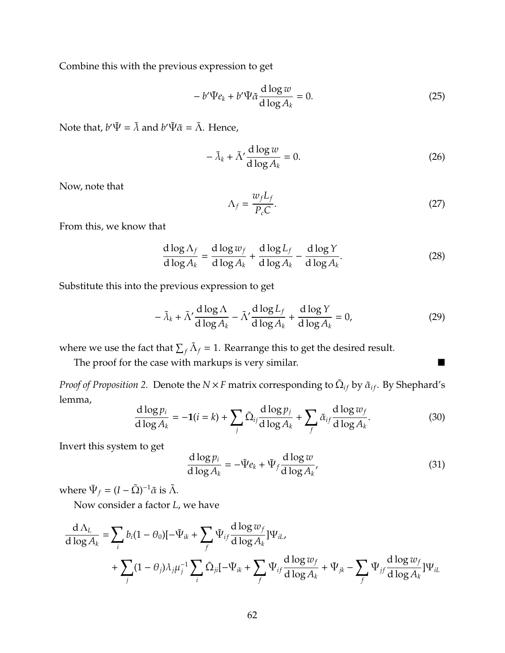Combine this with the previous expression to get

$$
-b'\tilde{\Psi}e_k + b'\tilde{\Psi}\tilde{\alpha}\frac{\mathrm{d}\log w}{\mathrm{d}\log A_k} = 0.
$$
 (25)

Note that,  $b'\tilde{\Psi} = \tilde{\lambda}$  and  $b'\tilde{\Psi}\tilde{\alpha} = \tilde{\Lambda}$ . Hence,

$$
-\tilde{\lambda}_k + \tilde{\Lambda}' \frac{\mathrm{d}\log w}{\mathrm{d}\log A_k} = 0. \tag{26}
$$

Now, note that

$$
\Lambda_f = \frac{w_f L_f}{P_c C}.\tag{27}
$$

From this, we know that

$$
\frac{d \log \Lambda_f}{d \log A_k} = \frac{d \log w_f}{d \log A_k} + \frac{d \log L_f}{d \log A_k} - \frac{d \log Y}{d \log A_k}.
$$
\n(28)

Substitute this into the previous expression to get

$$
-\tilde{\lambda}_k + \tilde{\Lambda}' \frac{d \log \Lambda}{d \log A_k} - \tilde{\Lambda}' \frac{d \log L_f}{d \log A_k} + \frac{d \log Y}{d \log A_k} = 0,
$$
\n(29)

where we use the fact that  $\sum_{f} \tilde{\Lambda}_{f} = 1$ . Rearrange this to get the desired result.

The proof for the case with markups is very similar.

*Proof of Proposition* [2.](#page-26-0) Denote the  $N \times F$  matrix corresponding to  $\tilde{\Omega}_{if}$  by  $\tilde{\alpha}_{if}$ . By Shephard's lemma,

$$
\frac{\mathrm{d}\log p_i}{\mathrm{d}\log A_k} = -1(i = k) + \sum_j \tilde{\Omega}_{ij} \frac{\mathrm{d}\log p_j}{\mathrm{d}\log A_k} + \sum_f \tilde{\alpha}_{if} \frac{\mathrm{d}\log w_f}{\mathrm{d}\log A_k}.\tag{30}
$$

Invert this system to get

$$
\frac{\mathrm{d}\log p_i}{\mathrm{d}\log A_k} = -\tilde{\Psi}e_k + \tilde{\Psi}_f \frac{\mathrm{d}\log w}{\mathrm{d}\log A_k},\tag{31}
$$

where  $\tilde{\Psi}_f = (I - \tilde{\Omega})^{-1} \tilde{\alpha}$  is  $\tilde{\Lambda}$ .

Now consider a factor *L*, we have

$$
\frac{d \Lambda_L}{d \log A_k} = \sum_i b_i (1 - \theta_0) [-\tilde{\Psi}_{ik} + \sum_f \tilde{\Psi}_{if} \frac{d \log w_f}{d \log A_k}] \Psi_{iL},
$$
  
+ 
$$
\sum_j (1 - \theta_j) \lambda_j \mu_j^{-1} \sum_i \tilde{\Omega}_{ji} [-\tilde{\Psi}_{ik} + \sum_f \tilde{\Psi}_{if} \frac{d \log w_f}{d \log A_k} + \tilde{\Psi}_{jk} - \sum_f \tilde{\Psi}_{if} \frac{d \log w_f}{d \log A_k}] \Psi_{iL}
$$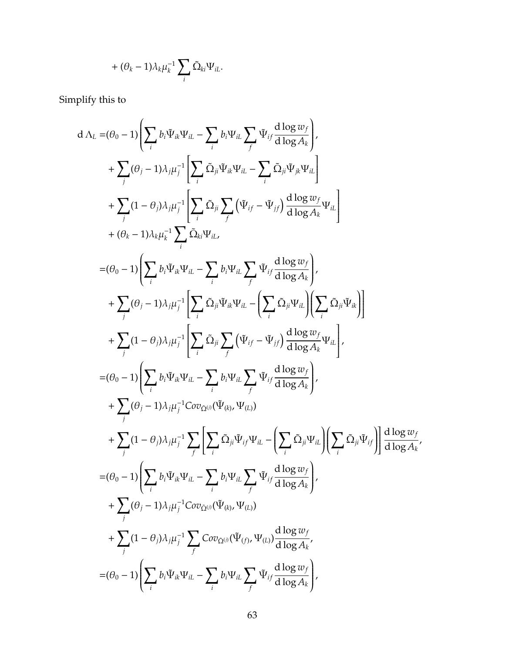$$
+\,(\theta_k-1)\lambda_k\mu_k^{-1}\sum_i\tilde\Omega_{ki}\Psi_{iL}.
$$

Simplify this to

$$
d \Lambda_{L} = (\theta_{0} - 1) \left( \sum_{i} b_{i} \Psi_{ik} \Psi_{il} - \sum_{i} b_{i} \Psi_{il} \sum_{j} \Psi_{ij} \frac{d \log w_{j}}{d \log A_{k}} \right),
$$
  
\n
$$
+ \sum_{j} (\theta_{j} - 1) \lambda_{j} \mu_{j}^{-1} \left[ \sum_{i} \tilde{\Omega}_{ji} \Psi_{ik} \Psi_{il} - \sum_{i} \tilde{\Omega}_{ji} \Psi_{jk} \Psi_{il} \right]
$$
  
\n
$$
+ \sum_{j} (1 - \theta_{j}) \lambda_{j} \mu_{j}^{-1} \left[ \sum_{i} \tilde{\Omega}_{ji} \sum_{j} (\Psi_{ij} - \Psi_{jj}) \frac{d \log w_{j}}{d \log A_{k}} \Psi_{il} \right]
$$
  
\n
$$
+ (\theta_{k} - 1) \lambda_{k} \mu_{k}^{-1} \sum_{i} \tilde{\Omega}_{ki} \Psi_{il},
$$
  
\n
$$
= (\theta_{0} - 1) \left( \sum_{i} b_{i} \Psi_{ik} \Psi_{il} - \sum_{i} b_{i} \Psi_{il} \sum_{j} \Psi_{ij} \frac{d \log w_{j}}{d \log A_{k}} \right),
$$
  
\n
$$
+ \sum_{j} (\theta_{j} - 1) \lambda_{j} \mu_{j}^{-1} \left[ \sum_{i} \tilde{\Omega}_{ji} \tilde{\Psi}_{ik} \Psi_{il} - \left( \sum_{i} \tilde{\Omega}_{ji} \Psi_{il} \right) \left( \sum_{i} \tilde{\Omega}_{ji} \tilde{\Psi}_{ik} \right) \right]
$$
  
\n
$$
+ \sum_{j} (1 - \theta_{j}) \lambda_{j} \mu_{j}^{-1} \left[ \sum_{i} \tilde{\Omega}_{ji} \sum_{j} (\Psi_{ij} - \Psi_{ij}) \frac{d \log w_{j}}{d \log A_{k}} \Psi_{il} \right],
$$
  
\n
$$
= (\theta_{0} - 1) \left( \sum_{i} b_{i} \Psi_{ik} \Psi_{il} - \sum_{i} b_{i} \Psi_{il} \sum_{j} \tilde{\Psi}_{ij} \frac{d \log w_{j}}{d \log A_{k}} \right),
$$
  
\n
$$
+ \sum_{j} ( \theta_{j} - 1) \lambda_{
$$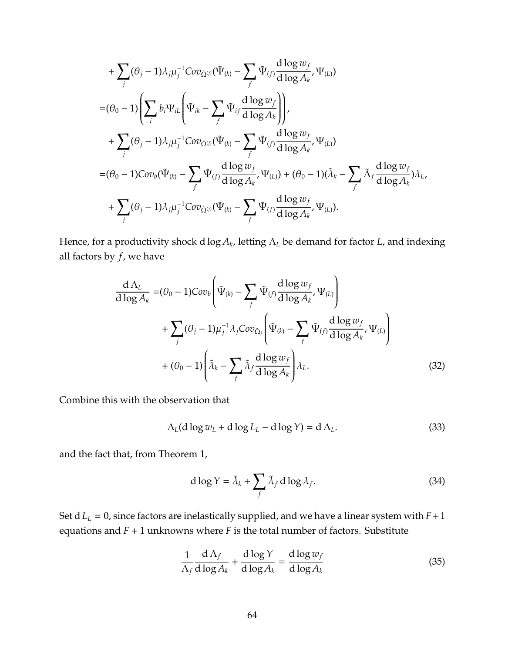+
$$
\sum_{j} (\theta_{j} - 1)\lambda_{j} \mu_{j}^{-1}Cov_{\tilde{\Omega}^{(j)}}(\tilde{\Psi}_{(k)} - \sum_{f} \tilde{\Psi}_{(f)} \frac{d \log w_{f}}{d \log A_{k}}, \Psi_{(L)})
$$
  
\n= $(\theta_{0} - 1) \left( \sum_{i} b_{i} \Psi_{iL} \left( \tilde{\Psi}_{ik} - \sum_{f} \tilde{\Psi}_{if} \frac{d \log w_{f}}{d \log A_{k}} \right) \right),$   
\n+
$$
\sum_{j} (\theta_{j} - 1)\lambda_{j} \mu_{j}^{-1}Cov_{\tilde{\Omega}^{(j)}}(\tilde{\Psi}_{(k)} - \sum_{f} \tilde{\Psi}_{(f)} \frac{d \log w_{f}}{d \log A_{k}}, \Psi_{(L)})
$$
  
\n= $(\theta_{0} - 1)Cov_{b}(\tilde{\Psi}_{(k)} - \sum_{f} \tilde{\Psi}_{(f)} \frac{d \log w_{f}}{d \log A_{k}}, \Psi_{(L)}) + (\theta_{0} - 1)(\tilde{\lambda}_{k} - \sum_{f} \tilde{\lambda}_{f} \frac{d \log w_{f}}{d \log A_{k}}) \lambda_{L},$   
\n+
$$
\sum_{j} (\theta_{j} - 1)\lambda_{j} \mu_{j}^{-1}Cov_{\tilde{\Omega}^{(j)}}(\tilde{\Psi}_{(k)} - \sum_{f} \tilde{\Psi}_{(f)} \frac{d \log w_{f}}{d \log A_{k}}, \Psi_{(L)}).
$$

Hence, for a productivity shock d log *A<sup>k</sup>* , letting Λ*<sup>L</sup>* be demand for factor *L*, and indexing all factors by  $f$ , we have

$$
\frac{d \Lambda_L}{d \log A_k} = (\theta_0 - 1)Cov_b \left( \tilde{\Psi}_{(k)} - \sum_f \tilde{\Psi}_{(f)} \frac{d \log w_f}{d \log A_k}, \Psi_{(L)} \right) \n+ \sum_j (\theta_j - 1) \mu_j^{-1} \lambda_j Cov_{\tilde{\Omega}_j} \left( \tilde{\Psi}_{(k)} - \sum_f \tilde{\Psi}_{(f)} \frac{d \log w_f}{d \log A_k}, \Psi_{(L)} \right) \n+ (\theta_0 - 1) \left( \tilde{\lambda}_k - \sum_f \tilde{\lambda}_f \frac{d \log w_f}{d \log A_k} \right) \lambda_L.
$$
\n(32)

Combine this with the observation that

$$
\Lambda_L(\mathrm{d}\log w_L + \mathrm{d}\log L_L - \mathrm{d}\log Y) = \mathrm{d}\Lambda_L. \tag{33}
$$

and the fact that, from Theorem [1,](#page-12-0)

$$
d \log Y = \tilde{\lambda}_k + \sum_{f} \tilde{\lambda}_f d \log \lambda_f.
$$
 (34)

Set  $d L_L = 0$ , since factors are inelastically supplied, and we have a linear system with  $F + 1$ equations and  $F + 1$  unknowns where  $F$  is the total number of factors. Substitute

$$
\frac{1}{\Lambda_f} \frac{d\Lambda_f}{d\log A_k} + \frac{d\log Y}{d\log A_k} = \frac{d\log w_f}{d\log A_k}
$$
(35)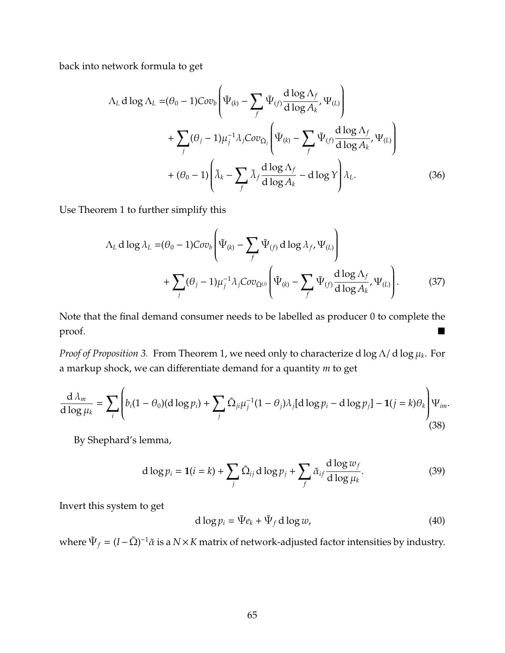back into network formula to get

$$
\Lambda_L \operatorname{d} \log \Lambda_L = (\theta_0 - 1) \operatorname{Cov}_b \left( \tilde{\Psi}_{(k)} - \sum_f \tilde{\Psi}_{(f)} \frac{\operatorname{d} \log \Lambda_f}{\operatorname{d} \log A_k}, \Psi_{(L)} \right) \n+ \sum_j (\theta_j - 1) \mu_j^{-1} \lambda_j \operatorname{Cov}_{\tilde{\Omega}_j} \left( \tilde{\Psi}_{(k)} - \sum_f \tilde{\Psi}_{(f)} \frac{\operatorname{d} \log \Lambda_f}{\operatorname{d} \log A_k}, \Psi_{(L)} \right) \n+ (\theta_0 - 1) \left( \tilde{\lambda}_k - \sum_f \tilde{\lambda}_f \frac{\operatorname{d} \log \Lambda_f}{\operatorname{d} \log A_k} - \operatorname{d} \log Y \right) \lambda_L.
$$
\n(36)

Use Theorem [1](#page-12-0) to further simplify this

$$
\Lambda_L \, d \log \lambda_L = (\theta_0 - 1) \text{Cov}_b \left( \tilde{\Psi}_{(k)} - \sum_f \tilde{\Psi}_{(f)} \, d \log \lambda_f, \Psi_{(L)} \right) + \sum_j (\theta_j - 1) \mu_j^{-1} \lambda_j \text{Cov}_{\tilde{\Omega}^{(j)}} \left( \tilde{\Psi}_{(k)} - \sum_f \tilde{\Psi}_{(f)} \frac{d \log \Lambda_f}{d \log A_k}, \Psi_{(L)} \right).
$$
(37)

Note that the final demand consumer needs to be labelled as producer 0 to complete the proof.

*Proof of Proposition [3.](#page-28-0)* From Theorem [1,](#page-12-0) we need only to characterize d log Λ/ d log µ*<sup>k</sup>* . For a markup shock, we can differentiate demand for a quantity *m* to get

<span id="page-64-0"></span>
$$
\frac{d\lambda_m}{d\log\mu_k} = \sum_i \left( b_i(1-\theta_0)(d\log p_i) + \sum_j \tilde{\Omega}_{ji}\mu_j^{-1}(1-\theta_j)\lambda_j[d\log p_i - d\log p_j] - \mathbf{1}(j=k)\theta_k \right) \Psi_{im}.
$$
\n(38)

By Shephard's lemma,

$$
d \log p_i = \mathbf{1}(i = k) + \sum_j \tilde{\Omega}_{ij} d \log p_j + \sum_f \tilde{\alpha}_{if} \frac{d \log w_f}{d \log \mu_k}.
$$
 (39)

Invert this system to get

$$
d \log p_i = \tilde{\Psi} e_k + \tilde{\Psi}_f \, d \log w,\tag{40}
$$

where  $\tilde{\Psi}_f = (I - \tilde{\Omega})^{-1} \tilde{\alpha}$  is a  $N \times K$  matrix of network-adjusted factor intensities by industry.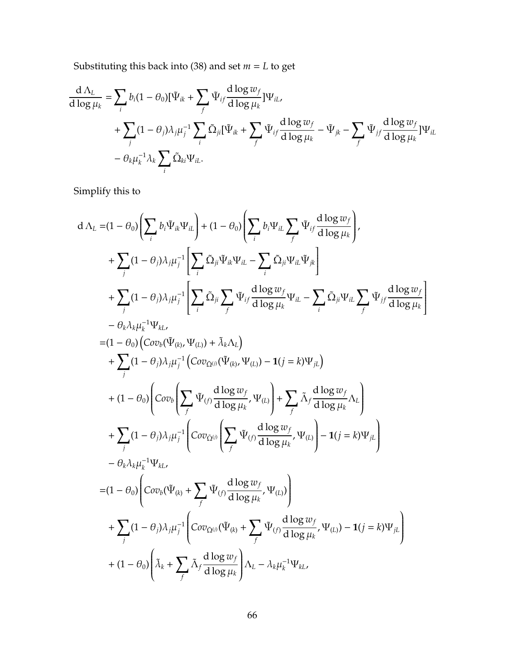Substituting this back into [\(38\)](#page-64-0) and set *m* = *L* to get

$$
\frac{d \Lambda_L}{d \log \mu_k} = \sum_i b_i (1 - \theta_0) [\tilde{\Psi}_{ik} + \sum_f \tilde{\Psi}_{if} \frac{d \log w_f}{d \log \mu_k}] \Psi_{iL},
$$
\n
$$
+ \sum_j (1 - \theta_j) \lambda_j \mu_j^{-1} \sum_i \tilde{\Omega}_{ji} [\tilde{\Psi}_{ik} + \sum_f \tilde{\Psi}_{if} \frac{d \log w_f}{d \log \mu_k} - \tilde{\Psi}_{jk} - \sum_f \tilde{\Psi}_{if} \frac{d \log w_f}{d \log \mu_k}] \Psi_{iL}
$$
\n
$$
- \theta_k \mu_k^{-1} \lambda_k \sum_i \tilde{\Omega}_{ki} \Psi_{iL}.
$$

Simplify this to

$$
d \Lambda_{L} = (1 - \theta_{0}) \left( \sum_{i} b_{i} \Psi_{ik} \Psi_{il} \right) + (1 - \theta_{0}) \left( \sum_{i} b_{i} \Psi_{il} \sum_{f} \Psi_{if} \frac{d \log w_{f}}{d \log \mu_{k}} \right),
$$
  
+ 
$$
\sum_{j} (1 - \theta_{j}) \lambda_{j} \mu_{j}^{-1} \left[ \sum_{i} \tilde{\Omega}_{ji} \Psi_{ik} \Psi_{il} - \sum_{i} \tilde{\Omega}_{ji} \Psi_{il} \Psi_{ik} \right]
$$
  
+ 
$$
\sum_{j} (1 - \theta_{j}) \lambda_{j} \mu_{j}^{-1} \left[ \sum_{i} \tilde{\Omega}_{ji} \sum_{f} \Psi_{if} \frac{d \log w_{f}}{d \log \mu_{k}} \Psi_{il} - \sum_{i} \tilde{\Omega}_{ji} \Psi_{il} \sum_{f} \Psi_{if} \frac{d \log w_{f}}{d \log \mu_{k}} \right]
$$
  
- 
$$
\theta_{k} \lambda_{k} \mu_{k}^{-1} \Psi_{kl},
$$
  
= 
$$
(1 - \theta_{0}) \left( Cov_{b}(\tilde{\Psi}_{(k)}, \Psi_{(L)}) + \tilde{\lambda}_{k} \Lambda_{L} \right)
$$
  
+ 
$$
\sum_{j} (1 - \theta_{j}) \lambda_{j} \mu_{j}^{-1} \left( Cov_{\tilde{\Omega}}(\tilde{\Psi}_{(k)}, \Psi_{(L)}) - 1(j = k) \Psi_{jl} \right)
$$
  
+ 
$$
(1 - \theta_{0}) \left( Cov_{b} \left( \sum_{f} \Psi_{(f)} \frac{d \log w_{f}}{d \log \mu_{k}}, \Psi_{(L)} \right) + \sum_{f} \tilde{\Lambda}_{f} \frac{d \log w_{f}}{d \log \mu_{k}} \Lambda_{L} \right)
$$
  
+ 
$$
\sum_{j} (1 - \theta_{j}) \lambda_{j} \mu_{j}^{-1} \left( Cov_{\tilde{\Omega}}(\theta) \left( \sum_{f} \Psi_{(f)} \frac{d \log w_{f}}{d \log \mu_{k}}, \Psi_{(L)} \right) - 1(j = k) \Psi_{jl} \right)
$$
  
- 
$$
\theta_{k} \lambda_{k} \mu_{k}^{-1} \Psi_{kl},
$$
  
= 
$$
(1 - \theta_{0}) \left( Cov_{b}(\
$$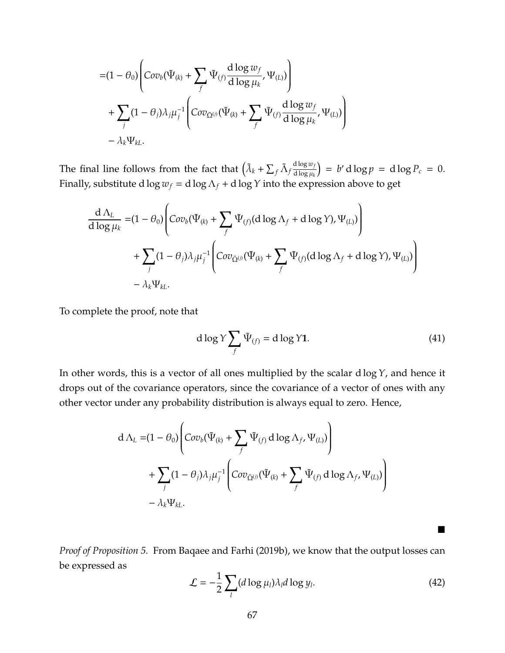$$
\begin{aligned}&\!=\!(1-\theta_0)\!\left(\!{Cov}_b(\tilde{\Psi}_{(k)}+\sum_f\tilde{\Psi}_{(f)}\frac{\text{d}\log w_f}{\text{d}\log\mu_k},\Psi_{(L)})\!\right)\\&+\sum_j(1-\theta_j)\lambda_j\mu_j^{-1}\!\left(\!{Cov}_{\tilde{\Omega}^{(j)}}(\tilde{\Psi}_{(k)}+\sum_f\tilde{\Psi}_{(f)}\frac{\text{d}\log w_f}{\text{d}\log\mu_k},\Psi_{(L)})\!\right)\\&-\lambda_k\Psi_{kL}.\end{aligned}
$$

The final line follows from the fact that  $(\tilde{\lambda}_k + \sum_f \tilde{\Lambda}_f)$ d log *w<sup>f</sup>* d log µ*<sup>k</sup>*  $= b' \, \text{d} \log p = \text{d} \log P_c = 0.$ Finally, substitute d  $\log w_f = d \log \Lambda_f + d \log Y$  into the expression above to get

$$
\frac{d \Lambda_L}{d \log \mu_k} = (1 - \theta_0) \left( \text{Cov}_b(\tilde{\Psi}_{(k)} + \sum_f \tilde{\Psi}_{(f)}(d \log \Lambda_f + d \log \Upsilon), \Psi_{(L)}) \right) \n+ \sum_j (1 - \theta_j) \lambda_j \mu_j^{-1} \left( \text{Cov}_{\tilde{\Omega}^{(j)}}(\tilde{\Psi}_{(k)} + \sum_f \tilde{\Psi}_{(f)}(d \log \Lambda_f + d \log \Upsilon), \Psi_{(L)}) \right) \n- \lambda_k \Psi_{kL}.
$$

To complete the proof, note that

$$
d \log Y \sum_{f} \tilde{\Psi}_{(f)} = d \log Y \mathbf{1}.
$$
 (41)

In other words, this is a vector of all ones multiplied by the scalar d log*Y*, and hence it drops out of the covariance operators, since the covariance of a vector of ones with any other vector under any probability distribution is always equal to zero. Hence,

$$
\begin{aligned}\nd\,\Lambda_L = & (1-\theta_0)\Bigg[Cov_b(\tilde{\Psi}_{(k)} + \sum_f \tilde{\Psi}_{(f)}\,d\log\Lambda_f, \Psi_{(L)})\Bigg)\\ & + \sum_j (1-\theta_j)\lambda_j\mu_j^{-1}\Bigg[Cov_{\tilde{\Omega}^{(j)}}(\tilde{\Psi}_{(k)} + \sum_f \tilde{\Psi}_{(f)}\,d\log\Lambda_f, \Psi_{(L)})\Bigg)\\ & - \lambda_k\Psi_{kL}.\end{aligned}
$$

*Proof of Proposition [5.](#page-31-0)* From [Baqaee and Farhi](#page-48-4) [\(2019b\)](#page-48-4), we know that the output losses can be expressed as

$$
\mathcal{L} = -\frac{1}{2} \sum_{l} (d \log \mu_l) \lambda_l d \log y_l.
$$
 (42)

 $\blacksquare$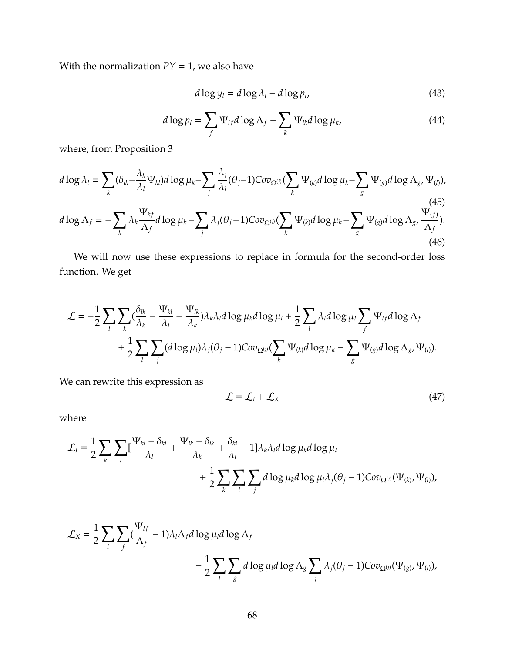With the normalization  $PY = 1$ , we also have

$$
d \log y_l = d \log \lambda_l - d \log p_l, \tag{43}
$$

$$
d\log p_l = \sum_f \Psi_{lj} d\log \Lambda_f + \sum_k \Psi_{lk} d\log \mu_k, \qquad (44)
$$

where, from Proposition [3](#page-28-0)

$$
d \log \lambda_{l} = \sum_{k} (\delta_{lk} - \frac{\lambda_{k}}{\lambda_{l}} \Psi_{kl}) d \log \mu_{k} - \sum_{j} \frac{\lambda_{j}}{\lambda_{l}} (\theta_{j} - 1) Cov_{\Omega^{(j)}}(\sum_{k} \Psi_{(k)} d \log \mu_{k} - \sum_{g} \Psi_{(g)} d \log \Lambda_{g}, \Psi_{(l)}),
$$
  

$$
d \log \Lambda_{f} = -\sum_{k} \lambda_{k} \frac{\Psi_{kf}}{\Lambda_{f}} d \log \mu_{k} - \sum_{j} \lambda_{j} (\theta_{j} - 1) Cov_{\Omega^{(j)}}(\sum_{k} \Psi_{(k)} d \log \mu_{k} - \sum_{g} \Psi_{(g)} d \log \Lambda_{g}, \frac{\Psi_{(f)}}{\Lambda_{f}}).
$$
(46)

We will now use these expressions to replace in formula for the second-order loss function. We get

$$
\mathcal{L} = -\frac{1}{2} \sum_{l} \sum_{k} (\frac{\delta_{lk}}{\lambda_k} - \frac{\Psi_{kl}}{\lambda_l} - \frac{\Psi_{lk}}{\lambda_k}) \lambda_k \lambda_l d \log \mu_k d \log \mu_l + \frac{1}{2} \sum_{l} \lambda_l d \log \mu_l \sum_{f} \Psi_{lf} d \log \Lambda_f
$$
  
+ 
$$
\frac{1}{2} \sum_{l} \sum_{j} (d \log \mu_l) \lambda_j (\theta_j - 1) Cov_{\Omega^{(j)}} (\sum_{k} \Psi_{(k)} d \log \mu_k - \sum_{g} \Psi_{(g)} d \log \Lambda_g, \Psi_{(l)}).
$$

We can rewrite this expression as

$$
\mathcal{L} = \mathcal{L}_I + \mathcal{L}_X \tag{47}
$$

where

$$
\mathcal{L}_{I} = \frac{1}{2} \sum_{k} \sum_{l} \left[ \frac{\Psi_{kl} - \delta_{kl}}{\lambda_{l}} + \frac{\Psi_{lk} - \delta_{lk}}{\lambda_{k}} + \frac{\delta_{kl}}{\lambda_{l}} - 1 \right] \lambda_{k} \lambda_{l} d \log \mu_{k} d \log \mu_{l} \n+ \frac{1}{2} \sum_{k} \sum_{l} \sum_{j} d \log \mu_{k} d \log \mu_{l} \lambda_{j} (\theta_{j} - 1) Cov_{\Omega^{(j)}}(\Psi_{(k)}, \Psi_{(l)}),
$$

$$
\mathcal{L}_X = \frac{1}{2} \sum_{l} \sum_{f} (\frac{\Psi_{lf}}{\Lambda_f} - 1) \lambda_l \Lambda_f d \log \mu_l d \log \Lambda_f
$$

$$
- \frac{1}{2} \sum_{l} \sum_{g} d \log \mu_l d \log \Lambda_g \sum_{j} \lambda_j (\theta_j - 1) Cov_{\Omega^{(j)}}(\Psi_{(g)}, \Psi_{(l)}),
$$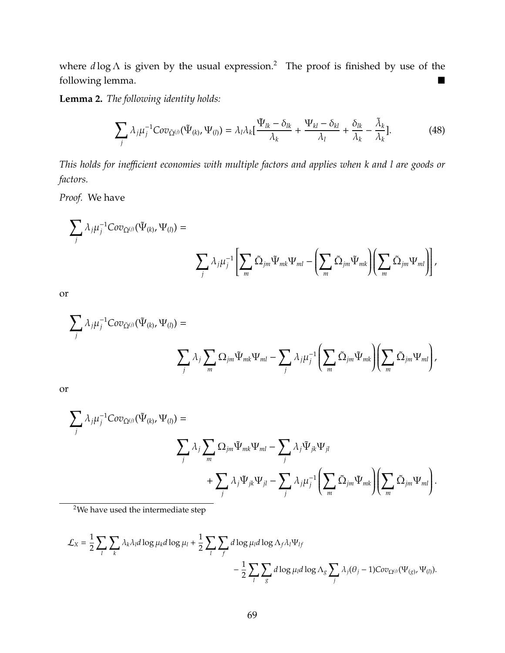where *d* log Λ is given by the usual expression.<sup>[2](#page-0-0)</sup> The proof is finished by use of the following lemma.

**Lemma 2.** *The following identity holds:*

$$
\sum_{j} \lambda_{j} \mu_{j}^{-1} Cov_{\tilde{\Omega}^{(j)}}(\tilde{\Psi}_{(k)}, \Psi_{(l)}) = \lambda_{l} \lambda_{k} \left[ \frac{\tilde{\Psi}_{lk} - \delta_{lk}}{\lambda_{k}} + \frac{\Psi_{kl} - \delta_{kl}}{\lambda_{l}} + \frac{\delta_{lk}}{\lambda_{k}} - \frac{\tilde{\lambda}_{k}}{\lambda_{k}} \right].
$$
 (48)

*This holds for ine*ffi*cient economies with multiple factors and applies when k and l are goods or factors.*

*Proof.* We have

$$
\begin{split} \sum_j \lambda_j \mu_j^{-1} Cov_{\tilde{\Omega}^{(j)}}(\tilde{\Psi}_{(k)},\Psi_{(l)}) = \\ \sum_j \lambda_j \mu_j^{-1} \Bigg[ \sum_m \tilde{\Omega}_{jm} \tilde{\Psi}_{mk} \Psi_{ml} - \Bigg( \sum_m \tilde{\Omega}_{jm} \tilde{\Psi}_{mk} \Bigg) \Bigg( \sum_m \tilde{\Omega}_{jm} \Psi_{ml} \Bigg) \Bigg] \,, \end{split}
$$

or

$$
\begin{split} \sum_j \lambda_j \mu_j^{-1}Cov_{\tilde{\Omega}^{(j)}}(\tilde{\Psi}_{(k)},\Psi_{(l)}) =&\\ &\qquad \qquad \sum_j \lambda_j \sum_m \Omega_{jm} \tilde{\Psi}_{mk} \Psi_{ml} - \sum_j \lambda_j \mu_j^{-1} \Biggl( \sum_m \tilde{\Omega}_{jm} \tilde{\Psi}_{mk} \Biggr) \Biggl( \sum_m \tilde{\Omega}_{jm} \Psi_{ml} \Biggr), \end{split}
$$

or

$$
\begin{split} \sum_j \lambda_j \mu_j^{-1}Cov_{\tilde{\Omega}^{(j)}}(\tilde{\Psi}_{(k)},\Psi_{(l)}) &= \\ &\qquad \qquad \sum_j \lambda_j \sum_m \Omega_{jm} \tilde{\Psi}_{mk} \Psi_{ml} - \sum_j \lambda_j \tilde{\Psi}_{jk} \Psi_{jl} \\ &\qquad \qquad + \sum_j \lambda_j \tilde{\Psi}_{jk} \Psi_{jl} - \sum_j \lambda_j \mu_j^{-1} \Biggl( \sum_m \tilde{\Omega}_{jm} \tilde{\Psi}_{mk} \Biggr) \Biggl( \sum_m \tilde{\Omega}_{jm} \Psi_{ml} \Biggr). \end{split}
$$

<sup>2</sup>We have used the intermediate step

$$
\mathcal{L}_X = \frac{1}{2} \sum_l \sum_k \lambda_k \lambda_l d \log \mu_k d \log \mu_l + \frac{1}{2} \sum_l \sum_f d \log \mu_l d \log \Lambda_f \lambda_l \Psi_{lf} \n- \frac{1}{2} \sum_l \sum_g d \log \mu_l d \log \Lambda_g \sum_j \lambda_j (\theta_j - 1) Cov_{\Omega^{(j)}}(\Psi_{(g)}, \Psi_{(l)}).
$$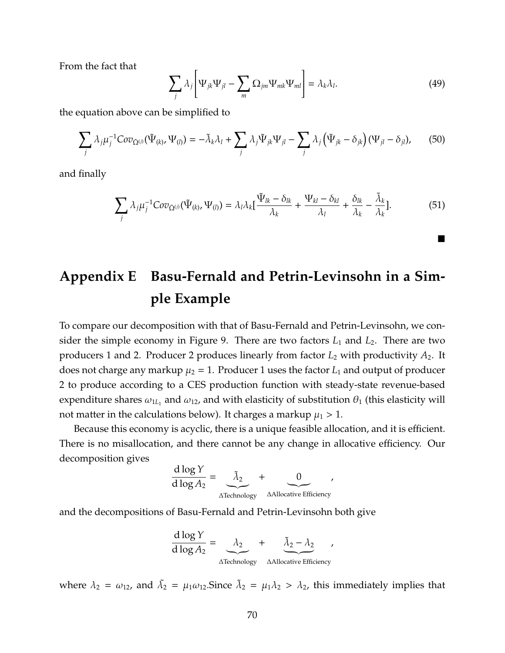From the fact that

$$
\sum_{j} \lambda_{j} \left[ \Psi_{jk} \Psi_{jl} - \sum_{m} \Omega_{jm} \Psi_{mk} \Psi_{ml} \right] = \lambda_{k} \lambda_{l}.
$$
 (49)

п

the equation above can be simplified to

$$
\sum_{j} \lambda_{j} \mu_{j}^{-1} Cov_{\tilde{\Omega}^{(j)}}(\tilde{\Psi}_{(k)}, \Psi_{(l)}) = -\tilde{\lambda}_{k} \lambda_{l} + \sum_{j} \lambda_{j} \tilde{\Psi}_{jk} \Psi_{jl} - \sum_{j} \lambda_{j} (\tilde{\Psi}_{jk} - \delta_{jk}) (\Psi_{jl} - \delta_{jl}), \qquad (50)
$$

and finally

$$
\sum_{j} \lambda_{j} \mu_{j}^{-1} Cov_{\tilde{\Omega}^{(j)}}(\tilde{\Psi}_{(k)}, \Psi_{(l)}) = \lambda_{l} \lambda_{k} \left[ \frac{\tilde{\Psi}_{lk} - \delta_{lk}}{\lambda_{k}} + \frac{\Psi_{kl} - \delta_{kl}}{\lambda_{l}} + \frac{\delta_{lk}}{\lambda_{k}} - \frac{\tilde{\lambda}_{k}}{\lambda_{k}} \right].
$$
 (51)

# <span id="page-69-0"></span>**Appendix E Basu-Fernald and Petrin-Levinsohn in a Simple Example**

To compare our decomposition with that of Basu-Fernald and Petrin-Levinsohn, we con-sider the simple economy in Figure [9.](#page-70-1) There are two factors  $L_1$  and  $L_2$ . There are two producers 1 and 2. Producer 2 produces linearly from factor *L*<sup>2</sup> with productivity *A*2. It does not charge any markup  $\mu_2 = 1$ . Producer 1 uses the factor  $L_1$  and output of producer 2 to produce according to a CES production function with steady-state revenue-based expenditure shares  $\omega_{1L_1}$  and  $\omega_{12}$ , and with elasticity of substitution  $\theta_1$  (this elasticity will not matter in the calculations below). It charges a markup  $\mu_1 > 1$ .

Because this economy is acyclic, there is a unique feasible allocation, and it is efficient. There is no misallocation, and there cannot be any change in allocative efficiency. Our decomposition gives

$$
\frac{d \log Y}{d \log A_2} = \underbrace{\tilde{\lambda}_2}_{\Delta \text{Technology}} + \underbrace{0}_{\Delta \text{Allocative Efficiency}} ,
$$

and the decompositions of Basu-Fernald and Petrin-Levinsohn both give

$$
\frac{d \log Y}{d \log A_2} = \underbrace{\lambda_2}_{\Delta \text{Technology}} + \underbrace{\tilde{\lambda}_2 - \lambda_2}_{\Delta \text{Allocative Efficiency}}
$$

where  $\lambda_2 = \omega_{12}$ , and  $\tilde{\lambda_2} = \mu_1 \omega_{12}$ . Since  $\tilde{\lambda}_2 = \mu_1 \lambda_2 > \lambda_2$ , this immediately implies that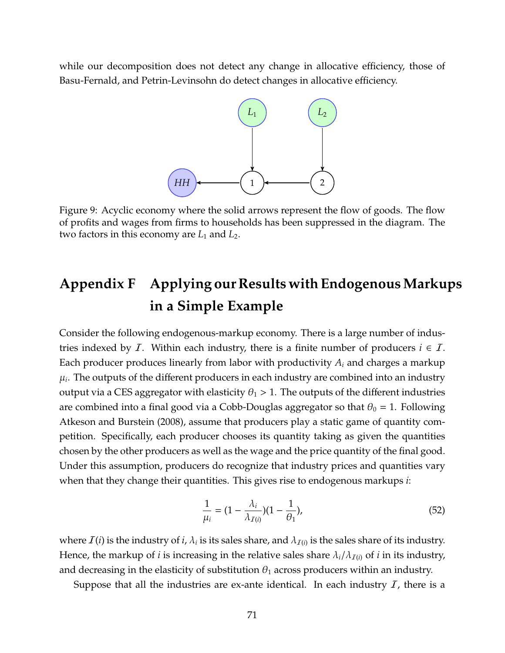<span id="page-70-1"></span>while our decomposition does not detect any change in allocative efficiency, those of Basu-Fernald, and Petrin-Levinsohn do detect changes in allocative efficiency.



Figure 9: Acyclic economy where the solid arrows represent the flow of goods. The flow of profits and wages from firms to households has been suppressed in the diagram. The two factors in this economy are  $L_1$  and  $L_2$ .

# <span id="page-70-0"></span>**Appendix F Applying our Results with EndogenousMarkups in a Simple Example**

Consider the following endogenous-markup economy. There is a large number of industries indexed by *I*. Within each industry, there is a finite number of producers  $i \in I$ . Each producer produces linearly from labor with productivity *A<sup>i</sup>* and charges a markup  $\mu_i$ . The outputs of the different producers in each industry are combined into an industry output via a CES aggregator with elasticity  $\theta_1 > 1$ . The outputs of the different industries are combined into a final good via a Cobb-Douglas aggregator so that  $\theta_0 = 1$ . Following [Atkeson and Burstein](#page-48-5) [\(2008\)](#page-48-5), assume that producers play a static game of quantity competition. Specifically, each producer chooses its quantity taking as given the quantities chosen by the other producers as well as the wage and the price quantity of the final good. Under this assumption, producers do recognize that industry prices and quantities vary when that they change their quantities. This gives rise to endogenous markups *i*:

<span id="page-70-2"></span>
$$
\frac{1}{\mu_i} = (1 - \frac{\lambda_i}{\lambda_{\mathcal{I}(i)}})(1 - \frac{1}{\theta_1}),\tag{52}
$$

where  $\bar{I}(i)$  is the industry of *i*,  $\lambda_i$  is its sales share, and  $\lambda_{I(i)}$  is the sales share of its industry. Hence, the markup of *i* is increasing in the relative sales share  $\lambda_i/\lambda_{I(i)}$  of *i* in its industry, and decreasing in the elasticity of substitution  $\theta_1$  across producers within an industry.

Suppose that all the industries are ex-ante identical. In each industry  $I$ , there is a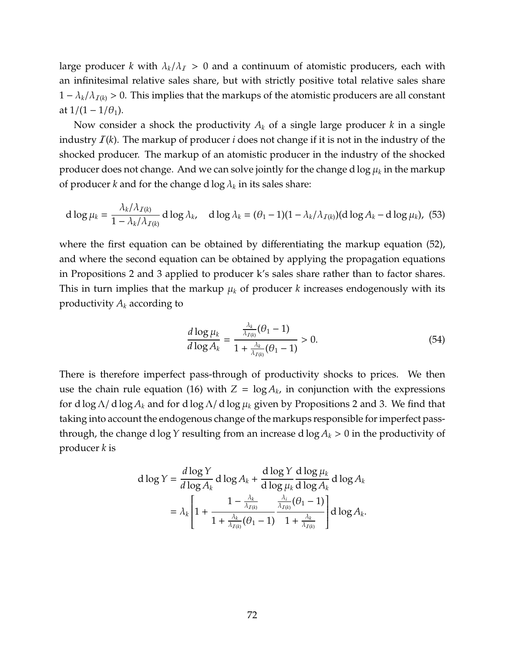large producer *k* with  $\lambda_k/\lambda_I > 0$  and a continuum of atomistic producers, each with an infinitesimal relative sales share, but with strictly positive total relative sales share  $1 - \lambda_k/\lambda_{I(k)} > 0$ . This implies that the markups of the atomistic producers are all constant at  $1/(1 - 1/\theta_1)$ .

Now consider a shock the productivity  $A_k$  of a single large producer  $k$  in a single industry I(*k*). The markup of producer *i* does not change if it is not in the industry of the shocked producer. The markup of an atomistic producer in the industry of the shocked producer does not change. And we can solve jointly for the change d log  $\mu_k$  in the markup of producer  $k$  and for the change d  $\log \lambda_k$  in its sales share:

$$
d \log \mu_k = \frac{\lambda_k/\lambda_{\Gamma(k)}}{1 - \lambda_k/\lambda_{\Gamma(k)}} d \log \lambda_k, \quad d \log \lambda_k = (\theta_1 - 1)(1 - \lambda_k/\lambda_{\Gamma(k)}) (d \log A_k - d \log \mu_k), \tag{53}
$$

where the first equation can be obtained by differentiating the markup equation [\(52\)](#page-70-2), and where the second equation can be obtained by applying the propagation equations in Propositions [2](#page-26-0) and [3](#page-28-0) applied to producer k's sales share rather than to factor shares. This in turn implies that the markup  $\mu_k$  of producer *k* increases endogenously with its productivity  $A_k$  according to

$$
\frac{d \log \mu_k}{d \log A_k} = \frac{\frac{\lambda_k}{\lambda_{I(k)}} (\theta_1 - 1)}{1 + \frac{\lambda_k}{\lambda_{I(k)}} (\theta_1 - 1)} > 0.
$$
\n(54)

There is therefore imperfect pass-through of productivity shocks to prices. We then use the chain rule equation [\(16\)](#page-30-0) with  $Z = \log A_k$ , in conjunction with the expressions for d log  $\Lambda$ / d log  $A_k$  and for d log  $\Lambda$ / d log  $\mu_k$  given by Propositions [2](#page-26-0) and [3.](#page-28-0) We find that taking into account the endogenous change of the markups responsible for imperfect passthrough, the change d log *Y* resulting from an increase d log  $A_k > 0$  in the productivity of producer *k* is

$$
d \log Y = \frac{d \log Y}{d \log A_k} d \log A_k + \frac{d \log Y}{d \log \mu_k} d \log A_k
$$
  
=  $\lambda_k \left[ 1 + \frac{1 - \frac{\lambda_k}{\lambda_{I(k)}}}{1 + \frac{\lambda_k}{\lambda_{I(k)}} (\theta_1 - 1)} \frac{\frac{\lambda_i}{\lambda_{I(k)}} (\theta_1 - 1)}{1 + \frac{\lambda_k}{\lambda_{I(k)}}} \right] d \log A_k.$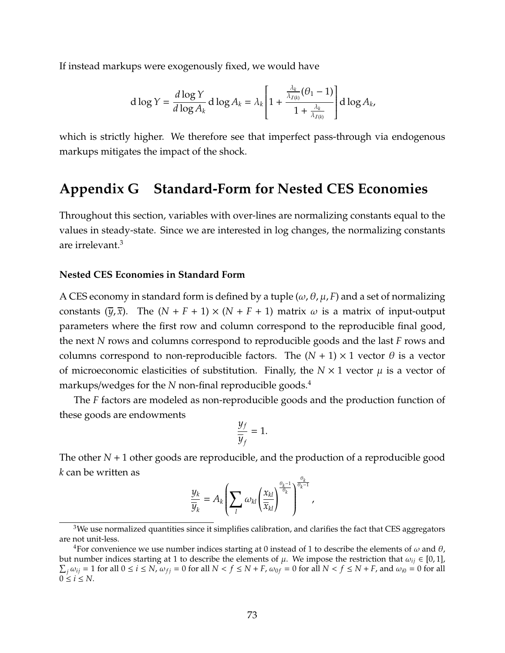If instead markups were exogenously fixed, we would have

$$
d \log Y = \frac{d \log Y}{d \log A_k} d \log A_k = \lambda_k \left[ 1 + \frac{\frac{\lambda_k}{\lambda_{I(k)}}(\theta_1 - 1)}{1 + \frac{\lambda_k}{\lambda_{I(k)}}} \right] d \log A_k,
$$

which is strictly higher. We therefore see that imperfect pass-through via endogenous markups mitigates the impact of the shock.

# **Appendix G Standard-Form for Nested CES Economies**

Throughout this section, variables with over-lines are normalizing constants equal to the values in steady-state. Since we are interested in log changes, the normalizing constants are irrelevant.[3](#page-0-0)

#### **Nested CES Economies in Standard Form**

A CES economy in standard form is defined by a tuple ( $\omega$ ,  $\theta$ ,  $\mu$ ,  $F$ ) and a set of normalizing constants  $(\overline{y}, \overline{x})$ . The  $(N + F + 1) \times (N + F + 1)$  matrix  $\omega$  is a matrix of input-output parameters where the first row and column correspond to the reproducible final good, the next *N* rows and columns correspond to reproducible goods and the last *F* rows and columns correspond to non-reproducible factors. The  $(N + 1) \times 1$  vector  $\theta$  is a vector of microeconomic elasticities of substitution. Finally, the  $N \times 1$  vector  $\mu$  is a vector of markups/wedges for the *N* non-final reproducible goods.<sup>[4](#page-0-0)</sup>

The *F* factors are modeled as non-reproducible goods and the production function of these goods are endowments

$$
\frac{y_f}{\overline{y}_f}=1.
$$

The other  $N + 1$  other goods are reproducible, and the production of a reproducible good *k* can be written as θ*k*

$$
\frac{y_k}{\overline{y}_k} = A_k \left( \sum_l \omega_{kl} \left( \frac{x_{kl}}{\overline{x}_{kl}} \right)^{\frac{\theta_k - 1}{\theta_k}} \right)^{\frac{\overline{\theta_k - 1}}{\theta_k - 1}},
$$

 $3$ We use normalized quantities since it simplifies calibration, and clarifies the fact that CES aggregators are not unit-less.

<sup>&</sup>lt;sup>4</sup>For convenience we use number indices starting at 0 instead of 1 to describe the elements of  $\omega$  and  $\theta$ , but number indices starting at 1 to describe the elements of µ. We impose the restriction that ω*ij* ∈ [0, 1],  $\sum_j \omega_{ij} = 1$  for all  $0 \le i \le N$ ,  $\omega_{fj} = 0$  for all  $N < f \le N + F$ ,  $\omega_{0f} = 0$  for all  $N < f \le N + F$ , and  $\omega_{i0} = 0$  for all  $0 \leq i \leq N$ .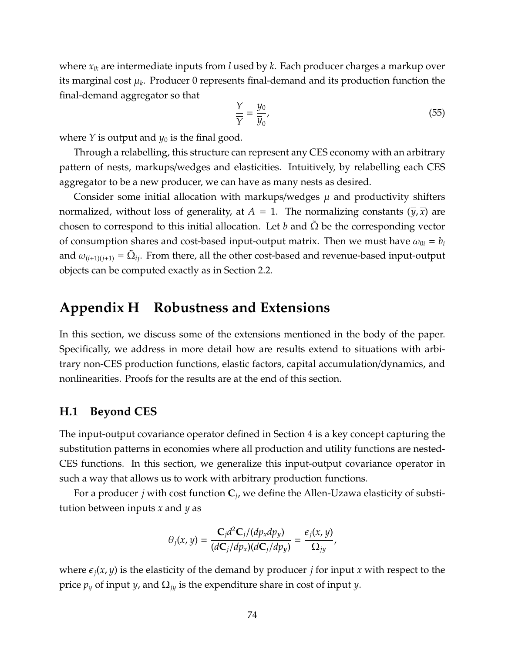where *xlk* are intermediate inputs from *l* used by *k*. Each producer charges a markup over its marginal cost  $\mu_k.$  Producer 0 represents final-demand and its production function the final-demand aggregator so that

$$
\frac{Y}{\overline{Y}} = \frac{y_0}{\overline{y}_0},\tag{55}
$$

where  $Y$  is output and  $y_0$  is the final good.

Through a relabelling, this structure can represent any CES economy with an arbitrary pattern of nests, markups/wedges and elasticities. Intuitively, by relabelling each CES aggregator to be a new producer, we can have as many nests as desired.

Consider some initial allocation with markups/wedges  $\mu$  and productivity shifters normalized, without loss of generality, at  $A = 1$ . The normalizing constants  $(\bar{y}, \bar{x})$  are chosen to correspond to this initial allocation. Let *b* and  $\Omega$  be the corresponding vector of consumption shares and cost-based input-output matrix. Then we must have  $\omega_{0i} = b_i$ and  $\omega_{(i+1)(j+1)} = \tilde{\Omega}_{ij}$ . From there, all the other cost-based and revenue-based input-output objects can be computed exactly as in Section [2.2.](#page-9-0)

## **Appendix H Robustness and Extensions**

In this section, we discuss some of the extensions mentioned in the body of the paper. Specifically, we address in more detail how are results extend to situations with arbitrary non-CES production functions, elastic factors, capital accumulation/dynamics, and nonlinearities. Proofs for the results are at the end of this section.

### **H.1 Beyond CES**

The input-output covariance operator defined in Section [4](#page-24-0) is a key concept capturing the substitution patterns in economies where all production and utility functions are nested-CES functions. In this section, we generalize this input-output covariance operator in such a way that allows us to work with arbitrary production functions.

For a producer *j* with cost function **C***<sup>j</sup>* , we define the Allen-Uzawa elasticity of substitution between inputs *x* and *y* as

$$
\theta_j(x,y) = \frac{\mathbf{C}_j d^2 \mathbf{C}_j/(dp_x dp_y)}{(d\mathbf{C}_j/dp_x)(d\mathbf{C}_j/dp_y)} = \frac{\epsilon_j(x,y)}{\Omega_{jy}},
$$

where  $\epsilon_i(x, y)$  is the elasticity of the demand by producer *j* for input *x* with respect to the price  $p_y$  of input *y*, and  $\Omega_{jy}$  is the expenditure share in cost of input *y*.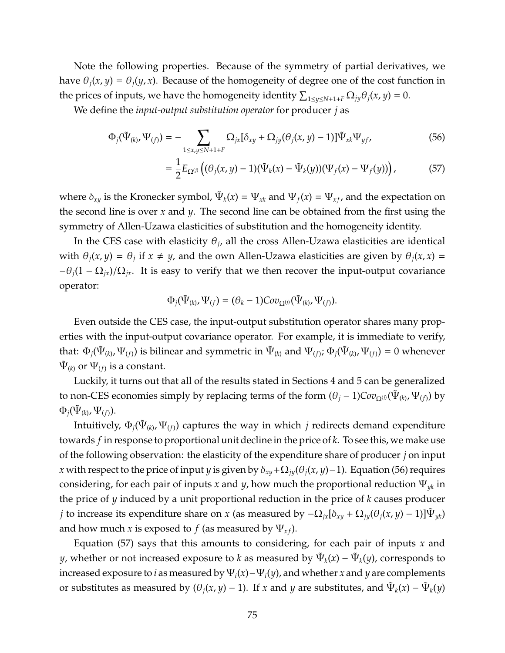Note the following properties. Because of the symmetry of partial derivatives, we have  $\theta_i(x, y) = \theta_i(y, x)$ . Because of the homogeneity of degree one of the cost function in the prices of inputs, we have the homogeneity identity  $\sum_{1 \le y \le N+1+F} \Omega_{jy} \theta_j(x, y) = 0$ .

We define the *input-output substitution operator* for producer *j* as

$$
\Phi_j(\tilde{\Psi}_{(k)}, \Psi_{(f)}) = -\sum_{1 \le x, y \le N+1+F} \Omega_{jx} [\delta_{xy} + \Omega_{jy} (\theta_j(x, y) - 1)] \tilde{\Psi}_{xk} \Psi_{yf}, \tag{56}
$$

<span id="page-74-1"></span><span id="page-74-0"></span>
$$
= \frac{1}{2} E_{\Omega^{(j)}} ((\theta_j(x, y) - 1)(\tilde{\Psi}_k(x) - \tilde{\Psi}_k(y))(\Psi_f(x) - \Psi_f(y))), \qquad (57)
$$

where  $\delta_{xy}$  is the Kronecker symbol,  $\Psi_k(x) = \Psi_{xk}$  and  $\Psi_f(x) = \Psi_{xf}$ , and the expectation on the second line is over *x* and *y*. The second line can be obtained from the first using the symmetry of Allen-Uzawa elasticities of substitution and the homogeneity identity.

In the CES case with elasticity  $\theta_j$ , all the cross Allen-Uzawa elasticities are identical with  $\theta_j(x, y) = \theta_j$  if  $x \neq y$ , and the own Allen-Uzawa elasticities are given by  $\theta_j(x, x) =$  $-\theta_j(1-\Omega_{ix})/\Omega_{ix}$ . It is easy to verify that we then recover the input-output covariance operator:

$$
\Phi_j(\tilde{\Psi}_{(k)},\Psi_{(f)})=(\theta_k-1)Cov_{\Omega^{(j)}}(\tilde{\Psi}_{(k)},\Psi_{(f)}).
$$

Even outside the CES case, the input-output substitution operator shares many properties with the input-output covariance operator. For example, it is immediate to verify, that:  $\Phi_j(\tilde{\Psi}_{(k)}, \Psi_{(f)})$  is bilinear and symmetric in  $\tilde{\Psi}_{(k)}$  and  $\Psi_{(f)}$ ;  $\Phi_j(\tilde{\Psi}_{(k)}, \Psi_{(f)}) = 0$  whenever  $\Psi_{(k)}$  or  $\Psi_{(f)}$  is a constant.

Luckily, it turns out that all of the results stated in Sections [4](#page-24-0) and [5](#page-30-0) can be generalized to non-CES economies simply by replacing terms of the form  $(\theta_j - 1)Cov_{\Omega^{(j)}}(\tilde{\Psi}_{(k)}, \Psi_{(f)})$  by  $\Phi_j(\tilde{\Psi}_{(k)}, \Psi_{(f)}).$ 

Intuitively,  $\Phi_j(\tilde{\Psi}_{(k)},\Psi_{(f)})$  captures the way in which *j* redirects demand expenditure towards *f* in response to proportional unit decline in the price of *k*. To see this, we make use of the following observation: the elasticity of the expenditure share of producer *j* on input *x* with respect to the price of input *y* is given by  $\delta_{xy} + \Omega_{y}(\theta_i(x, y) - 1)$ . Equation [\(56\)](#page-74-0) requires considering, for each pair of inputs *x* and *y*, how much the proportional reduction Ψ*yk* in the price of *y* induced by a unit proportional reduction in the price of *k* causes producer *j* to increase its expenditure share on *x* (as measured by  $-\Omega_{jx}[\delta_{xy} + \Omega_{jy}(\theta_j(x,y) - 1)]\tilde{\Psi}_{yk}$ ) and how much *x* is exposed to *f* (as measured by  $\Psi_{xf}$ ).

Equation [\(57\)](#page-74-1) says that this amounts to considering, for each pair of inputs *x* and *y,* whether or not increased exposure to  $k$  as measured by  $\tilde{\Psi}_k(x) - \tilde{\Psi}_k(y)$ , corresponds to increased exposure to *i* as measured by  $\Psi_i(x) - \Psi_i(y)$ , and whether *x* and *y* are complements or substitutes as measured by  $(\theta_j(x, y) - 1)$ . If *x* and *y* are substitutes, and  $\tilde{\Psi}_k(x) - \tilde{\Psi}_k(y)$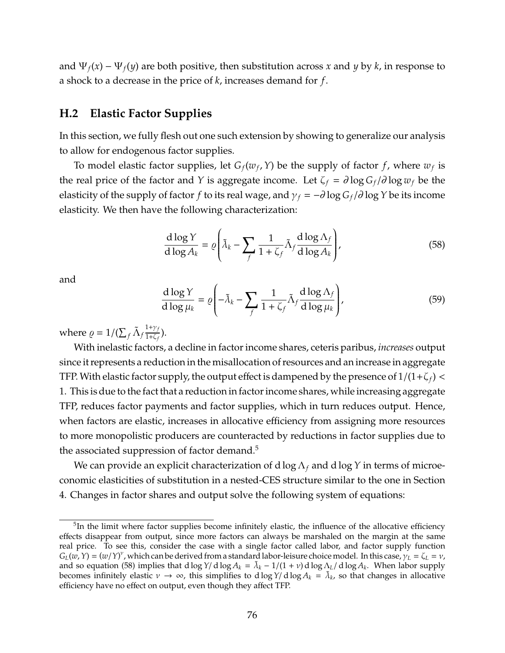and  $\Psi_f(x) - \Psi_f(y)$  are both positive, then substitution across x and y by k, in response to a shock to a decrease in the price of *k*, increases demand for *f*.

#### **H.2 Elastic Factor Supplies**

In this section, we fully flesh out one such extension by showing to generalize our analysis to allow for endogenous factor supplies.

To model elastic factor supplies, let  $G_f(w_f, Y)$  be the supply of factor  $f$ , where  $w_f$  is the real price of the factor and *Y* is aggregate income. Let  $\zeta_f = \partial \log G_f / \partial \log w_f$  be the elasticity of the supply of factor *f* to its real wage, and  $\gamma_f = -\partial \log G_f / \partial \log Y$  be its income elasticity. We then have the following characterization:

<span id="page-75-0"></span>
$$
\frac{d \log Y}{d \log A_k} = \varrho \left( \tilde{\lambda}_k - \sum_f \frac{1}{1 + \zeta_f} \tilde{\Lambda}_f \frac{d \log \Lambda_f}{d \log A_k} \right),\tag{58}
$$

and

<span id="page-75-1"></span>
$$
\frac{d \log Y}{d \log \mu_k} = \varrho \left( -\tilde{\lambda}_k - \sum_f \frac{1}{1 + \zeta_f} \tilde{\Lambda}_f \frac{d \log \Lambda_f}{d \log \mu_k} \right),\tag{59}
$$

where  $\varrho = 1/(\sum_f \tilde{\Lambda}_f)$ 1+γ*<sup>f</sup>*  $\frac{1+y_f}{1+\zeta_f}$ ).

With inelastic factors, a decline in factor income shares, ceteris paribus, *increases* output since it represents a reduction in the misallocation of resources and an increase in aggregate TFP. With elastic factor supply, the output effect is dampened by the presence of  $1/(1+\zeta_f)$  < 1. This is due to the fact that a reduction in factor income shares, while increasing aggregate TFP, reduces factor payments and factor supplies, which in turn reduces output. Hence, when factors are elastic, increases in allocative efficiency from assigning more resources to more monopolistic producers are counteracted by reductions in factor supplies due to the associated suppression of factor demand.<sup>[5](#page-0-0)</sup>

We can provide an explicit characterization of d log Λ*<sup>f</sup>* and d log *Y* in terms of microeconomic elasticities of substitution in a nested-CES structure similar to the one in Section [4.](#page-24-0) Changes in factor shares and output solve the following system of equations:

<sup>&</sup>lt;sup>5</sup>In the limit where factor supplies become infinitely elastic, the influence of the allocative efficiency effects disappear from output, since more factors can always be marshaled on the margin at the same real price. To see this, consider the case with a single factor called labor, and factor supply function  $G_L(w, Y) = (w/Y)^v$ , which can be derived from a standard labor-leisure choice model. In this case,  $\gamma_L = \zeta_L = v$ , and so equation [\(58\)](#page-75-0) implies that d log Y/ d log  $A_k = \tilde{\lambda}_k - 1/(1 + \nu)$  d log  $\Lambda_L$ / d log  $A_k$ . When labor supply becomes infinitely elastic  $v \to \infty$ , this simplifies to dlog  $Y/d \log A_k = \tilde{\lambda}_k$ , so that changes in allocative efficiency have no effect on output, even though they affect TFP.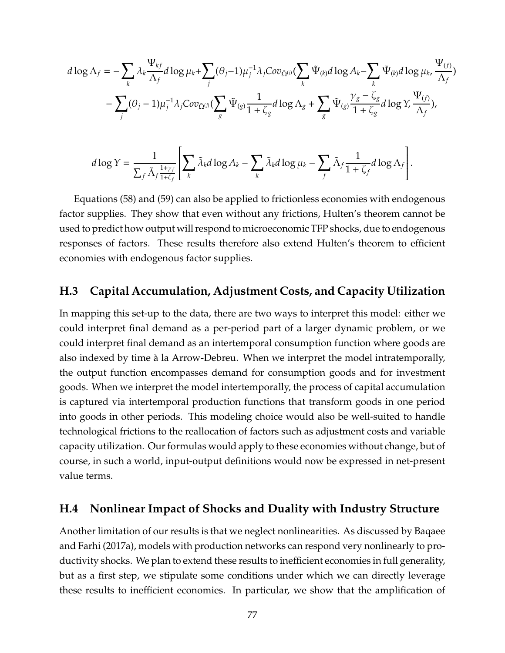$$
d \log \Lambda_f = -\sum_{k} \lambda_k \frac{\Psi_{kf}}{\Lambda_f} d \log \mu_k + \sum_{j} (\theta_j - 1) \mu_j^{-1} \lambda_j Cov_{\tilde{\Omega}^{(j)}}(\sum_{k} \tilde{\Psi}_{(k)} d \log A_k - \sum_{k} \tilde{\Psi}_{(k)} d \log \mu_k, \frac{\Psi_{(f)}}{\Lambda_f})
$$

$$
-\sum_{j} (\theta_j - 1) \mu_j^{-1} \lambda_j Cov_{\tilde{\Omega}^{(j)}}(\sum_{g} \tilde{\Psi}_{(g)} \frac{1}{1 + \zeta_g} d \log \Lambda_g + \sum_{g} \tilde{\Psi}_{(g)} \frac{\gamma_g - \zeta_g}{1 + \zeta_g} d \log \gamma_f \frac{\Psi_{(f)}}{\Lambda_f}),
$$

$$
d \log \gamma = \frac{1}{\sqrt{\pi \mu}} \left[ \sum_{g} \tilde{\lambda}_g d \log A_h - \sum_{g} \tilde{\lambda}_g d \log \mu_k - \sum_{g} \tilde{\lambda}_g \frac{1}{\sqrt{2\pi \mu}} d \log \Lambda_g \right]
$$

$$
d\log Y = \frac{1}{\sum_f \tilde{\Lambda}_f \frac{1+\gamma_f}{1+\zeta_f}} \left[ \sum_k \tilde{\lambda}_k d\log A_k - \sum_k \tilde{\lambda}_k d\log \mu_k - \sum_f \tilde{\Lambda}_f \frac{1}{1+\zeta_f} d\log \Lambda_f \right].
$$

Equations [\(58\)](#page-75-0) and [\(59\)](#page-75-1) can also be applied to frictionless economies with endogenous factor supplies. They show that even without any frictions, Hulten's theorem cannot be used to predict how output will respond to microeconomic TFP shocks, due to endogenous responses of factors. These results therefore also extend Hulten's theorem to efficient economies with endogenous factor supplies.

## **H.3 Capital Accumulation, Adjustment Costs, and Capacity Utilization**

In mapping this set-up to the data, there are two ways to interpret this model: either we could interpret final demand as a per-period part of a larger dynamic problem, or we could interpret final demand as an intertemporal consumption function where goods are also indexed by time a la Arrow-Debreu. When we interpret the model intratemporally, ` the output function encompasses demand for consumption goods and for investment goods. When we interpret the model intertemporally, the process of capital accumulation is captured via intertemporal production functions that transform goods in one period into goods in other periods. This modeling choice would also be well-suited to handle technological frictions to the reallocation of factors such as adjustment costs and variable capacity utilization. Our formulas would apply to these economies without change, but of course, in such a world, input-output definitions would now be expressed in net-present value terms.

## **H.4 Nonlinear Impact of Shocks and Duality with Industry Structure**

Another limitation of our results is that we neglect nonlinearities. As discussed by [Baqaee](#page-48-0) [and Farhi](#page-48-0) [\(2017a\)](#page-48-0), models with production networks can respond very nonlinearly to productivity shocks. We plan to extend these results to inefficient economies in full generality, but as a first step, we stipulate some conditions under which we can directly leverage these results to inefficient economies. In particular, we show that the amplification of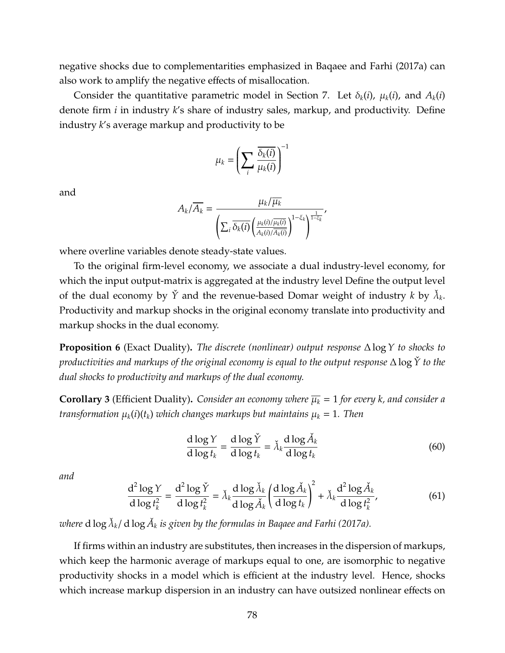negative shocks due to complementarities emphasized in [Baqaee and Farhi](#page-48-0) [\(2017a\)](#page-48-0) can also work to amplify the negative effects of misallocation.

Consider the quantitative parametric model in Section [7.](#page-38-0) Let  $\delta_k(i)$ ,  $\mu_k(i)$ , and  $A_k(i)$ denote firm *i* in industry *k*'s share of industry sales, markup, and productivity. Define industry *k*'s average markup and productivity to be

$$
\mu_k = \left(\sum_i \frac{\overline{\delta_k(i)}}{\mu_k(i)}\right)^{-1}
$$

and

$$
A_k/\overline{A_k} = \frac{\mu_k/\overline{\mu_k}}{\left(\sum_i \overline{\delta_k(i)} \left(\frac{\mu_k(i)/\overline{\mu_k(i)}}{A_k(i)/\overline{A_k(i)}}\right)^{1-\xi_k}\right)^{\frac{1}{1-\xi_k}}},
$$

where overline variables denote steady-state values.

To the original firm-level economy, we associate a dual industry-level economy, for which the input output-matrix is aggregated at the industry level Define the output level of the dual economy by  $\check{Y}$  and the revenue-based Domar weight of industry  $k$  by  $\check{\lambda}_k$ . Productivity and markup shocks in the original economy translate into productivity and markup shocks in the dual economy.

<span id="page-77-0"></span>**Proposition 6** (Exact Duality)**.** *The discrete (nonlinear) output response* ∆log*Y to shocks to productivities and markups of the original economy is equal to the output response*  $\Delta$ log  $\hat{Y}$  to the *dual shocks to productivity and markups of the dual economy.*

**Corollary 3** (Efficient Duality). *Consider an economy where*  $\overline{\mu_k} = 1$  *for every k, and consider a transformation*  $\mu_k(i)(t_k)$  *which changes markups but maintains*  $\mu_k = 1$ *. Then* 

$$
\frac{d \log Y}{d \log t_k} = \frac{d \log \check{Y}}{d \log t_k} = \check{\lambda}_k \frac{d \log \check{A}_k}{d \log t_k}
$$
(60)

*and*

$$
\frac{d^2 \log Y}{d \log t_k^2} = \frac{d^2 \log Y}{d \log t_k^2} = \lambda_k \frac{d \log \lambda_k}{d \log \lambda_k} \left(\frac{d \log \lambda_k}{d \log t_k}\right)^2 + \lambda_k \frac{d^2 \log \lambda_k}{d \log t_k^2},
$$
(61)

 $\alpha$  where  $d\log\widecheck{\lambda}_k/d\log\widecheck{A}_k$  is given by the formulas in [Baqaee and Farhi](#page-48-0) [\(2017a\)](#page-48-0).

If firms within an industry are substitutes, then increases in the dispersion of markups, which keep the harmonic average of markups equal to one, are isomorphic to negative productivity shocks in a model which is efficient at the industry level. Hence, shocks which increase markup dispersion in an industry can have outsized nonlinear effects on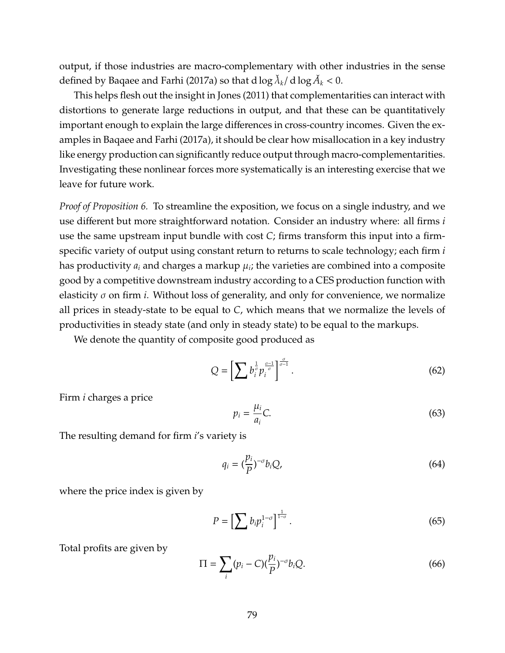output, if those industries are macro-complementary with other industries in the sense defined by [Baqaee and Farhi](#page-48-0) [\(2017a\)](#page-48-0) so that d $\log \check~~tlambda_k}/~~$  d</del>  $\log \check{A}_k < 0.$ 

This helps flesh out the insight in [Jones](#page-51-0) [\(2011\)](#page-51-0) that complementarities can interact with distortions to generate large reductions in output, and that these can be quantitatively important enough to explain the large differences in cross-country incomes. Given the examples in [Baqaee and Farhi](#page-48-0) [\(2017a\)](#page-48-0), it should be clear how misallocation in a key industry like energy production can significantly reduce output through macro-complementarities. Investigating these nonlinear forces more systematically is an interesting exercise that we leave for future work.

*Proof of Proposition [6.](#page-77-0)* To streamline the exposition, we focus on a single industry, and we use different but more straightforward notation. Consider an industry where: all firms *i* use the same upstream input bundle with cost *C*; firms transform this input into a firmspecific variety of output using constant return to returns to scale technology; each firm *i* has productivity  $a_i$  and charges a markup  $\mu_i$ ; the varieties are combined into a composite good by a competitive downstream industry according to a CES production function with elasticity  $\sigma$  on firm *i*. Without loss of generality, and only for convenience, we normalize all prices in steady-state to be equal to *C*, which means that we normalize the levels of productivities in steady state (and only in steady state) to be equal to the markups.

We denote the quantity of composite good produced as

$$
Q = \left[\sum b_i^{\frac{1}{\sigma}} p_i^{\frac{\sigma-1}{\sigma}}\right]^{\frac{\sigma}{\sigma-1}}.\tag{62}
$$

Firm *i* charges a price

$$
p_i = \frac{\mu_i}{a_i} C. \tag{63}
$$

The resulting demand for firm *i*'s variety is

$$
q_i = \left(\frac{p_i}{P}\right)^{-\sigma} b_i Q,\tag{64}
$$

where the price index is given by

$$
P = \left[\sum b_i p_i^{1-\sigma}\right]^{\frac{1}{1-\sigma}}.\tag{65}
$$

Total profits are given by

$$
\Pi = \sum_{i} (p_i - C) \left(\frac{p_i}{P}\right)^{-\sigma} b_i Q. \tag{66}
$$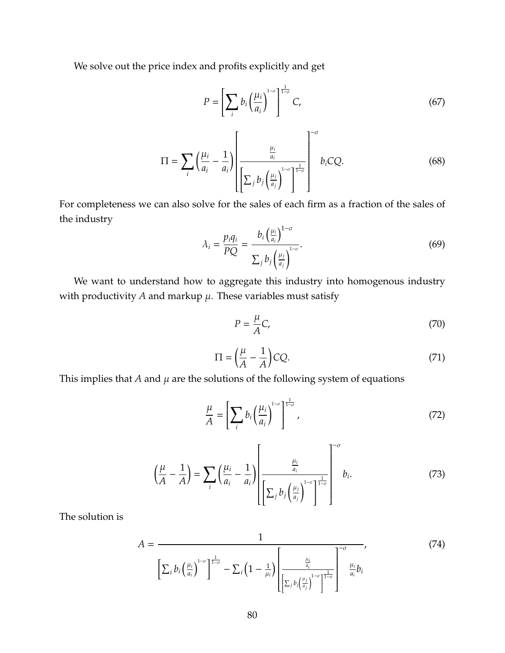We solve out the price index and profits explicitly and get

$$
P = \left[\sum_{i} b_i \left(\frac{\mu_i}{a_i}\right)^{1-\sigma}\right]^{\frac{1}{1-\sigma}} C,\tag{67}
$$

$$
\Pi = \sum_{i} \left( \frac{\mu_i}{a_i} - \frac{1}{a_i} \right) \left[ \frac{\frac{\mu_i}{a_i}}{\left[ \sum_j b_j \left( \frac{\mu_j}{a_j} \right)^{1-\sigma} \right]^{\frac{1}{1-\sigma}}} \right]^{-\sigma} b_i C Q. \tag{68}
$$

For completeness we can also solve for the sales of each firm as a fraction of the sales of the industry

$$
\lambda_i = \frac{p_i q_i}{PQ} = \frac{b_i \left(\frac{\mu_i}{a_i}\right)^{1-\sigma}}{\sum_j b_j \left(\frac{\mu_j}{a_j}\right)^{1-\sigma}}.
$$
\n(69)

We want to understand how to aggregate this industry into homogenous industry with productivity  $A$  and markup  $\mu$ . These variables must satisfy

$$
P = \frac{\mu}{A}C,\tag{70}
$$

$$
\Pi = \left(\frac{\mu}{A} - \frac{1}{A}\right)CQ.\tag{71}
$$

This implies that  $A$  and  $\mu$  are the solutions of the following system of equations

$$
\frac{\mu}{A} = \left[ \sum_{i} b_i \left( \frac{\mu_i}{a_i} \right)^{1-\sigma} \right]^{\frac{1}{1-\sigma}},\tag{72}
$$

$$
\left(\frac{\mu}{A} - \frac{1}{A}\right) = \sum_{i} \left(\frac{\mu_i}{a_i} - \frac{1}{a_i}\right) \left[\frac{\frac{\mu_i}{a_i}}{\left[\sum_j b_j \left(\frac{\mu_j}{a_j}\right)^{1-\sigma}\right]^{\frac{1}{1-\sigma}}}\right]^{-\sigma} b_i.
$$
\n(73)

The solution is

$$
A = \frac{1}{\left[\sum_{i} b_{i} \left(\frac{\mu_{i}}{a_{i}}\right)^{1-\sigma}\right]^{\frac{1}{1-\sigma}} - \sum_{i} \left(1 - \frac{1}{\mu_{i}}\right) \left[\frac{\frac{\mu_{i}}{a_{i}}}{\left[\sum_{j} b_{j} \left(\frac{\mu_{j}}{a_{j}}\right)^{1-\sigma}\right]^{\frac{1}{1-\sigma}}}\right]^{\frac{1}{\sigma_{i}}} b_{i}} \qquad (74)
$$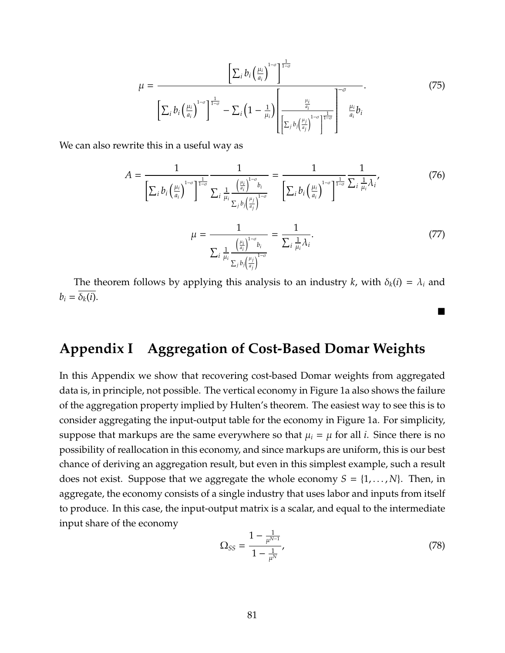$$
\mu = \frac{\left[\sum_{i} b_{i} \left(\frac{\mu_{i}}{a_{i}}\right)^{1-\sigma}\right]^{\frac{1}{1-\sigma}}}{\left[\sum_{i} b_{i} \left(\frac{\mu_{i}}{a_{i}}\right)^{1-\sigma}\right]^{\frac{1}{1-\sigma}} - \sum_{i} \left(1 - \frac{1}{\mu_{i}}\right) \left[\frac{\frac{\mu_{i}}{a_{i}}}{\left[\sum_{j} b_{j} \left(\frac{\mu_{j}}{a_{j}}\right)^{1-\sigma}\right]^{\frac{1}{1-\sigma}}}\right]^{-\frac{\mu_{i}}{a_{i}}} b_{i}}.
$$
\n(75)

We can also rewrite this in a useful way as

$$
A = \frac{1}{\left[\sum_{i} b_{i} \left(\frac{\mu_{i}}{a_{i}}\right)^{1-\sigma}\right]^{\frac{1}{1-\sigma}}} \frac{1}{\sum_{i} \frac{1}{\mu_{i}} \frac{\left(\frac{\mu_{i}}{a_{i}}\right)^{1-\sigma} b_{i}}{\sum_{j} b_{j} \left(\frac{\mu_{j}}{a_{j}}\right)^{1-\sigma}} } = \frac{1}{\left[\sum_{i} b_{i} \left(\frac{\mu_{i}}{a_{i}}\right)^{1-\sigma}\right]^{\frac{1}{1-\sigma}}} \frac{1}{\sum_{i} \frac{1}{\mu_{i}} \lambda_{i}},
$$
(76)

$$
\mu = \frac{1}{\sum_{i} \frac{1}{\mu_i} \frac{\left(\frac{\mu_i}{a_i}\right)^{1-\sigma} b_i}{\sum_{j} b_j \left(\frac{\mu_j}{a_j}\right)^{1-\sigma}}} = \frac{1}{\sum_{i} \frac{1}{\mu_i} \lambda_i}.
$$
\n(77)

 $\blacksquare$ 

The theorem follows by applying this analysis to an industry *k*, with  $\delta_k(i) = \lambda_i$  and  $b_i = \delta_k(i)$ .

# **Appendix I Aggregation of Cost-Based Domar Weights**

In this Appendix we show that recovering cost-based Domar weights from aggregated data is, in principle, not possible. The vertical economy in Figure [1a](#page-15-0) also shows the failure of the aggregation property implied by Hulten's theorem. The easiest way to see this is to consider aggregating the input-output table for the economy in Figure [1a.](#page-15-0) For simplicity, suppose that markups are the same everywhere so that  $\mu_i = \mu$  for all *i*. Since there is no possibility of reallocation in this economy, and since markups are uniform, this is our best chance of deriving an aggregation result, but even in this simplest example, such a result does not exist. Suppose that we aggregate the whole economy  $S = \{1, \ldots, N\}$ . Then, in aggregate, the economy consists of a single industry that uses labor and inputs from itself to produce. In this case, the input-output matrix is a scalar, and equal to the intermediate input share of the economy

$$
\Omega_{SS} = \frac{1 - \frac{1}{\mu^{N-1}}}{1 - \frac{1}{\mu^N}},\tag{78}
$$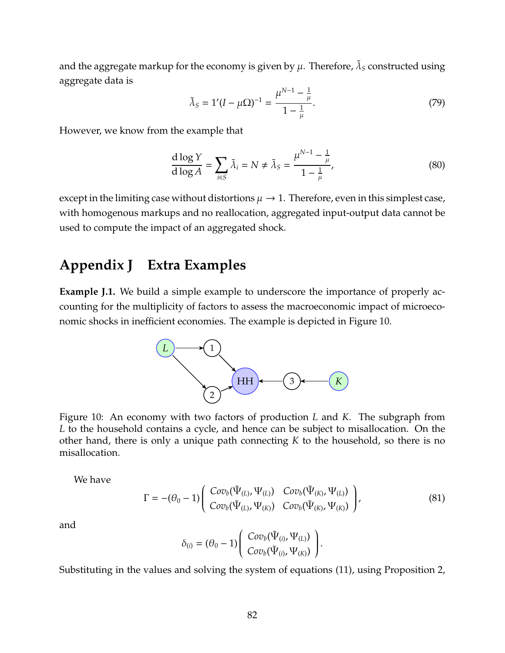and the aggregate markup for the economy is given by  $\mu.$  Therefore,  $\tilde{\lambda}_S$  constructed using aggregate data is

$$
\tilde{\lambda}_S = 1'(I - \mu \Omega)^{-1} = \frac{\mu^{N-1} - \frac{1}{\mu}}{1 - \frac{1}{\mu}}.
$$
\n(79)

However, we know from the example that

$$
\frac{\mathrm{d}\log Y}{\mathrm{d}\log A} = \sum_{i\in S} \tilde{\lambda}_i = N \neq \tilde{\lambda}_S = \frac{\mu^{N-1} - \frac{1}{\mu}}{1 - \frac{1}{\mu}},\tag{80}
$$

except in the limiting case without distortions  $\mu \rightarrow 1$ . Therefore, even in this simplest case, with homogenous markups and no reallocation, aggregated input-output data cannot be used to compute the impact of an aggregated shock.

## **Appendix J Extra Examples**

<span id="page-81-0"></span>**Example J.1.** We build a simple example to underscore the importance of properly accounting for the multiplicity of factors to assess the macroeconomic impact of microeconomic shocks in inefficient economies. The example is depicted in Figure [10.](#page-81-0)



Figure 10: An economy with two factors of production *L* and *K*. The subgraph from *L* to the household contains a cycle, and hence can be subject to misallocation. On the other hand, there is only a unique path connecting *K* to the household, so there is no misallocation.

We have

$$
\Gamma = -(\theta_0 - 1) \begin{pmatrix} Cov_b(\tilde{\Psi}_{(L)}, \Psi_{(L)}) & Cov_b(\tilde{\Psi}_{(K)}, \Psi_{(L)}) \\ Cov_b(\tilde{\Psi}_{(L)}, \Psi_{(K)}) & Cov_b(\tilde{\Psi}_{(K)}, \Psi_{(K)}) \end{pmatrix},
$$
(81)

and

$$
\delta_{(i)} = (\theta_0 - 1) \left( \begin{array}{c} Cov_b(\tilde{\Psi}_{(i)}, \Psi_{(L)}) \\ Cov_b(\tilde{\Psi}_{(i)}, \Psi_{(K)}) \end{array} \right).
$$

Substituting in the values and solving the system of equations [\(11\)](#page-27-0), using Proposition [2,](#page-26-0)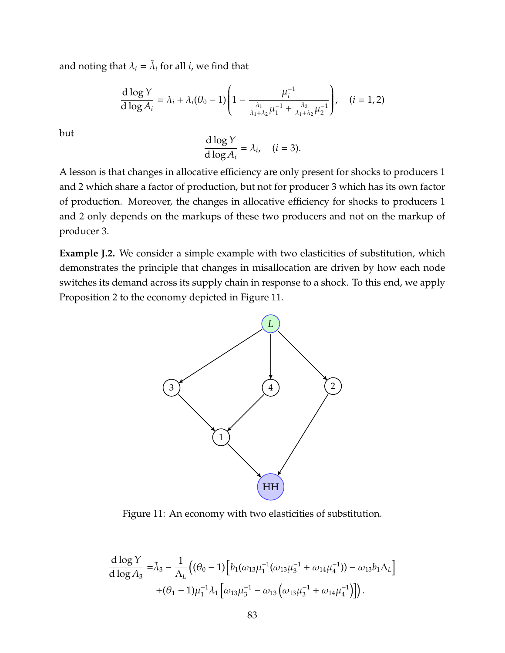and noting that  $\lambda_i = \tilde{\lambda}_i$  for all *i*, we find that

$$
\frac{d \log Y}{d \log A_i} = \lambda_i + \lambda_i (\theta_0 - 1) \left( 1 - \frac{\mu_i^{-1}}{\frac{\lambda_1}{\lambda_1 + \lambda_2} \mu_1^{-1} + \frac{\lambda_2}{\lambda_1 + \lambda_2} \mu_2^{-1}} \right), \quad (i = 1, 2)
$$

but

$$
\frac{\mathrm{d}\log Y}{\mathrm{d}\log A_i} = \lambda_i, \quad (i = 3).
$$

A lesson is that changes in allocative efficiency are only present for shocks to producers 1 and 2 which share a factor of production, but not for producer 3 which has its own factor of production. Moreover, the changes in allocative efficiency for shocks to producers 1 and 2 only depends on the markups of these two producers and not on the markup of producer 3.

<span id="page-82-0"></span>**Example J.2.** We consider a simple example with two elasticities of substitution, which demonstrates the principle that changes in misallocation are driven by how each node switches its demand across its supply chain in response to a shock. To this end, we apply Proposition [2](#page-26-0) to the economy depicted in Figure [11.](#page-82-0)



Figure 11: An economy with two elasticities of substitution.

$$
\frac{d \log Y}{d \log A_3} = \tilde{\lambda}_3 - \frac{1}{\Lambda_L} \left( (\theta_0 - 1) \left[ b_1(\omega_{13} \mu_1^{-1}(\omega_{13} \mu_3^{-1} + \omega_{14} \mu_4^{-1})) - \omega_{13} b_1 \Lambda_L \right] + (\theta_1 - 1) \mu_1^{-1} \lambda_1 \left[ \omega_{13} \mu_3^{-1} - \omega_{13} \left( \omega_{13} \mu_3^{-1} + \omega_{14} \mu_4^{-1} \right) \right] \right).
$$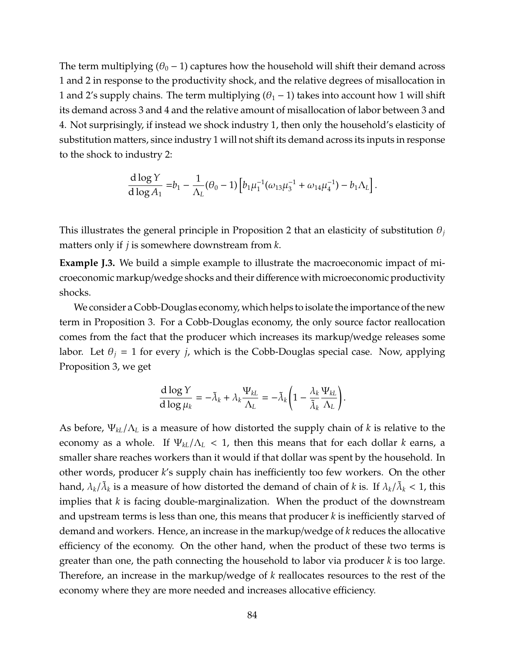The term multiplying ( $\theta_0$  – 1) captures how the household will shift their demand across 1 and 2 in response to the productivity shock, and the relative degrees of misallocation in 1 and 2's supply chains. The term multiplying  $(\theta_1 - 1)$  takes into account how 1 will shift its demand across 3 and 4 and the relative amount of misallocation of labor between 3 and 4. Not surprisingly, if instead we shock industry 1, then only the household's elasticity of substitution matters, since industry 1 will not shift its demand across its inputs in response to the shock to industry 2:

$$
\frac{d \log Y}{d \log A_1} = b_1 - \frac{1}{\Lambda_L} (\theta_0 - 1) \left[ b_1 \mu_1^{-1} (\omega_{13} \mu_3^{-1} + \omega_{14} \mu_4^{-1}) - b_1 \Lambda_L \right].
$$

This illustrates the general principle in Proposition [2](#page-26-0) that an elasticity of substitution θ*<sup>j</sup>* matters only if *j* is somewhere downstream from *k*.

**Example J.3.** We build a simple example to illustrate the macroeconomic impact of microeconomic markup/wedge shocks and their difference with microeconomic productivity shocks.

We consider a Cobb-Douglas economy, which helps to isolate the importance of the new term in Proposition [3.](#page-28-0) For a Cobb-Douglas economy, the only source factor reallocation comes from the fact that the producer which increases its markup/wedge releases some labor. Let  $\theta_j = 1$  for every *j*, which is the Cobb-Douglas special case. Now, applying Proposition [3,](#page-28-0) we get

$$
\frac{\mathrm{d}\log Y}{\mathrm{d}\log\mu_k} = -\tilde{\lambda}_k + \lambda_k \frac{\Psi_{kL}}{\Lambda_L} = -\tilde{\lambda}_k \left(1 - \frac{\lambda_k}{\tilde{\lambda}_k} \frac{\Psi_{kL}}{\Lambda_L}\right).
$$

As before, Ψ*kL*/Λ*<sup>L</sup>* is a measure of how distorted the supply chain of *k* is relative to the economy as a whole. If  $\Psi_{k}/\Lambda_L < 1$ , then this means that for each dollar *k* earns, a smaller share reaches workers than it would if that dollar was spent by the household. In other words, producer *k*'s supply chain has inefficiently too few workers. On the other hand,  $\lambda_k/\tilde{\lambda}_k$  is a measure of how distorted the demand of chain of *k* is. If  $\lambda_k/\tilde{\lambda}_k < 1$ , this implies that *k* is facing double-marginalization. When the product of the downstream and upstream terms is less than one, this means that producer *k* is inefficiently starved of demand and workers. Hence, an increase in the markup/wedge of *k* reduces the allocative efficiency of the economy. On the other hand, when the product of these two terms is greater than one, the path connecting the household to labor via producer *k* is too large. Therefore, an increase in the markup/wedge of *k* reallocates resources to the rest of the economy where they are more needed and increases allocative efficiency.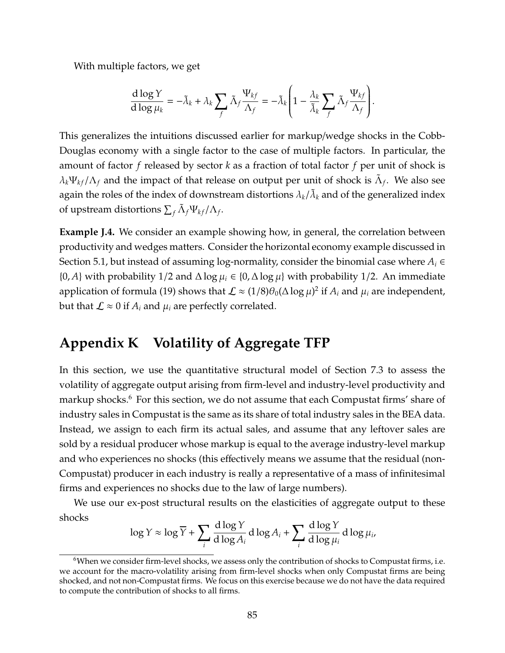With multiple factors, we get

$$
\frac{d \log Y}{d \log \mu_k} = -\tilde{\lambda}_k + \lambda_k \sum_f \tilde{\Lambda}_f \frac{\Psi_{kf}}{\Lambda_f} = -\tilde{\lambda}_k \left( 1 - \frac{\lambda_k}{\tilde{\lambda}_k} \sum_f \tilde{\Lambda}_f \frac{\Psi_{kf}}{\Lambda_f} \right).
$$

This generalizes the intuitions discussed earlier for markup/wedge shocks in the Cobb-Douglas economy with a single factor to the case of multiple factors. In particular, the amount of factor *f* released by sector *k* as a fraction of total factor *f* per unit of shock is  $\lambda_k \Psi_{kf} / \Lambda_f$  and the impact of that release on output per unit of shock is  $\tilde{\Lambda}_f$ . We also see again the roles of the index of downstream distortions  $\lambda_k/\tilde{\lambda}_k$  and of the generalized index of upstream distortions  $\sum_{f} \tilde{\Lambda}_f \Psi_{kf} / \Lambda_f$ .

**Example J.4.** We consider an example showing how, in general, the correlation between productivity and wedges matters. Consider the horizontal economy example discussed in Section [5.1,](#page-31-0) but instead of assuming log-normality, consider the binomial case where  $A_i \in$ {0, *A*} with probability 1/2 and ∆log µ*<sup>i</sup>* ∈ {0,∆log µ} with probability 1/2. An immediate application of formula [\(19\)](#page-32-0) shows that  $\mathcal{L} \approx (1/8) \theta_0 (\Delta \log \mu)^2$  if  $A_i$  and  $\mu_i$  are independent, but that  $\mathcal{L} \approx 0$  if  $A_i$  and  $\mu_i$  are perfectly correlated.

# **Appendix K Volatility of Aggregate TFP**

In this section, we use the quantitative structural model of Section [7.3](#page-44-0) to assess the volatility of aggregate output arising from firm-level and industry-level productivity and markup shocks.<sup>[6](#page-0-0)</sup> For this section, we do not assume that each Compustat firms' share of industry sales in Compustat is the same as its share of total industry sales in the BEA data. Instead, we assign to each firm its actual sales, and assume that any leftover sales are sold by a residual producer whose markup is equal to the average industry-level markup and who experiences no shocks (this effectively means we assume that the residual (non-Compustat) producer in each industry is really a representative of a mass of infinitesimal firms and experiences no shocks due to the law of large numbers).

We use our ex-post structural results on the elasticities of aggregate output to these shocks

$$
\log Y \approx \log \overline{Y} + \sum_{i} \frac{d \log Y}{d \log A_i} d \log A_i + \sum_{i} \frac{d \log Y}{d \log \mu_i} d \log \mu_i,
$$

 $6$ When we consider firm-level shocks, we assess only the contribution of shocks to Compustat firms, i.e. we account for the macro-volatility arising from firm-level shocks when only Compustat firms are being shocked, and not non-Compustat firms. We focus on this exercise because we do not have the data required to compute the contribution of shocks to all firms.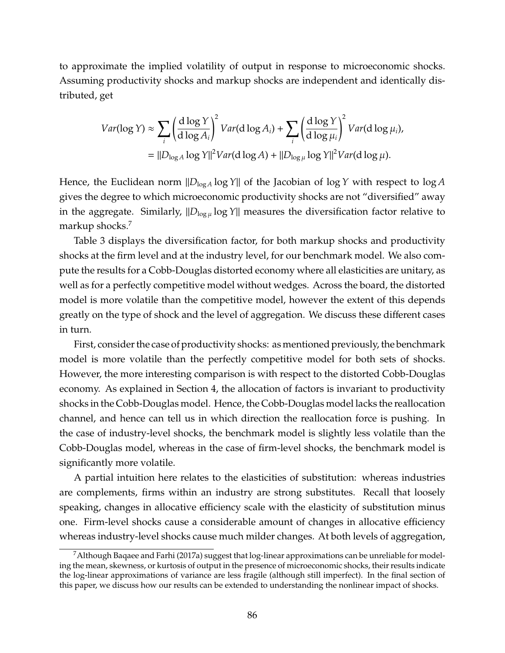to approximate the implied volatility of output in response to microeconomic shocks. Assuming productivity shocks and markup shocks are independent and identically distributed, get

$$
Var(\log Y) \approx \sum_{i} \left(\frac{d \log Y}{d \log A_{i}}\right)^{2} Var(d \log A_{i}) + \sum_{i} \left(\frac{d \log Y}{d \log \mu_{i}}\right)^{2} Var(d \log \mu_{i}),
$$
  
=  $||D_{\log A} \log Y||^{2} Var(d \log A) + ||D_{\log \mu} \log Y||^{2} Var(d \log \mu).$ 

Hence, the Euclidean norm  $\|D_{\log A}\log Y\|$  of the Jacobian of  $\log Y$  with respect to  $\log A$ gives the degree to which microeconomic productivity shocks are not "diversified" away in the aggregate. Similarly,  $\|D_{\log \mu}\log Y\|$  measures the diversification factor relative to markup shocks.<sup>[7](#page-0-0)</sup>

Table [3](#page-86-0) displays the diversification factor, for both markup shocks and productivity shocks at the firm level and at the industry level, for our benchmark model. We also compute the results for a Cobb-Douglas distorted economy where all elasticities are unitary, as well as for a perfectly competitive model without wedges. Across the board, the distorted model is more volatile than the competitive model, however the extent of this depends greatly on the type of shock and the level of aggregation. We discuss these different cases in turn.

First, consider the case of productivity shocks: as mentioned previously, the benchmark model is more volatile than the perfectly competitive model for both sets of shocks. However, the more interesting comparison is with respect to the distorted Cobb-Douglas economy. As explained in Section [4,](#page-24-0) the allocation of factors is invariant to productivity shocks in the Cobb-Douglas model. Hence, the Cobb-Douglas model lacks the reallocation channel, and hence can tell us in which direction the reallocation force is pushing. In the case of industry-level shocks, the benchmark model is slightly less volatile than the Cobb-Douglas model, whereas in the case of firm-level shocks, the benchmark model is significantly more volatile.

A partial intuition here relates to the elasticities of substitution: whereas industries are complements, firms within an industry are strong substitutes. Recall that loosely speaking, changes in allocative efficiency scale with the elasticity of substitution minus one. Firm-level shocks cause a considerable amount of changes in allocative efficiency whereas industry-level shocks cause much milder changes. At both levels of aggregation,

<sup>&</sup>lt;sup>7</sup> Although [Baqaee and Farhi](#page-48-0) [\(2017a\)](#page-48-0) suggest that log-linear approximations can be unreliable for modeling the mean, skewness, or kurtosis of output in the presence of microeconomic shocks, their results indicate the log-linear approximations of variance are less fragile (although still imperfect). In the final section of this paper, we discuss how our results can be extended to understanding the nonlinear impact of shocks.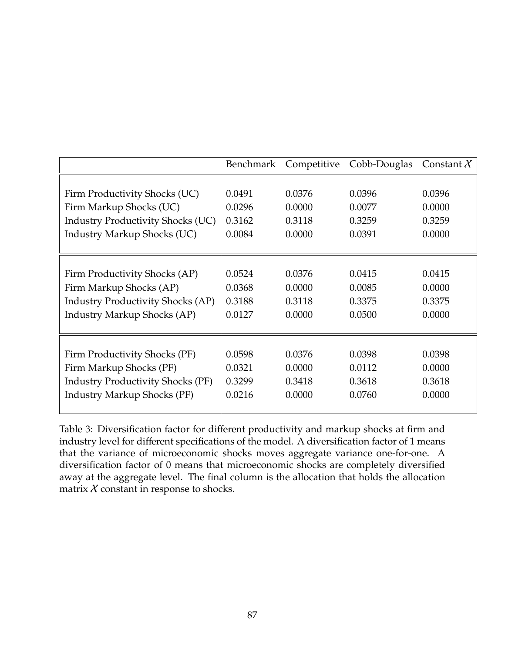<span id="page-86-0"></span>

|                                          | Benchmark | Competitive | Cobb-Douglas | Constant $\chi$ |
|------------------------------------------|-----------|-------------|--------------|-----------------|
|                                          |           |             |              |                 |
| Firm Productivity Shocks (UC)            | 0.0491    | 0.0376      | 0.0396       | 0.0396          |
| Firm Markup Shocks (UC)                  | 0.0296    | 0.0000      | 0.0077       | 0.0000          |
| <b>Industry Productivity Shocks (UC)</b> | 0.3162    | 0.3118      | 0.3259       | 0.3259          |
| <b>Industry Markup Shocks (UC)</b>       | 0.0084    | 0.0000      | 0.0391       | 0.0000          |
|                                          |           |             |              |                 |
|                                          |           |             |              |                 |
| Firm Productivity Shocks (AP)            | 0.0524    | 0.0376      | 0.0415       | 0.0415          |
| Firm Markup Shocks (AP)                  | 0.0368    | 0.0000      | 0.0085       | 0.0000          |
| <b>Industry Productivity Shocks (AP)</b> | 0.3188    | 0.3118      | 0.3375       | 0.3375          |
| <b>Industry Markup Shocks (AP)</b>       | 0.0127    | 0.0000      | 0.0500       | 0.0000          |
|                                          |           |             |              |                 |
|                                          |           |             |              |                 |
| Firm Productivity Shocks (PF)            | 0.0598    | 0.0376      | 0.0398       | 0.0398          |
| Firm Markup Shocks (PF)                  | 0.0321    | 0.0000      | 0.0112       | 0.0000          |
| <b>Industry Productivity Shocks (PF)</b> | 0.3299    | 0.3418      | 0.3618       | 0.3618          |
| <b>Industry Markup Shocks (PF)</b>       | 0.0216    | 0.0000      | 0.0760       | 0.0000          |
|                                          |           |             |              |                 |

Table 3: Diversification factor for different productivity and markup shocks at firm and industry level for different specifications of the model. A diversification factor of 1 means that the variance of microeconomic shocks moves aggregate variance one-for-one. A diversification factor of 0 means that microeconomic shocks are completely diversified away at the aggregate level. The final column is the allocation that holds the allocation matrix  $X$  constant in response to shocks.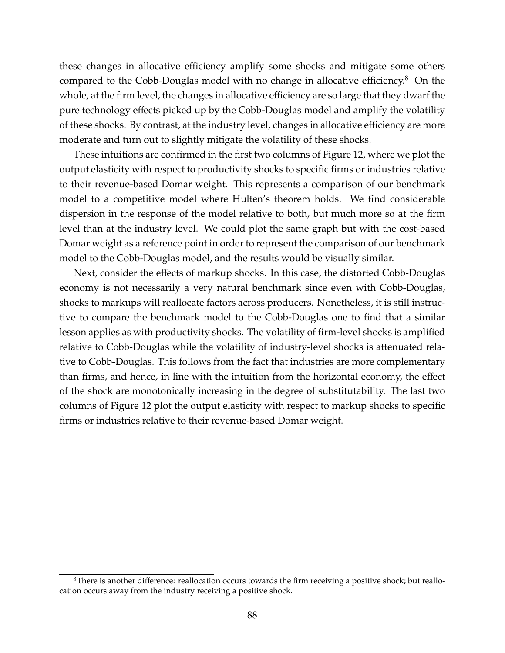these changes in allocative efficiency amplify some shocks and mitigate some others compared to the Cobb-Douglas model with no change in allocative efficiency.<sup>[8](#page-0-0)</sup> On the whole, at the firm level, the changes in allocative efficiency are so large that they dwarf the pure technology effects picked up by the Cobb-Douglas model and amplify the volatility of these shocks. By contrast, at the industry level, changes in allocative efficiency are more moderate and turn out to slightly mitigate the volatility of these shocks.

These intuitions are confirmed in the first two columns of Figure [12,](#page-88-0) where we plot the output elasticity with respect to productivity shocks to specific firms or industries relative to their revenue-based Domar weight. This represents a comparison of our benchmark model to a competitive model where Hulten's theorem holds. We find considerable dispersion in the response of the model relative to both, but much more so at the firm level than at the industry level. We could plot the same graph but with the cost-based Domar weight as a reference point in order to represent the comparison of our benchmark model to the Cobb-Douglas model, and the results would be visually similar.

Next, consider the effects of markup shocks. In this case, the distorted Cobb-Douglas economy is not necessarily a very natural benchmark since even with Cobb-Douglas, shocks to markups will reallocate factors across producers. Nonetheless, it is still instructive to compare the benchmark model to the Cobb-Douglas one to find that a similar lesson applies as with productivity shocks. The volatility of firm-level shocks is amplified relative to Cobb-Douglas while the volatility of industry-level shocks is attenuated relative to Cobb-Douglas. This follows from the fact that industries are more complementary than firms, and hence, in line with the intuition from the horizontal economy, the effect of the shock are monotonically increasing in the degree of substitutability. The last two columns of Figure [12](#page-88-0) plot the output elasticity with respect to markup shocks to specific firms or industries relative to their revenue-based Domar weight.

 $8$ There is another difference: reallocation occurs towards the firm receiving a positive shock; but reallocation occurs away from the industry receiving a positive shock.